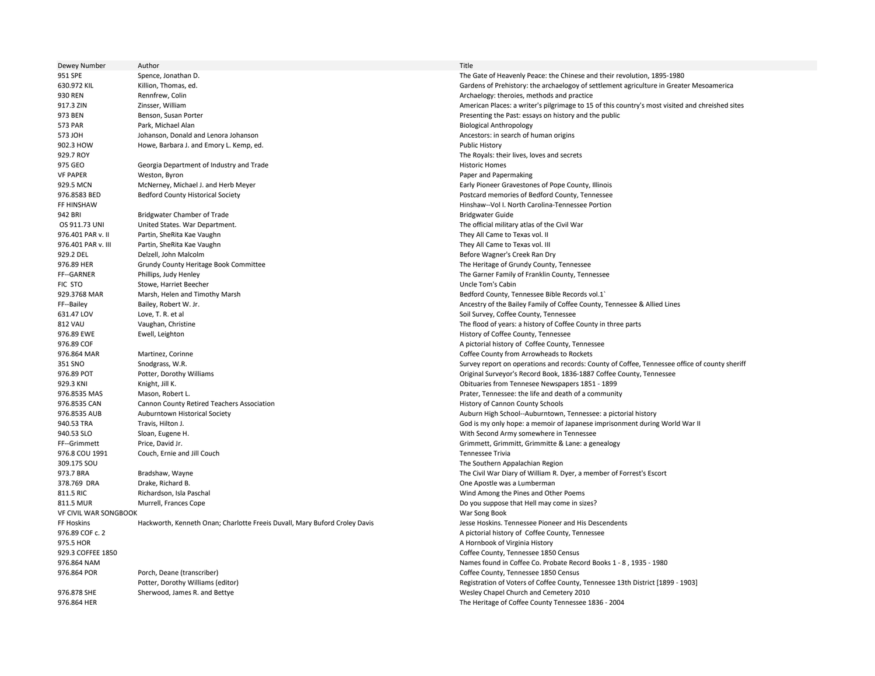Dewey Number Author Title 951 SPE Spence, Jonathan D. The Gate of Heavenly Peace: the Chinese and their revolution, 1895-1980 630.972 KIL Killion, Thomas, ed. Gardens of Prehistory: the archaelogoy of settlement agriculture in Greater Mesoamerica external parameters. The external parameters of the external parameters and practice theroies, methods and practice of the external properties, methods and practice 917.3 ZIN Zinsser, William American Places: a writer's pilgrimage to 15 of this country's most visited and chreished sites 973 BEN Benson, Susan Porter Presenting the Past: essays on history and the public 573 PAR Park, Michael Alan Biological Anthropology and Biological Anthropology 573 JOH Johanson, Donald and Lenora Johanson Ancestors: in search of human origins 902.3 HOW Howe, Barbara J. and Emory L. Kemp, ed. Public History Public History 929.7 ROY The Royals: their lives, loves and secrets 975 GEO Georgia Department of Industry and Trade Historic Homes Historic Homes Historic Homes VF PAPER **State Contract Contract Contract Contract Contract Contract Contract Contract Contract Contract Contract Contract Paper and Paper and Paper and Paper and Paper and Paper and Paper and Paper and Paper and Paper an** 929.5 MCN McNerney, Michael J. and Herb Meyer **Early Pioneer Gravestones of Pope County, Illinois** 976.8583 BED Bedford County Historical Society **Postcard memories of Bedford County, Tennessee** FF HINSHAW Hinshaw--Vol I. North Carolina-Tennessee Portion 942 BRI Bridgwater Chamber of Trade Bridgwater Chamber of Trade Bridgwater Guide Bridgwater Guide Bridgwater Guide OS 911.73 UNI United States. War Department. The official military atlas of the Civil War 976.401 PAR v. II Partin, SheRita Kae Vaughn They All Came to Texas vol. II Partin, SheRita Kae Vaughn They All Came to Texas vol. II 976.401 PAR v. III Partin, SheRita Kae Vaughn They All Came to Texas vol. III 929.2 DEL Delzell, John Malcolm Before Wagner's Creek Ran Dry 976.89 HER Grundy County Heritage Book Committee The Heritage of Grundy County, Tennessee FF--GARNER Phillips, Judy Henley Phillips, Judy Henley Phillips, Judy Henley The Garner Family of Franklin County, Tennessee FIC STO Stowe, Harriet Beecher Uncle Tom's Cabin 929.3768 MAR Marsh, Helen and Timothy Marsh Bedford County, Tennessee Bible Records vol.1` FF--Bailey **Example 20 Bailey, Robert W. Jr.** Ancestry of the Bailey Family of Coffee County, Tennessee & Allied Lines 631.47 LOV Love, T. R. et al Soil Survey, Coffee County, Tennessee County, Tennessee 812 VAU Vaughan, Christine The flood of years: a history of Coffee County in three parts 976.89 EWE Ewell, Leighton Ewell, Leighton History of Coffee County, Tennessee Ewell, Leighton History of Coffee County, Tennessee 976.89 COF **A pictorial history of Coffee County, Tennessee** 976.864 MAR Martinez, Corinne Correspondent Correspondent Correspondent Correspondent Correspondent Correspondent Correspondent Correspondent Correspondent Correspondent Correspondent Correspondent Correspondent Correspond 351 SNO Snodgrass, W.R. Survey report on operations and records: County of Coffee, Tennessee office of county sheriff 976.89 POT Potter, Dorothy Williams Original Surveyor's Record Book, 1836-1887 Coffee County, Tennessee 929.3 KNI Knight, Jill K. Obituaries from Tennesee Newspapers 1851 - 1899 976.8535 MAS Mason, Robert L. Prater, Tennessee: the life and death of a community 976.8535 CAN Cannon County Retired Teachers Association History of Cannon County Schools 976.8535 AUB Auburntown Historical Society Auburn High School--Auburn High School--Auburn High School--Auburn High School--Auburn High School--Auburn High School--Auburn High School--Auburn town, Tennessee: a pictorial his 940.53 TRA Travis, Hilton J. God is my only hope: a memoir of Japanese imprisonment during World War II 940.53 SLO Sloan, Eugene H. With Second Army somewhere in Tennessee FF--Grimmett Price, David Jr. Crimmett, Grimmitte & Lane: a genealogy 976.8 COU 1991 Couch, Ernie and Jill Couch Tennessee Trivia 309.175 SOU The Southern Appalachian Region 973.7 BRA Bradshaw, Wayne The Civil War Diary of William R. Dyer, a member of Forrest's Escort 378.769 DRA Drake, Richard B. One Apostle was a Lumberman 811.5 RIC Richardson, Isla Paschal Richardson, Isla Paschal Wind Among the Pines and Other Poems 811.5 MUR Murrell, Frances Cope Do you suppose that Hell may come in sizes? VF CIVIL WAR SONGBOOK War Song Book FF Hoskins Hackworth, Kenneth Onan; Charlotte Freeis Duvall, Mary Buford Croley Davis Jesse Hoskins. Tennessee Pioneer and His Descendents 976.89 COF c. 2 **A pictorial history of Coffee County, Tennessee** extending the Matter of American States of American States of American States of Virginia History and American States of Virginia History and American States of American States of American States of American States of Amer 929.3 COFFEE 1850 Coffee County, Tennessee 1850 Census 976.864 NAM Names found in Coffee Co. Probate Record Books 1 - 8 , 1935 - 1980 976.864 POR Porch, Deane (transcriber) and the common policies of the County, Tennessee 1850 Census Coffee County, Tennessee 1850 Census Coffee County, Tennessee 1850 Census Potter, Dorothy Williams (editor) and the county 976.878 SHE Sherwood, James R. and Bettye Sherwood, James R. and Bettye Sherwood, Sherwood, James R. and Bettye 976.864 HER The Heritage of Coffee County Tennessee 1836 - 2004

Registration of Voters of Coffee County, Tennessee 13th District [1899 - 1903]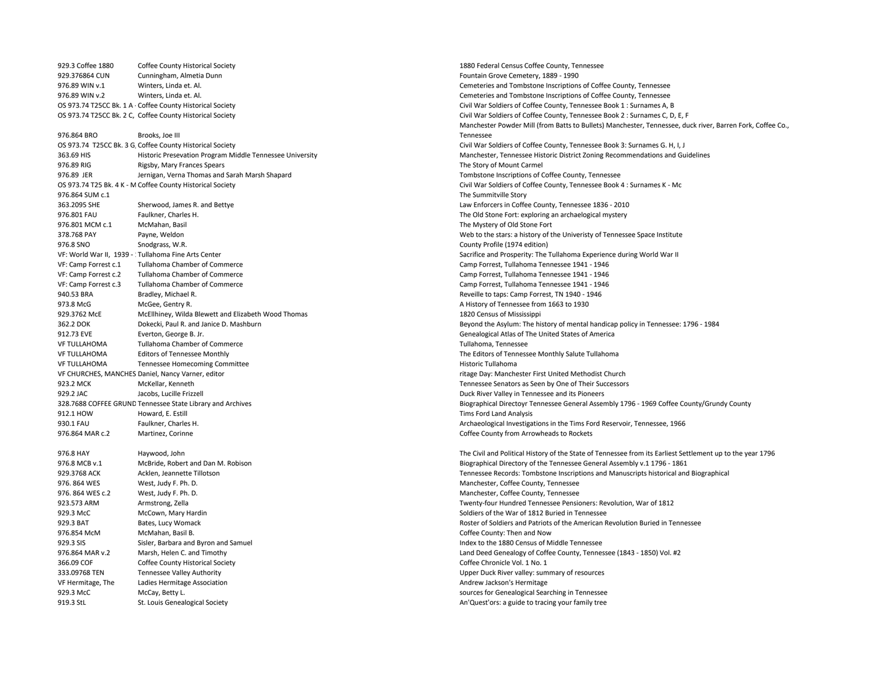929.3 Coffee 1880 Coffee County Historical Society 1880 Federal Census Coffee County, Tennessee<br>929.376864 CUN Cunningham, Almetia Dunn 1880 Federal Census County, Tennessee County, Tennessee County, Tennessee 929.376864 CUN Cunningham, Almetia Dunn Fountain Grove Cemetery, 1889 - 1990 976.89 WIN v.1 Winters, Linda et. Al. Cemeteries and Tombstone Inscriptions of Coffee County, Tennessee 976.89 WIN v.2 Winters, Linda et. Al. Cemeteries and Tombstone Inscriptions of Coffee County, Tennessee OS 973.74 T25CC Bk. 1 A - Coffee County Historical Society Civil War Soldiers of Coffee County, Tennessee Book 1 : Surnames A, B OS 973.74 T25CC Bk. 2 C. Coffee County Historical Society Civil War Soldiers of Coffee County, Tennessee Book 2 : Surnames C, D. E. F 976.864 BRO Brooks, Joe III OS 973.74 T25CC Bk. 3 G. Coffee County Historical Society Civil War Soldiers of Coffee County, Tennessee Book 3: Surnames G. H. I. J 976.89 RIG Rigsby, Mary Frances Spears The Story of Mount Carmel (1996) 89 RM and Carmel (1997) 89 RM and Carmel (1997) 89 RM and Carmel (1997) 89 RM and Carmel (1997) 89 RM and Carmel (1997) 89 RM and Carmel (1997) 89 RM 976.89 JER Jernigan, Verna Thomas and Sarah Marsh Shapard Tombstone Inscriptions of Coffee County, Tennessee OS 973.74 T25 Bk. 4 K - M Coffee County Historical Society Civil War Soldiers of Coffee County, Tennessee Book 4 : Surnames K - Mc 976.864 SUM c.1 The Summitville Story 363.2095 SHE Sherwood, James R. and Bettye Law Enforcers in Coffee County, Tennessee 1836 - 2010 976.801 FAU Faulkner, Charles H. The Old Stone Fort: exploring an archaelogical mystery 976.801 MCM c.1 McMahan, Basil McMahan, Basil The Mystery of Old Stone Fort 378.768 PAY Payne, Weldon Payne, Weldon Web to the stars: a history of the Univeristy of Tennessee Space Institute 976.8 SNO Snodgrass, W.R. County Profile (1974 edition) VF: World War II, 1939 - : Tullahoma Fine Arts Center Sacrifice and Prosperity: The Tullahoma Experience during World War II VF: Camp Forrest c.1 Tullahoma Chamber of Commerce Camp Forrest, Tullahoma Tennessee 1941 - 1946 VF: Camp Forrest, Tullahoma Chamber of Commerce Camp Forrest, Tullahoma Tennessee 1941 - 1946 VF: Camp Forrest c.3 Tullahoma Chamber of Commerce Camp Forrest, Tullahoma Tennessee 1941 - 1946 940.53 BRA Bradley, Michael R. Reveille to taps: Camp Forrest, TN 1940 - 1946 973.8 McGee, Gentry R. A History of Tennessee from 1663 to 1930 929.3762 McE McEllhiney. Wilda Blewett and Elizabeth Wood Thomas 1820 Census of Mississippi 912.73 EVE Everton, George B. Jr. Genealogical Atlas of The United States of America VF TULLAHOMA Tullahoma Chamber of Commerce Tullahoma, Tennessee VF TULLAHOMA Editors of Tennessee Monthly The Editors of Tennessee Monthly Salute Tullahoma VF TULLAHOMA Tennessee Homecoming Committee **Historic Tullahoma** Historic Tullahoma VF CHURCHES, MANCHES Daniel, Nancy Varner, editor ritage Day: Manchester First United Methodist Church 923.2 MCK McKellar, Kenneth McKellar, Annual McKellar, Kenneth Tennessee Senators as Seen by One of Their Successors 929.2 JAC Jacobs, Lucille Frizzell Duck River Valley in Tennessee and its Pioneers 912.1 HOW Howard, E. Estill Tims Ford Land Analysis 930.1 FAU Faulkner, Charles H. Archaeological Investigations in the Tims Ford Reservoir, Tennessee, 1966 976.864 MAR c.2 Martinez, Corinne Correspondent Correspondent Correspondent Correspondent Correspondent Correspondent Correspondent Correspondent Correspondent Correspondent Correspondent Correspondent Correspondent Corres 976.8 MCB v.1 McBride, Robert and Dan M. Robison Biographical Directory of the Tennessee General Assembly v.1 1796 - 1861 976. 864 WES West, Judy F. Ph. D. Manchester, Coffee County, Tennessee 976. 864 WES c.2 West, Judy F. Ph. D. West and D. Communication of the County of Tennessee County, Tennessee 923.573 ARM Armstrong, Zella **Armstrong, Zella Twenty-four Hundred Tennessee Pensioners: Revolution, War of 1812** 929.3 McC McCown, Mary Hardin Soldiers of the War of 1812 Buried in Tennessee 929.3 BAT Bates, Lucy Womack Bates, Lucy Womack Roster of Soldiers and Patriots of the American Revolution Buried in Tennessee 976.854 McM McMahan, Basil B. Coffee County: Then and Now 929.3 SIS Sisler, Barbara and Byron and Samuel Index to the 1880 Census of Middle Tennessee 976.864 MAR v.2 Marsh, Helen C. and Timothy Land Deed Genealogy of Coffee County, Tennessee (1843 - 1850) Vol. #2 366.09 COF Coffee County Historical Society Coffee Chronicle Vol. 1 No. 1 333.09768 TEN Tennessee Valley Authority Upper Duck River valley: summary of resources VF Hermitage, The Ladies Hermitage Association Andrew Jackson's Hermitage Association Andrew Jackson's Hermitage 929.3 McC McCay, Betty L. Sources for Genealogical Searching in Tennessee Searching in Tennessee 919.3 StL St. Louis Genealogical Society and St. Louis Genealogical Society Antarctic St. Louis Genealogical Society

Manchester Powder Mill (from Batts to Bullets) Manchester, Tennessee, duck river, Barren Fork, Coffee Co., Tennessee 363.69 HIS Historic Presevation Program Middle Tennessee University Manchester, Tennessee Historic District Zoning Recommendations and Guidelines 362.2 DOK Dokecki, Paul R. and Janice D. Mashburn Beyond the Asylum: The history of mental handicap policy in Tennessee: 1796 - 1984 328.7688 COFFEE GRUND Tennessee State Library and Archives Biographical Directoyr Tennessee General Assembly 1796 - 1969 Coffee County/Grundy County 976.8 HAY Haywood, John The Civil and Political History of the State of Tennessee from its Earliest Settlement up to the year 1796 929.3768 ACK Acklen, Jeannette Tillotson Tennessee Records: Tombstone Inscriptions and Manuscripts historical and Biographical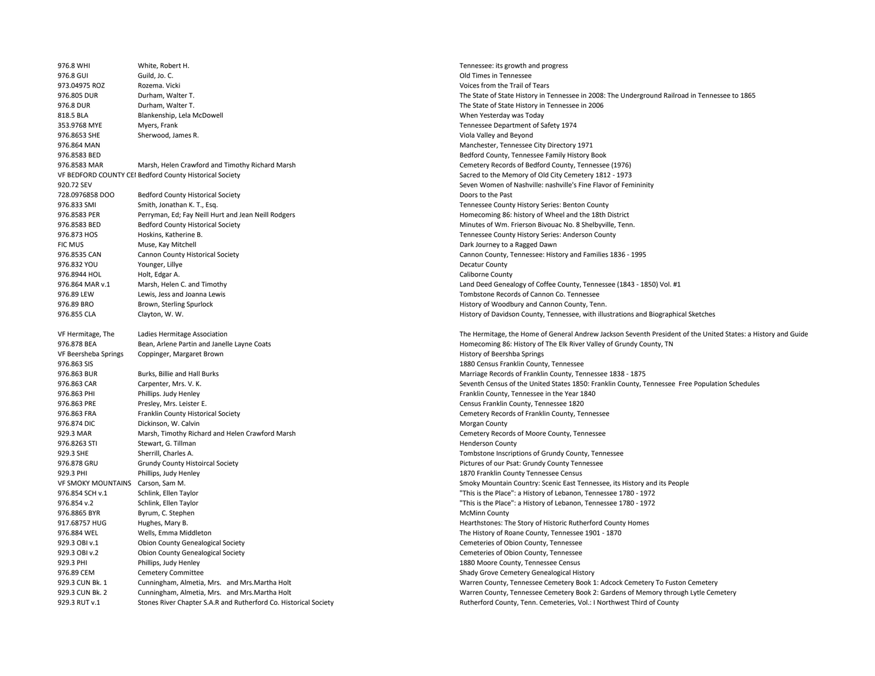| 976.8 WHI                                            | White, Robert H.                                                 | Tennessee: its gro                    |
|------------------------------------------------------|------------------------------------------------------------------|---------------------------------------|
| 976.8 GUI                                            | Guild, Jo. C.                                                    | Old Times in Tenr                     |
| 973.04975 ROZ                                        | Rozema. Vicki                                                    | Voices from the T                     |
| 976.805 DUR                                          | Durham, Walter T.                                                | The State of State                    |
| 976.8 DUR                                            | Durham, Walter T.                                                | The State of State                    |
| 818.5 BLA                                            | Blankenship, Lela McDowell                                       | When Yesterday                        |
| 353.9768 MYE                                         | Myers, Frank                                                     | <b>Tennessee Depar</b>                |
| 976.8653 SHE                                         | Sherwood, James R.                                               | Viola Valley and E                    |
| 976.864 MAN                                          |                                                                  | Manchester, Ten                       |
| 976.8583 BED                                         |                                                                  | Bedford County,                       |
| 976.8583 MAR                                         | Marsh, Helen Crawford and Timothy Richard Marsh                  | Cemetery Record                       |
|                                                      | VF BEDFORD COUNTY CEI Bedford County Historical Society          | Sacred to the Me                      |
| 920.72 SEV                                           |                                                                  | Seven Women of                        |
| 728.0976858 DOO                                      | <b>Bedford County Historical Society</b>                         | Doors to the Past                     |
| 976.833 SMI                                          | Smith, Jonathan K. T., Esq.                                      | <b>Tennessee Count</b>                |
| 976.8583 PER                                         | Perryman, Ed; Fay Neill Hurt and Jean Neill Rodgers              | Homecoming 86:                        |
| 976.8583 BED                                         | <b>Bedford County Historical Society</b>                         | Minutes of Wm. I                      |
| 976.873 HOS                                          | Hoskins, Katherine B.                                            | <b>Tennessee Count</b>                |
| <b>FIC MUS</b>                                       | Muse, Kay Mitchell                                               | Dark Journey to a                     |
| 976.8535 CAN                                         | Cannon County Historical Society                                 | Cannon County, 1                      |
| 976.832 YOU                                          | Younger, Lillye                                                  | Decatur County                        |
| 976.8944 HOL                                         | Holt, Edgar A.                                                   | Caliborne County                      |
| 976.864 MAR v.1                                      | Marsh, Helen C. and Timothy                                      | Land Deed Genea                       |
| 976.89 LEW                                           | Lewis, Jess and Joanna Lewis                                     | Tombstone Recor                       |
| 976.89 BRO                                           | Brown, Sterling Spurlock                                         | History of Woodb                      |
| 976.855 CLA                                          | Clayton, W. W.                                                   | History of Davids                     |
|                                                      |                                                                  |                                       |
| VF Hermitage, The                                    | Ladies Hermitage Association                                     | The Hermitage, tl                     |
| 976.878 BEA                                          | Bean, Arlene Partin and Janelle Layne Coats                      | Homecoming 86:                        |
| VF Beersheba Springs                                 | Coppinger, Margaret Brown                                        | History of Beersh                     |
| 976.863 SIS                                          |                                                                  | 1880 Census Frar                      |
| 976.863 BUR                                          | Burks, Billie and Hall Burks                                     | Marriage Records                      |
| 976.863 CAR                                          | Carpenter, Mrs. V. K.                                            | Seventh Census c                      |
| 976.863 PHI                                          | Phillips. Judy Henley                                            | Franklin County,                      |
| 976.863 PRE                                          | Presley, Mrs. Leister E.                                         | Census Franklin C                     |
| 976.863 FRA                                          | Franklin County Historical Society                               | Cemetery Record                       |
| 976.874 DIC                                          | Dickinson, W. Calvin                                             | Morgan County                         |
| 929.3 MAR                                            | Marsh, Timothy Richard and Helen Crawford Marsh                  | Cemetery Record                       |
| 976.8263 STI                                         | Stewart, G. Tillman                                              | <b>Henderson Count</b>                |
| 929.3 SHE                                            | Sherrill, Charles A.                                             | Tombstone Inscri                      |
| 976.878 GRU                                          |                                                                  | Pictures of our Ps                    |
| 929.3 PHI                                            | Grundy County Histoircal Society<br>Phillips, Judy Henley        | 1870 Franklin Cor                     |
|                                                      |                                                                  |                                       |
| VF SMOKY MOUNTAINS Carson, Sam M.<br>976.854 SCH v.1 |                                                                  | Smoky Mountain<br>"This is the Place" |
|                                                      | Schlink, Ellen Taylor                                            |                                       |
| 976.854 v.2                                          | Schlink, Ellen Taylor                                            | "This is the Place"                   |
| 976.8865 BYR                                         | Byrum, C. Stephen                                                | <b>McMinn County</b>                  |
| 917.68757 HUG                                        | Hughes, Mary B.                                                  | Hearthstones: Th                      |
| 976.884 WEL                                          | Wells, Emma Middleton                                            | The History of Ro                     |
| 929.3 OBI v.1                                        | Obion County Genealogical Society                                | Cemeteries of Ob                      |
| 929.3 OBI v.2                                        | <b>Obion County Genealogical Society</b>                         | Cemeteries of Ob                      |
| 929.3 PHI                                            | Phillips, Judy Henley                                            | 1880 Moore Cour                       |
| 976.89 CEM                                           | <b>Cemetery Committee</b>                                        | Shady Grove Cem                       |
| 929.3 CUN Bk. 1                                      | Cunningham, Almetia, Mrs. and Mrs. Martha Holt                   | Warren County, 1                      |
| 929.3 CUN Bk. 2                                      | Cunningham, Almetia, Mrs. and Mrs. Martha Holt                   | Warren County, 1                      |
| 929.3 RUT v.1                                        | Stones River Chapter S.A.R and Rutherford Co. Historical Society | <b>Rutherford Count</b>               |

Tennessee: its growth and progress Old Times in Tennessee Voices from the Trail of Tears The State of State History in Tennessee in 2008: The Underground Railroad in Tennessee to 1865 The State of State History in Tennessee in 2006 When Yesterday was Today Tennessee Department of Safety 1974 Viola Valley and Beyond Manchester, Tennessee City Directory 1971 Bedford County, Tennessee Family History Book Cemetery Records of Bedford County, Tennessee (1976) Sacred to the Memory of Old City Cemetery 1812 - 1973 Seven Women of Nashville: nashville's Fine Flavor of Femininity Tennessee County History Series: Benton County Homecoming 86: history of Wheel and the 18th District Minutes of Wm. Frierson Bivouac No. 8 Shelbyville, Tenn. Tennessee County History Series: Anderson County Dark Journey to a Ragged Dawn Cannon County, Tennessee: History and Families 1836 - 1995 Decatur County Caliborne County Land Deed Genealogy of Coffee County, Tennessee (1843 - 1850) Vol. #1 Tombstone Records of Cannon Co. Tennessee History of Woodbury and Cannon County, Tenn. History of Davidson County, Tennessee, with illustrations and Biographical Sketches The Hermitage, the Home of General Andrew Jackson Seventh President of the United States: a History and Guide Homecoming 86: History of The Elk River Valley of Grundy County, TN History of Beershba Springs 1880 Census Franklin County, Tennessee Marriage Records of Franklin County, Tennessee 1838 - 1875 Seventh Census of the United States 1850: Franklin County, Tennessee Free Population Schedules Franklin County, Tennessee in the Year 1840 Census Franklin County, Tennessee 1820

Cemetery Records of Franklin County, Tennessee Cemetery Records of Moore County, Tennessee Henderson County Tombstone Inscriptions of Grundy County, Tennessee Pictures of our Psat: Grundy County Tennessee 1870 Franklin County Tennessee Census Smoky Mountain Country: Scenic East Tennessee, its History and its People "This is the Place": a History of Lebanon, Tennessee 1780 - 1972 "This is the Place": a History of Lebanon, Tennessee 1780 - 1972 McMinn County Hearthstones: The Story of Historic Rutherford County Homes The History of Roane County, Tennessee 1901 - 1870 Cemeteries of Obion County, Tennessee Cemeteries of Obion County, Tennessee 1880 Moore County, Tennessee Census Shady Grove Cemetery Genealogical History Warren County, Tennessee Cemetery Book 1: Adcock Cemetery To Fuston Cemetery Warren County, Tennessee Cemetery Book 2: Gardens of Memory through Lytle Cemetery Rutherford County, Tenn. Cemeteries, Vol.: I Northwest Third of County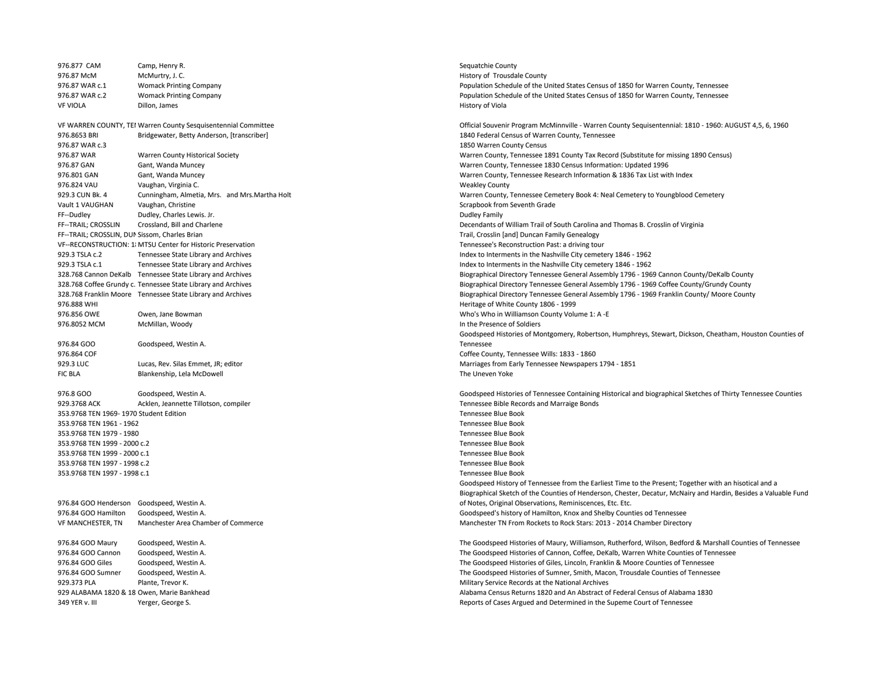976.877 CAM Camp, Henry R. Sequatchie County R. Sequatchie County Camp County R. Sequatchie County 976.87 McM McMurtry, J. C. C. Example 2011 12:00 12:00 McMurtry, J. C. Example 2011 12:00 McMurtry, J. C. Example 2011 12:00 McMurtry, J. C. Example 2011 12:00 McMurtry, J. C. Example 2011 12:00 McMurtry, J. C. Example 201 VF VIOLA Dillon, James History of Viola 976.8653 BRI Bridgewater, Betty Anderson, [transcriber] 1840 Federal Census of Warren County, Tennessee 976.87 WAR c.3 1850 Warren County Census 976.87 GAN Gant, Wanda Muncey Warren County, Tennessee 1830 Census Information: Updated 1996 976.824 VAU Vaughan, Virginia C. Weakley County Vault 1 VAUGHAN Vaughan, Christine Scrapbook from Seventh Grade FF--Dudley Dudley, Charles Lewis. Jr. 2008 and the state of the Suddey Family Dudley Family Dudley Family Decendants of the Suddey Family Decendants of the Suddey Family Decendants of the Suddey Family Decendants of the Su FF--TRAIL: CROSSLIN, DUNSissom, Charles Brian Trail, Crosslin [and] Duncan Family Genealogy VF--RECONSTRUCTION: 1: MTSU Center for Historic Preservation Tennessee's Reconstruction Past: a driving tour 929.3 TSLA c.2 Tennessee State Library and Archives Index to Interments in the Nashville City cemetery 1846 - 1962 929.3 TSLA c.1 Tennessee State Library and Archives Index to Interments in the Nashville City cemetery 1846 - 1962 976.888 WHI Heritage of White County 1806 - 1999 976.856 OWE Owen, Jane Bowman Who is a major state of the Same Who's Who in Williamson County Volume 1: A -E 976.8052 MCM McMillan, Woody **In the Presence of Soldiers** and McMillan, Woody **In the Presence of Soldiers** 976.84 GOO Goodspeed, Westin A. 976.864 COF Coffee County, Tennessee Wills: 1833 - 1860 929.3 LUC Lucas, Rev. Silas Emmet, JR; editor Marriages from Early Tennessee Newspapers 1794 - 1851 FIC BLA Blankenship, Lela McDowell **Example 2018** The Uneven Yoke 929.3768 ACK Acklen, Jeannette Tillotson, compiler Tennessee Bible Records and Marraige Bonds 353.9768 TEN 1969- 1970 Student Edition Tennessee Blue Book 353.9768 TEN 1961 - 1962 Tennessee Blue Book 353.9768 TEN 1979 - 1980 Tennessee Blue Book 353.9768 TEN 1999 - 2000 c.2 Tennessee Blue Book 353.9768 TEN 1999 - 2000 c.1 Tennessee Blue Book 353.9768 TEN 1997 - 1998 c.2 Tennessee Blue Book 353.9768 TEN 1997 - 1998 c.1 Tennessee Blue Book 976.84 GOO Henderson Goodspeed, Westin A. 929.373 PLA Plante, Trevor K. Plante, Trevor K. Service Records at the National Archives 349 YER v. III Yerger, George S. Neglection of Cases Argued and Determined in the Supeme Court of Tennessee

976.87 WAR c.1 Womack Printing Company Population Schedule of the United States Census of 1850 for Warren County, Tennessee 976.87 WAR c.2 Womack Printing Company Population Schedule of the United States Census of 1850 for Warren County, Tennessee VF WARREN COUNTY, TENWarren County Sesquisentennial Committee Official Souvenir Program McMinnville - Warren County Sequisentennial: 1810 - 1960: AUGUST 4,5, 6, 1960 976.87 WAR Warren County Historical Society Warren County, Tennessee 1891 County Tax Record (Substitute for missing 1890 Census) 976.801 GAN Gant, Wanda Muncey Warren County, Tennessee Research Information & 1836 Tax List with Index 929.3 CUN Bk. 4 Cunningham, Almetia, Mrs. and Mrs.Martha Holt Warren County, Tennessee Cemetery Book 4: Neal Cemetery to Youngblood Cemetery Crossland, Bill and Charlene **Decendants of William Trail of South Carolina and Thomas B. Crosslin of Virginia** 328.768 Cannon DeKalb Tennessee State Library and Archives Biographical Directory Tennessee General Assembly 1796 - 1969 Cannon County/DeKalb County 328.768 Coffee Grundy c. Tennessee State Library and Archives examples and the state and archives and archives and the state Library and Archives and the state Directory Tennessee General Assembly 1796 - 1969 Coffee County 328.768 Franklin Moore Tennessee State Library and Archives Biographical Directory Tennessee General Assembly 1796 - 1969 Franklin County/ Moore County Goodspeed Histories of Montgomery, Robertson, Humphreys, Stewart, Dickson, Cheatham, Houston Counties of Tennessee 976.8 GOO Goodspeed, Westin A. Goodspeed Histories of Tennessee Containing Historical and biographical Sketches of Thirty Tennessee Counties Goodspeed History of Tennessee from the Earliest Time to the Present; Together with an hisotical and a Biographical Sketch of the Counties of Henderson, Chester, Decatur, McNairy and Hardin, Besides a Valuable Fund of Notes, Original Observations, Reminiscences, Etc. Etc. 976.84 GOO Hamilton Goodspeed, Westin A. Goodspeed's history of Hamilton, Knox and Shelby Counties od Tennessee VF MANCHESTER, TN Manchester Area Chamber of Commerce Manchester TN From Rockets to Rock Stars: 2013 - 2014 Chamber Directory 976.84 GOO Maury Goodspeed, Westin A. The Goodspeed Histories of Maury, Williamson, Rutherford, Wilson, Bedford & Marshall Counties of Tennessee 976.84 GOO Cannon Goodspeed, Westin A. The Goodspeed Histories of Cannon, Coffee, DeKalb, Warren White Counties of Tennessee 976.84 GOO Giles Goodspeed, Westin A. The Goodspeed Histories of Giles, Lincoln, Franklin & Moore Counties of Tennessee 976.84 GOO Sumner Goodspeed, Westin A. The Goodspeed Histories of Sumner, Smith, Macon, Trousdale Counties of Tennessee 929 ALABAMA 1820 & 18 Owen, Marie Bankhead Alabama Census Returns 1820 and An Abstract of Federal Census of Alabama 1830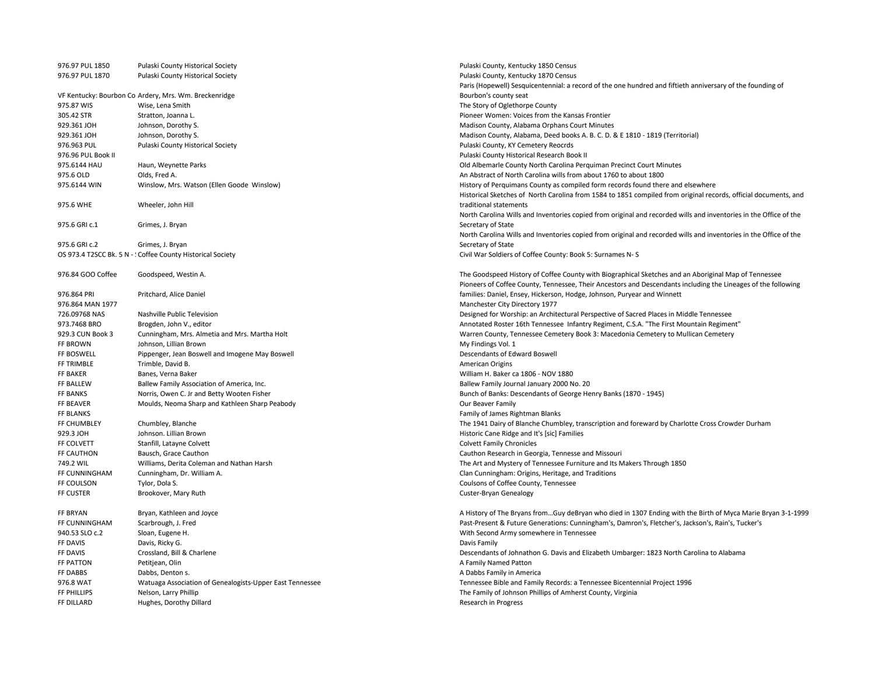| 976.97 PUL 1850    | Pulaski County Historical Society                           | Pulaski County, Kentucky 1850 Census                                                                              |
|--------------------|-------------------------------------------------------------|-------------------------------------------------------------------------------------------------------------------|
| 976.97 PUL 1870    | Pulaski County Historical Society                           | Pulaski County, Kentucky 1870 Census                                                                              |
|                    |                                                             | Paris (Hopewell) Sesquicentennial: a record of the one hundred and fiftieth anniversary of the founding of        |
|                    | VF Kentucky: Bourbon Co Ardery, Mrs. Wm. Breckenridge       | Bourbon's county seat                                                                                             |
| 975.87 WIS         | Wise, Lena Smith                                            | The Story of Oglethorpe County                                                                                    |
| 305.42 STR         | Stratton, Joanna L.                                         | Pioneer Women: Voices from the Kansas Frontier                                                                    |
| 929.361 JOH        | Johnson, Dorothy S.                                         | Madison County, Alabama Orphans Court Minutes                                                                     |
| 929.361 JOH        | Johnson, Dorothy S.                                         | Madison County, Alabama, Deed books A. B. C. D. & E 1810 - 1819 (Territorial)                                     |
| 976.963 PUL        | Pulaski County Historical Society                           | Pulaski County, KY Cemetery Reocrds                                                                               |
| 976.96 PUL Book II |                                                             | Pulaski County Historical Research Book II                                                                        |
| 975.6144 HAU       | Haun, Weynette Parks                                        | Old Albemarle County North Carolina Perguiman Precinct Court Minutes                                              |
| 975.6 OLD          | Olds, Fred A.                                               | An Abstract of North Carolina wills from about 1760 to about 1800                                                 |
| 975.6144 WIN       | Winslow, Mrs. Watson (Ellen Goode Winslow)                  | History of Perquimans County as compiled form records found there and elsewhere                                   |
|                    |                                                             | Historical Sketches of North Carolina from 1584 to 1851 compiled from original records, official documents, and   |
| 975.6 WHE          | Wheeler, John Hill                                          | traditional statements                                                                                            |
|                    |                                                             | North Carolina Wills and Inventories copied from original and recorded wills and inventories in the Office of the |
| 975.6 GRI c.1      | Grimes, J. Bryan                                            | Secretary of State                                                                                                |
|                    |                                                             | North Carolina Wills and Inventories copied from original and recorded wills and inventories in the Office of the |
| 975.6 GRI c.2      | Grimes, J. Bryan                                            | Secretary of State                                                                                                |
|                    | OS 973.4 T2SCC Bk. 5 N - : Coffee County Historical Society | Civil War Soldiers of Coffee County: Book 5: Surnames N-S                                                         |
|                    |                                                             |                                                                                                                   |
| 976.84 GOO Coffee  | Goodspeed, Westin A.                                        | The Goodspeed History of Coffee County with Biographical Sketches and an Aboriginal Map of Tennessee              |
|                    |                                                             | Pioneers of Coffee County, Tennessee, Their Ancestors and Descendants including the Lineages of the following     |
| 976.864 PRI        | Pritchard, Alice Daniel                                     | families: Daniel, Ensey, Hickerson, Hodge, Johnson, Puryear and Winnett                                           |
| 976.864 MAN 1977   |                                                             | Manchester City Directory 1977                                                                                    |
| 726.09768 NAS      | Nashville Public Television                                 | Designed for Worship: an Architectural Perspective of Sacred Places in Middle Tennessee                           |
| 973.7468 BRO       | Brogden, John V., editor                                    | Annotated Roster 16th Tennessee Infantry Regiment, C.S.A. "The First Mountain Regiment"                           |
| 929.3 CUN Book 3   | Cunningham, Mrs. Almetia and Mrs. Martha Holt               | Warren County, Tennessee Cemetery Book 3: Macedonia Cemetery to Mullican Cemetery                                 |
| FF BROWN           | Johnson, Lillian Brown                                      | My Findings Vol. 1                                                                                                |
| FF BOSWELL         | Pippenger, Jean Boswell and Imogene May Boswell             | Descendants of Edward Boswell                                                                                     |
| FF TRIMBLE         | Trimble, David B.                                           | American Origins                                                                                                  |
| <b>FF BAKER</b>    | Banes, Verna Baker                                          | William H. Baker ca 1806 - NOV 1880                                                                               |
| FF BALLEW          | Ballew Family Association of America, Inc.                  | Ballew Family Journal January 2000 No. 20                                                                         |
| FF BANKS           | Norris, Owen C. Jr and Betty Wooten Fisher                  | Bunch of Banks: Descendants of George Henry Banks (1870 - 1945)                                                   |
| FF BEAVER          | Moulds, Neoma Sharp and Kathleen Sharp Peabody              | Our Beaver Family                                                                                                 |
| FF BLANKS          |                                                             | Family of James Rightman Blanks                                                                                   |
| FF CHUMBLEY        | Chumbley, Blanche                                           | The 1941 Dairy of Blanche Chumbley, transcription and foreward by Charlotte Cross Crowder Durham                  |
| 929.3 JOH          |                                                             |                                                                                                                   |
| FF COLVETT         | Johnson. Lillian Brown                                      | Historic Cane Ridge and It's [sic] Families                                                                       |
| FF CAUTHON         | Stanfill, Latayne Colvett<br>Bausch, Grace Cauthon          | <b>Colvett Family Chronicles</b>                                                                                  |
|                    |                                                             | Cauthon Research in Georgia, Tennesse and Missouri                                                                |
| 749.2 WIL          | Williams, Derita Coleman and Nathan Harsh                   | The Art and Mystery of Tennessee Furniture and Its Makers Through 1850                                            |
| FF CUNNINGHAM      | Cunningham, Dr. William A.                                  | Clan Cunningham: Origins, Heritage, and Traditions                                                                |
| FF COULSON         | Tylor, Dola S.                                              | Coulsons of Coffee County, Tennessee                                                                              |
| FF CUSTER          | Brookover, Mary Ruth                                        | Custer-Bryan Genealogy                                                                                            |
|                    |                                                             |                                                                                                                   |
| FF BRYAN           | Bryan, Kathleen and Joyce                                   | A History of The Bryans fromGuy deBryan who died in 1307 Ending with the Birth of Myca Marie Bryan 3-1-1999       |
| FF CUNNINGHAM      | Scarbrough, J. Fred                                         | Past-Present & Future Generations: Cunningham's, Damron's, Fletcher's, Jackson's, Rain's, Tucker's                |
| 940.53 SLO c.2     | Sloan, Eugene H.                                            | With Second Army somewhere in Tennessee                                                                           |
| FF DAVIS           | Davis, Ricky G.                                             | Davis Family                                                                                                      |
| FF DAVIS           | Crossland, Bill & Charlene                                  | Descendants of Johnathon G. Davis and Elizabeth Umbarger: 1823 North Carolina to Alabama                          |
| FF PATTON          | Petitjean, Olin                                             | A Family Named Patton                                                                                             |
| FF DABBS           | Dabbs, Denton s.                                            | A Dabbs Family in America                                                                                         |
| 976.8 WAT          | Watuaga Association of Genealogists-Upper East Tennessee    | Tennessee Bible and Family Records: a Tennessee Bicentennial Project 1996                                         |
| FF PHILLIPS        | Nelson, Larry Phillip                                       | The Family of Johnson Phillips of Amherst County, Virginia                                                        |
| FF DILLARD         | Hughes, Dorothy Dillard                                     | Research in Progress                                                                                              |
|                    |                                                             |                                                                                                                   |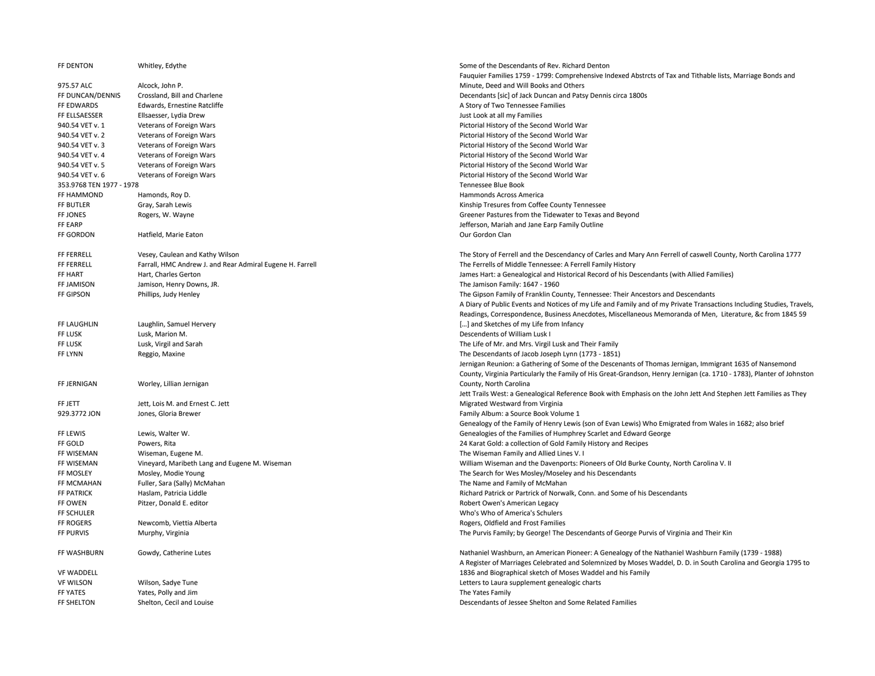| Fauquier Families 1759 - 1799: Comprehensive Indexed Abstrcts of Tax and Tithable lists, Marriage Bonds and<br>Alcock, John P.<br>Minute, Deed and Will Books and Others<br>Crossland, Bill and Charlene<br>Decendants [sic] of Jack Duncan and Patsy Dennis circa 1800s<br>FF EDWARDS<br>Edwards, Ernestine Ratcliffe<br>A Story of Two Tennessee Families<br>FF ELLSAESSER<br>Ellsaesser, Lydia Drew<br>Just Look at all my Families<br>940.54 VET v. 1<br>Pictorial History of the Second World War<br>Veterans of Foreign Wars<br>940.54 VET v. 2<br>Veterans of Foreign Wars<br>Pictorial History of the Second World War<br>940.54 VET v. 3<br>Veterans of Foreign Wars<br>Pictorial History of the Second World War<br>940.54 VET v. 4<br>Veterans of Foreign Wars<br>Pictorial History of the Second World War<br>940.54 VET v. 5<br>Veterans of Foreign Wars<br>Pictorial History of the Second World War<br>940.54 VET v. 6<br>Veterans of Foreign Wars<br>Pictorial History of the Second World War<br>353.9768 TEN 1977 - 1978<br>Tennessee Blue Book<br>FF HAMMOND<br>Hamonds, Roy D.<br>Hammonds Across America<br>FF BUTLER<br>Gray, Sarah Lewis<br>Kinship Tresures from Coffee County Tennessee<br>FF JONES<br>Rogers, W. Wayne<br>Greener Pastures from the Tidewater to Texas and Beyond<br>FF EARP<br>Jefferson, Mariah and Jane Earp Family Outline<br>FF GORDON<br>Hatfield, Marie Eaton<br>Our Gordon Clan<br>Vesey, Caulean and Kathy Wilson<br>The Story of Ferrell and the Descendancy of Carles and Mary Ann Ferrell of caswell County, North Carolina 1777<br>Farrall, HMC Andrew J. and Rear Admiral Eugene H. Farrell<br>The Ferrells of Middle Tennessee: A Ferrell Family History<br>Hart, Charles Gerton<br>James Hart: a Genealogical and Historical Record of his Descendants (with Allied Families)<br>Jamison, Henry Downs, JR.<br>The Jamison Family: 1647 - 1960<br>Phillips, Judy Henley<br>The Gipson Family of Franklin County, Tennessee: Their Ancestors and Descendants<br>A Diary of Public Events and Notices of my Life and Family and of my Private Transactions Including Studies, Travels,<br>Readings, Correspondence, Business Anecdotes, Miscellaneous Memoranda of Men, Literature, &c from 1845 59<br>Laughlin, Samuel Hervery<br>[] and Sketches of my Life from Infancy<br>FF LUSK<br>Lusk, Marion M.<br>Descendents of William Lusk I<br>Lusk, Virgil and Sarah<br>The Life of Mr. and Mrs. Virgil Lusk and Their Family<br>Reggio, Maxine<br>The Descendants of Jacob Joseph Lynn (1773 - 1851)<br>Jernigan Reunion: a Gathering of Some of the Descenants of Thomas Jernigan, Immigrant 1635 of Nansemond<br>County, Virginia Particularly the Family of His Great-Grandson, Henry Jernigan (ca. 1710 - 1783), Planter of Johnston<br>Worley, Lillian Jernigan<br>FF JERNIGAN<br>County, North Carolina<br>Jett Trails West: a Genealogical Reference Book with Emphasis on the John Jett And Stephen Jett Families as They<br>Jett, Lois M. and Ernest C. Jett<br>Migrated Westward from Virginia<br>Jones, Gloria Brewer<br>Family Album: a Source Book Volume 1<br>Genealogy of the Family of Henry Lewis (son of Evan Lewis) Who Emigrated from Wales in 1682; also brief<br>FF LEWIS<br>Lewis, Walter W.<br>Genealogies of the Families of Humphrey Scarlet and Edward George<br>Powers, Rita<br>24 Karat Gold: a collection of Gold Family History and Recipes<br>Wiseman, Eugene M.<br>The Wiseman Family and Allied Lines V. I<br>Vineyard, Maribeth Lang and Eugene M. Wiseman<br>William Wiseman and the Davenports: Pioneers of Old Burke County, North Carolina V. II<br>FF MOSLEY<br>Mosley, Modie Young<br>The Search for Wes Mosley/Moseley and his Descendants<br>FF MCMAHAN<br>Fuller, Sara (Sally) McMahan<br>The Name and Family of McMahan<br>FF PATRICK<br>Haslam, Patricia Liddle<br>Richard Patrick or Partrick of Norwalk, Conn. and Some of his Descendants<br>FF OWEN<br>Pitzer, Donald E. editor<br>Robert Owen's American Legacy<br>FF SCHULER<br>Who's Who of America's Schulers<br>FF ROGERS<br>Newcomb, Viettia Alberta<br>Rogers, Oldfield and Frost Families<br>FF PURVIS<br>Murphy, Virginia<br>The Purvis Family; by George! The Descendants of George Purvis of Virginia and Their Kin<br>Nathaniel Washburn, an American Pioneer: A Genealogy of the Nathaniel Washburn Family (1739 - 1988)<br>Gowdy, Catherine Lutes<br>A Register of Marriages Celebrated and Solemnized by Moses Waddel, D. D. in South Carolina and Georgia 1795 to<br>1836 and Biographical sketch of Moses Waddel and his Family<br>Wilson, Sadye Tune<br>Letters to Laura supplement genealogic charts<br>Yates, Polly and Jim<br>The Yates Family<br>Shelton, Cecil and Louise<br>Descendants of Jessee Shelton and Some Related Families | FF DENTON         | Whitley, Edythe | Some of the Descendants of Rev. Richard Denton |
|----------------------------------------------------------------------------------------------------------------------------------------------------------------------------------------------------------------------------------------------------------------------------------------------------------------------------------------------------------------------------------------------------------------------------------------------------------------------------------------------------------------------------------------------------------------------------------------------------------------------------------------------------------------------------------------------------------------------------------------------------------------------------------------------------------------------------------------------------------------------------------------------------------------------------------------------------------------------------------------------------------------------------------------------------------------------------------------------------------------------------------------------------------------------------------------------------------------------------------------------------------------------------------------------------------------------------------------------------------------------------------------------------------------------------------------------------------------------------------------------------------------------------------------------------------------------------------------------------------------------------------------------------------------------------------------------------------------------------------------------------------------------------------------------------------------------------------------------------------------------------------------------------------------------------------------------------------------------------------------------------------------------------------------------------------------------------------------------------------------------------------------------------------------------------------------------------------------------------------------------------------------------------------------------------------------------------------------------------------------------------------------------------------------------------------------------------------------------------------------------------------------------------------------------------------------------------------------------------------------------------------------------------------------------------------------------------------------------------------------------------------------------------------------------------------------------------------------------------------------------------------------------------------------------------------------------------------------------------------------------------------------------------------------------------------------------------------------------------------------------------------------------------------------------------------------------------------------------------------------------------------------------------------------------------------------------------------------------------------------------------------------------------------------------------------------------------------------------------------------------------------------------------------------------------------------------------------------------------------------------------------------------------------------------------------------------------------------------------------------------------------------------------------------------------------------------------------------------------------------------------------------------------------------------------------------------------------------------------------------------------------------------------------------------------------------------------------------------------------------------------------------------------------------------------------------------------------------------------------------------------------------------------------------------------------------------------------------------------------------------------------------------------------------------------------------------------------------------------------------------------------------------------------------------------------------------------------------------------------------------------------------------------------------------------------------------------------------------------------------------------------------------------------------------------------------------|-------------------|-----------------|------------------------------------------------|
|                                                                                                                                                                                                                                                                                                                                                                                                                                                                                                                                                                                                                                                                                                                                                                                                                                                                                                                                                                                                                                                                                                                                                                                                                                                                                                                                                                                                                                                                                                                                                                                                                                                                                                                                                                                                                                                                                                                                                                                                                                                                                                                                                                                                                                                                                                                                                                                                                                                                                                                                                                                                                                                                                                                                                                                                                                                                                                                                                                                                                                                                                                                                                                                                                                                                                                                                                                                                                                                                                                                                                                                                                                                                                                                                                                                                                                                                                                                                                                                                                                                                                                                                                                                                                                                                                                                                                                                                                                                                                                                                                                                                                                                                                                                                                                                                                      |                   |                 |                                                |
|                                                                                                                                                                                                                                                                                                                                                                                                                                                                                                                                                                                                                                                                                                                                                                                                                                                                                                                                                                                                                                                                                                                                                                                                                                                                                                                                                                                                                                                                                                                                                                                                                                                                                                                                                                                                                                                                                                                                                                                                                                                                                                                                                                                                                                                                                                                                                                                                                                                                                                                                                                                                                                                                                                                                                                                                                                                                                                                                                                                                                                                                                                                                                                                                                                                                                                                                                                                                                                                                                                                                                                                                                                                                                                                                                                                                                                                                                                                                                                                                                                                                                                                                                                                                                                                                                                                                                                                                                                                                                                                                                                                                                                                                                                                                                                                                                      | 975.57 ALC        |                 |                                                |
|                                                                                                                                                                                                                                                                                                                                                                                                                                                                                                                                                                                                                                                                                                                                                                                                                                                                                                                                                                                                                                                                                                                                                                                                                                                                                                                                                                                                                                                                                                                                                                                                                                                                                                                                                                                                                                                                                                                                                                                                                                                                                                                                                                                                                                                                                                                                                                                                                                                                                                                                                                                                                                                                                                                                                                                                                                                                                                                                                                                                                                                                                                                                                                                                                                                                                                                                                                                                                                                                                                                                                                                                                                                                                                                                                                                                                                                                                                                                                                                                                                                                                                                                                                                                                                                                                                                                                                                                                                                                                                                                                                                                                                                                                                                                                                                                                      | FF DUNCAN/DENNIS  |                 |                                                |
|                                                                                                                                                                                                                                                                                                                                                                                                                                                                                                                                                                                                                                                                                                                                                                                                                                                                                                                                                                                                                                                                                                                                                                                                                                                                                                                                                                                                                                                                                                                                                                                                                                                                                                                                                                                                                                                                                                                                                                                                                                                                                                                                                                                                                                                                                                                                                                                                                                                                                                                                                                                                                                                                                                                                                                                                                                                                                                                                                                                                                                                                                                                                                                                                                                                                                                                                                                                                                                                                                                                                                                                                                                                                                                                                                                                                                                                                                                                                                                                                                                                                                                                                                                                                                                                                                                                                                                                                                                                                                                                                                                                                                                                                                                                                                                                                                      |                   |                 |                                                |
|                                                                                                                                                                                                                                                                                                                                                                                                                                                                                                                                                                                                                                                                                                                                                                                                                                                                                                                                                                                                                                                                                                                                                                                                                                                                                                                                                                                                                                                                                                                                                                                                                                                                                                                                                                                                                                                                                                                                                                                                                                                                                                                                                                                                                                                                                                                                                                                                                                                                                                                                                                                                                                                                                                                                                                                                                                                                                                                                                                                                                                                                                                                                                                                                                                                                                                                                                                                                                                                                                                                                                                                                                                                                                                                                                                                                                                                                                                                                                                                                                                                                                                                                                                                                                                                                                                                                                                                                                                                                                                                                                                                                                                                                                                                                                                                                                      |                   |                 |                                                |
|                                                                                                                                                                                                                                                                                                                                                                                                                                                                                                                                                                                                                                                                                                                                                                                                                                                                                                                                                                                                                                                                                                                                                                                                                                                                                                                                                                                                                                                                                                                                                                                                                                                                                                                                                                                                                                                                                                                                                                                                                                                                                                                                                                                                                                                                                                                                                                                                                                                                                                                                                                                                                                                                                                                                                                                                                                                                                                                                                                                                                                                                                                                                                                                                                                                                                                                                                                                                                                                                                                                                                                                                                                                                                                                                                                                                                                                                                                                                                                                                                                                                                                                                                                                                                                                                                                                                                                                                                                                                                                                                                                                                                                                                                                                                                                                                                      |                   |                 |                                                |
|                                                                                                                                                                                                                                                                                                                                                                                                                                                                                                                                                                                                                                                                                                                                                                                                                                                                                                                                                                                                                                                                                                                                                                                                                                                                                                                                                                                                                                                                                                                                                                                                                                                                                                                                                                                                                                                                                                                                                                                                                                                                                                                                                                                                                                                                                                                                                                                                                                                                                                                                                                                                                                                                                                                                                                                                                                                                                                                                                                                                                                                                                                                                                                                                                                                                                                                                                                                                                                                                                                                                                                                                                                                                                                                                                                                                                                                                                                                                                                                                                                                                                                                                                                                                                                                                                                                                                                                                                                                                                                                                                                                                                                                                                                                                                                                                                      |                   |                 |                                                |
|                                                                                                                                                                                                                                                                                                                                                                                                                                                                                                                                                                                                                                                                                                                                                                                                                                                                                                                                                                                                                                                                                                                                                                                                                                                                                                                                                                                                                                                                                                                                                                                                                                                                                                                                                                                                                                                                                                                                                                                                                                                                                                                                                                                                                                                                                                                                                                                                                                                                                                                                                                                                                                                                                                                                                                                                                                                                                                                                                                                                                                                                                                                                                                                                                                                                                                                                                                                                                                                                                                                                                                                                                                                                                                                                                                                                                                                                                                                                                                                                                                                                                                                                                                                                                                                                                                                                                                                                                                                                                                                                                                                                                                                                                                                                                                                                                      |                   |                 |                                                |
|                                                                                                                                                                                                                                                                                                                                                                                                                                                                                                                                                                                                                                                                                                                                                                                                                                                                                                                                                                                                                                                                                                                                                                                                                                                                                                                                                                                                                                                                                                                                                                                                                                                                                                                                                                                                                                                                                                                                                                                                                                                                                                                                                                                                                                                                                                                                                                                                                                                                                                                                                                                                                                                                                                                                                                                                                                                                                                                                                                                                                                                                                                                                                                                                                                                                                                                                                                                                                                                                                                                                                                                                                                                                                                                                                                                                                                                                                                                                                                                                                                                                                                                                                                                                                                                                                                                                                                                                                                                                                                                                                                                                                                                                                                                                                                                                                      |                   |                 |                                                |
|                                                                                                                                                                                                                                                                                                                                                                                                                                                                                                                                                                                                                                                                                                                                                                                                                                                                                                                                                                                                                                                                                                                                                                                                                                                                                                                                                                                                                                                                                                                                                                                                                                                                                                                                                                                                                                                                                                                                                                                                                                                                                                                                                                                                                                                                                                                                                                                                                                                                                                                                                                                                                                                                                                                                                                                                                                                                                                                                                                                                                                                                                                                                                                                                                                                                                                                                                                                                                                                                                                                                                                                                                                                                                                                                                                                                                                                                                                                                                                                                                                                                                                                                                                                                                                                                                                                                                                                                                                                                                                                                                                                                                                                                                                                                                                                                                      |                   |                 |                                                |
|                                                                                                                                                                                                                                                                                                                                                                                                                                                                                                                                                                                                                                                                                                                                                                                                                                                                                                                                                                                                                                                                                                                                                                                                                                                                                                                                                                                                                                                                                                                                                                                                                                                                                                                                                                                                                                                                                                                                                                                                                                                                                                                                                                                                                                                                                                                                                                                                                                                                                                                                                                                                                                                                                                                                                                                                                                                                                                                                                                                                                                                                                                                                                                                                                                                                                                                                                                                                                                                                                                                                                                                                                                                                                                                                                                                                                                                                                                                                                                                                                                                                                                                                                                                                                                                                                                                                                                                                                                                                                                                                                                                                                                                                                                                                                                                                                      |                   |                 |                                                |
|                                                                                                                                                                                                                                                                                                                                                                                                                                                                                                                                                                                                                                                                                                                                                                                                                                                                                                                                                                                                                                                                                                                                                                                                                                                                                                                                                                                                                                                                                                                                                                                                                                                                                                                                                                                                                                                                                                                                                                                                                                                                                                                                                                                                                                                                                                                                                                                                                                                                                                                                                                                                                                                                                                                                                                                                                                                                                                                                                                                                                                                                                                                                                                                                                                                                                                                                                                                                                                                                                                                                                                                                                                                                                                                                                                                                                                                                                                                                                                                                                                                                                                                                                                                                                                                                                                                                                                                                                                                                                                                                                                                                                                                                                                                                                                                                                      |                   |                 |                                                |
|                                                                                                                                                                                                                                                                                                                                                                                                                                                                                                                                                                                                                                                                                                                                                                                                                                                                                                                                                                                                                                                                                                                                                                                                                                                                                                                                                                                                                                                                                                                                                                                                                                                                                                                                                                                                                                                                                                                                                                                                                                                                                                                                                                                                                                                                                                                                                                                                                                                                                                                                                                                                                                                                                                                                                                                                                                                                                                                                                                                                                                                                                                                                                                                                                                                                                                                                                                                                                                                                                                                                                                                                                                                                                                                                                                                                                                                                                                                                                                                                                                                                                                                                                                                                                                                                                                                                                                                                                                                                                                                                                                                                                                                                                                                                                                                                                      |                   |                 |                                                |
|                                                                                                                                                                                                                                                                                                                                                                                                                                                                                                                                                                                                                                                                                                                                                                                                                                                                                                                                                                                                                                                                                                                                                                                                                                                                                                                                                                                                                                                                                                                                                                                                                                                                                                                                                                                                                                                                                                                                                                                                                                                                                                                                                                                                                                                                                                                                                                                                                                                                                                                                                                                                                                                                                                                                                                                                                                                                                                                                                                                                                                                                                                                                                                                                                                                                                                                                                                                                                                                                                                                                                                                                                                                                                                                                                                                                                                                                                                                                                                                                                                                                                                                                                                                                                                                                                                                                                                                                                                                                                                                                                                                                                                                                                                                                                                                                                      |                   |                 |                                                |
|                                                                                                                                                                                                                                                                                                                                                                                                                                                                                                                                                                                                                                                                                                                                                                                                                                                                                                                                                                                                                                                                                                                                                                                                                                                                                                                                                                                                                                                                                                                                                                                                                                                                                                                                                                                                                                                                                                                                                                                                                                                                                                                                                                                                                                                                                                                                                                                                                                                                                                                                                                                                                                                                                                                                                                                                                                                                                                                                                                                                                                                                                                                                                                                                                                                                                                                                                                                                                                                                                                                                                                                                                                                                                                                                                                                                                                                                                                                                                                                                                                                                                                                                                                                                                                                                                                                                                                                                                                                                                                                                                                                                                                                                                                                                                                                                                      |                   |                 |                                                |
|                                                                                                                                                                                                                                                                                                                                                                                                                                                                                                                                                                                                                                                                                                                                                                                                                                                                                                                                                                                                                                                                                                                                                                                                                                                                                                                                                                                                                                                                                                                                                                                                                                                                                                                                                                                                                                                                                                                                                                                                                                                                                                                                                                                                                                                                                                                                                                                                                                                                                                                                                                                                                                                                                                                                                                                                                                                                                                                                                                                                                                                                                                                                                                                                                                                                                                                                                                                                                                                                                                                                                                                                                                                                                                                                                                                                                                                                                                                                                                                                                                                                                                                                                                                                                                                                                                                                                                                                                                                                                                                                                                                                                                                                                                                                                                                                                      |                   |                 |                                                |
|                                                                                                                                                                                                                                                                                                                                                                                                                                                                                                                                                                                                                                                                                                                                                                                                                                                                                                                                                                                                                                                                                                                                                                                                                                                                                                                                                                                                                                                                                                                                                                                                                                                                                                                                                                                                                                                                                                                                                                                                                                                                                                                                                                                                                                                                                                                                                                                                                                                                                                                                                                                                                                                                                                                                                                                                                                                                                                                                                                                                                                                                                                                                                                                                                                                                                                                                                                                                                                                                                                                                                                                                                                                                                                                                                                                                                                                                                                                                                                                                                                                                                                                                                                                                                                                                                                                                                                                                                                                                                                                                                                                                                                                                                                                                                                                                                      |                   |                 |                                                |
|                                                                                                                                                                                                                                                                                                                                                                                                                                                                                                                                                                                                                                                                                                                                                                                                                                                                                                                                                                                                                                                                                                                                                                                                                                                                                                                                                                                                                                                                                                                                                                                                                                                                                                                                                                                                                                                                                                                                                                                                                                                                                                                                                                                                                                                                                                                                                                                                                                                                                                                                                                                                                                                                                                                                                                                                                                                                                                                                                                                                                                                                                                                                                                                                                                                                                                                                                                                                                                                                                                                                                                                                                                                                                                                                                                                                                                                                                                                                                                                                                                                                                                                                                                                                                                                                                                                                                                                                                                                                                                                                                                                                                                                                                                                                                                                                                      | FF FERRELL        |                 |                                                |
|                                                                                                                                                                                                                                                                                                                                                                                                                                                                                                                                                                                                                                                                                                                                                                                                                                                                                                                                                                                                                                                                                                                                                                                                                                                                                                                                                                                                                                                                                                                                                                                                                                                                                                                                                                                                                                                                                                                                                                                                                                                                                                                                                                                                                                                                                                                                                                                                                                                                                                                                                                                                                                                                                                                                                                                                                                                                                                                                                                                                                                                                                                                                                                                                                                                                                                                                                                                                                                                                                                                                                                                                                                                                                                                                                                                                                                                                                                                                                                                                                                                                                                                                                                                                                                                                                                                                                                                                                                                                                                                                                                                                                                                                                                                                                                                                                      | FF FERRELL        |                 |                                                |
|                                                                                                                                                                                                                                                                                                                                                                                                                                                                                                                                                                                                                                                                                                                                                                                                                                                                                                                                                                                                                                                                                                                                                                                                                                                                                                                                                                                                                                                                                                                                                                                                                                                                                                                                                                                                                                                                                                                                                                                                                                                                                                                                                                                                                                                                                                                                                                                                                                                                                                                                                                                                                                                                                                                                                                                                                                                                                                                                                                                                                                                                                                                                                                                                                                                                                                                                                                                                                                                                                                                                                                                                                                                                                                                                                                                                                                                                                                                                                                                                                                                                                                                                                                                                                                                                                                                                                                                                                                                                                                                                                                                                                                                                                                                                                                                                                      | FF HART           |                 |                                                |
|                                                                                                                                                                                                                                                                                                                                                                                                                                                                                                                                                                                                                                                                                                                                                                                                                                                                                                                                                                                                                                                                                                                                                                                                                                                                                                                                                                                                                                                                                                                                                                                                                                                                                                                                                                                                                                                                                                                                                                                                                                                                                                                                                                                                                                                                                                                                                                                                                                                                                                                                                                                                                                                                                                                                                                                                                                                                                                                                                                                                                                                                                                                                                                                                                                                                                                                                                                                                                                                                                                                                                                                                                                                                                                                                                                                                                                                                                                                                                                                                                                                                                                                                                                                                                                                                                                                                                                                                                                                                                                                                                                                                                                                                                                                                                                                                                      | FF JAMISON        |                 |                                                |
|                                                                                                                                                                                                                                                                                                                                                                                                                                                                                                                                                                                                                                                                                                                                                                                                                                                                                                                                                                                                                                                                                                                                                                                                                                                                                                                                                                                                                                                                                                                                                                                                                                                                                                                                                                                                                                                                                                                                                                                                                                                                                                                                                                                                                                                                                                                                                                                                                                                                                                                                                                                                                                                                                                                                                                                                                                                                                                                                                                                                                                                                                                                                                                                                                                                                                                                                                                                                                                                                                                                                                                                                                                                                                                                                                                                                                                                                                                                                                                                                                                                                                                                                                                                                                                                                                                                                                                                                                                                                                                                                                                                                                                                                                                                                                                                                                      | FF GIPSON         |                 |                                                |
|                                                                                                                                                                                                                                                                                                                                                                                                                                                                                                                                                                                                                                                                                                                                                                                                                                                                                                                                                                                                                                                                                                                                                                                                                                                                                                                                                                                                                                                                                                                                                                                                                                                                                                                                                                                                                                                                                                                                                                                                                                                                                                                                                                                                                                                                                                                                                                                                                                                                                                                                                                                                                                                                                                                                                                                                                                                                                                                                                                                                                                                                                                                                                                                                                                                                                                                                                                                                                                                                                                                                                                                                                                                                                                                                                                                                                                                                                                                                                                                                                                                                                                                                                                                                                                                                                                                                                                                                                                                                                                                                                                                                                                                                                                                                                                                                                      |                   |                 |                                                |
|                                                                                                                                                                                                                                                                                                                                                                                                                                                                                                                                                                                                                                                                                                                                                                                                                                                                                                                                                                                                                                                                                                                                                                                                                                                                                                                                                                                                                                                                                                                                                                                                                                                                                                                                                                                                                                                                                                                                                                                                                                                                                                                                                                                                                                                                                                                                                                                                                                                                                                                                                                                                                                                                                                                                                                                                                                                                                                                                                                                                                                                                                                                                                                                                                                                                                                                                                                                                                                                                                                                                                                                                                                                                                                                                                                                                                                                                                                                                                                                                                                                                                                                                                                                                                                                                                                                                                                                                                                                                                                                                                                                                                                                                                                                                                                                                                      |                   |                 |                                                |
|                                                                                                                                                                                                                                                                                                                                                                                                                                                                                                                                                                                                                                                                                                                                                                                                                                                                                                                                                                                                                                                                                                                                                                                                                                                                                                                                                                                                                                                                                                                                                                                                                                                                                                                                                                                                                                                                                                                                                                                                                                                                                                                                                                                                                                                                                                                                                                                                                                                                                                                                                                                                                                                                                                                                                                                                                                                                                                                                                                                                                                                                                                                                                                                                                                                                                                                                                                                                                                                                                                                                                                                                                                                                                                                                                                                                                                                                                                                                                                                                                                                                                                                                                                                                                                                                                                                                                                                                                                                                                                                                                                                                                                                                                                                                                                                                                      | FF LAUGHLIN       |                 |                                                |
|                                                                                                                                                                                                                                                                                                                                                                                                                                                                                                                                                                                                                                                                                                                                                                                                                                                                                                                                                                                                                                                                                                                                                                                                                                                                                                                                                                                                                                                                                                                                                                                                                                                                                                                                                                                                                                                                                                                                                                                                                                                                                                                                                                                                                                                                                                                                                                                                                                                                                                                                                                                                                                                                                                                                                                                                                                                                                                                                                                                                                                                                                                                                                                                                                                                                                                                                                                                                                                                                                                                                                                                                                                                                                                                                                                                                                                                                                                                                                                                                                                                                                                                                                                                                                                                                                                                                                                                                                                                                                                                                                                                                                                                                                                                                                                                                                      |                   |                 |                                                |
|                                                                                                                                                                                                                                                                                                                                                                                                                                                                                                                                                                                                                                                                                                                                                                                                                                                                                                                                                                                                                                                                                                                                                                                                                                                                                                                                                                                                                                                                                                                                                                                                                                                                                                                                                                                                                                                                                                                                                                                                                                                                                                                                                                                                                                                                                                                                                                                                                                                                                                                                                                                                                                                                                                                                                                                                                                                                                                                                                                                                                                                                                                                                                                                                                                                                                                                                                                                                                                                                                                                                                                                                                                                                                                                                                                                                                                                                                                                                                                                                                                                                                                                                                                                                                                                                                                                                                                                                                                                                                                                                                                                                                                                                                                                                                                                                                      | FF LUSK           |                 |                                                |
|                                                                                                                                                                                                                                                                                                                                                                                                                                                                                                                                                                                                                                                                                                                                                                                                                                                                                                                                                                                                                                                                                                                                                                                                                                                                                                                                                                                                                                                                                                                                                                                                                                                                                                                                                                                                                                                                                                                                                                                                                                                                                                                                                                                                                                                                                                                                                                                                                                                                                                                                                                                                                                                                                                                                                                                                                                                                                                                                                                                                                                                                                                                                                                                                                                                                                                                                                                                                                                                                                                                                                                                                                                                                                                                                                                                                                                                                                                                                                                                                                                                                                                                                                                                                                                                                                                                                                                                                                                                                                                                                                                                                                                                                                                                                                                                                                      | FF LYNN           |                 |                                                |
|                                                                                                                                                                                                                                                                                                                                                                                                                                                                                                                                                                                                                                                                                                                                                                                                                                                                                                                                                                                                                                                                                                                                                                                                                                                                                                                                                                                                                                                                                                                                                                                                                                                                                                                                                                                                                                                                                                                                                                                                                                                                                                                                                                                                                                                                                                                                                                                                                                                                                                                                                                                                                                                                                                                                                                                                                                                                                                                                                                                                                                                                                                                                                                                                                                                                                                                                                                                                                                                                                                                                                                                                                                                                                                                                                                                                                                                                                                                                                                                                                                                                                                                                                                                                                                                                                                                                                                                                                                                                                                                                                                                                                                                                                                                                                                                                                      |                   |                 |                                                |
|                                                                                                                                                                                                                                                                                                                                                                                                                                                                                                                                                                                                                                                                                                                                                                                                                                                                                                                                                                                                                                                                                                                                                                                                                                                                                                                                                                                                                                                                                                                                                                                                                                                                                                                                                                                                                                                                                                                                                                                                                                                                                                                                                                                                                                                                                                                                                                                                                                                                                                                                                                                                                                                                                                                                                                                                                                                                                                                                                                                                                                                                                                                                                                                                                                                                                                                                                                                                                                                                                                                                                                                                                                                                                                                                                                                                                                                                                                                                                                                                                                                                                                                                                                                                                                                                                                                                                                                                                                                                                                                                                                                                                                                                                                                                                                                                                      |                   |                 |                                                |
|                                                                                                                                                                                                                                                                                                                                                                                                                                                                                                                                                                                                                                                                                                                                                                                                                                                                                                                                                                                                                                                                                                                                                                                                                                                                                                                                                                                                                                                                                                                                                                                                                                                                                                                                                                                                                                                                                                                                                                                                                                                                                                                                                                                                                                                                                                                                                                                                                                                                                                                                                                                                                                                                                                                                                                                                                                                                                                                                                                                                                                                                                                                                                                                                                                                                                                                                                                                                                                                                                                                                                                                                                                                                                                                                                                                                                                                                                                                                                                                                                                                                                                                                                                                                                                                                                                                                                                                                                                                                                                                                                                                                                                                                                                                                                                                                                      |                   |                 |                                                |
|                                                                                                                                                                                                                                                                                                                                                                                                                                                                                                                                                                                                                                                                                                                                                                                                                                                                                                                                                                                                                                                                                                                                                                                                                                                                                                                                                                                                                                                                                                                                                                                                                                                                                                                                                                                                                                                                                                                                                                                                                                                                                                                                                                                                                                                                                                                                                                                                                                                                                                                                                                                                                                                                                                                                                                                                                                                                                                                                                                                                                                                                                                                                                                                                                                                                                                                                                                                                                                                                                                                                                                                                                                                                                                                                                                                                                                                                                                                                                                                                                                                                                                                                                                                                                                                                                                                                                                                                                                                                                                                                                                                                                                                                                                                                                                                                                      |                   |                 |                                                |
|                                                                                                                                                                                                                                                                                                                                                                                                                                                                                                                                                                                                                                                                                                                                                                                                                                                                                                                                                                                                                                                                                                                                                                                                                                                                                                                                                                                                                                                                                                                                                                                                                                                                                                                                                                                                                                                                                                                                                                                                                                                                                                                                                                                                                                                                                                                                                                                                                                                                                                                                                                                                                                                                                                                                                                                                                                                                                                                                                                                                                                                                                                                                                                                                                                                                                                                                                                                                                                                                                                                                                                                                                                                                                                                                                                                                                                                                                                                                                                                                                                                                                                                                                                                                                                                                                                                                                                                                                                                                                                                                                                                                                                                                                                                                                                                                                      | FF JETT           |                 |                                                |
|                                                                                                                                                                                                                                                                                                                                                                                                                                                                                                                                                                                                                                                                                                                                                                                                                                                                                                                                                                                                                                                                                                                                                                                                                                                                                                                                                                                                                                                                                                                                                                                                                                                                                                                                                                                                                                                                                                                                                                                                                                                                                                                                                                                                                                                                                                                                                                                                                                                                                                                                                                                                                                                                                                                                                                                                                                                                                                                                                                                                                                                                                                                                                                                                                                                                                                                                                                                                                                                                                                                                                                                                                                                                                                                                                                                                                                                                                                                                                                                                                                                                                                                                                                                                                                                                                                                                                                                                                                                                                                                                                                                                                                                                                                                                                                                                                      | 929.3772 JON      |                 |                                                |
|                                                                                                                                                                                                                                                                                                                                                                                                                                                                                                                                                                                                                                                                                                                                                                                                                                                                                                                                                                                                                                                                                                                                                                                                                                                                                                                                                                                                                                                                                                                                                                                                                                                                                                                                                                                                                                                                                                                                                                                                                                                                                                                                                                                                                                                                                                                                                                                                                                                                                                                                                                                                                                                                                                                                                                                                                                                                                                                                                                                                                                                                                                                                                                                                                                                                                                                                                                                                                                                                                                                                                                                                                                                                                                                                                                                                                                                                                                                                                                                                                                                                                                                                                                                                                                                                                                                                                                                                                                                                                                                                                                                                                                                                                                                                                                                                                      |                   |                 |                                                |
|                                                                                                                                                                                                                                                                                                                                                                                                                                                                                                                                                                                                                                                                                                                                                                                                                                                                                                                                                                                                                                                                                                                                                                                                                                                                                                                                                                                                                                                                                                                                                                                                                                                                                                                                                                                                                                                                                                                                                                                                                                                                                                                                                                                                                                                                                                                                                                                                                                                                                                                                                                                                                                                                                                                                                                                                                                                                                                                                                                                                                                                                                                                                                                                                                                                                                                                                                                                                                                                                                                                                                                                                                                                                                                                                                                                                                                                                                                                                                                                                                                                                                                                                                                                                                                                                                                                                                                                                                                                                                                                                                                                                                                                                                                                                                                                                                      |                   |                 |                                                |
|                                                                                                                                                                                                                                                                                                                                                                                                                                                                                                                                                                                                                                                                                                                                                                                                                                                                                                                                                                                                                                                                                                                                                                                                                                                                                                                                                                                                                                                                                                                                                                                                                                                                                                                                                                                                                                                                                                                                                                                                                                                                                                                                                                                                                                                                                                                                                                                                                                                                                                                                                                                                                                                                                                                                                                                                                                                                                                                                                                                                                                                                                                                                                                                                                                                                                                                                                                                                                                                                                                                                                                                                                                                                                                                                                                                                                                                                                                                                                                                                                                                                                                                                                                                                                                                                                                                                                                                                                                                                                                                                                                                                                                                                                                                                                                                                                      | FF GOLD           |                 |                                                |
|                                                                                                                                                                                                                                                                                                                                                                                                                                                                                                                                                                                                                                                                                                                                                                                                                                                                                                                                                                                                                                                                                                                                                                                                                                                                                                                                                                                                                                                                                                                                                                                                                                                                                                                                                                                                                                                                                                                                                                                                                                                                                                                                                                                                                                                                                                                                                                                                                                                                                                                                                                                                                                                                                                                                                                                                                                                                                                                                                                                                                                                                                                                                                                                                                                                                                                                                                                                                                                                                                                                                                                                                                                                                                                                                                                                                                                                                                                                                                                                                                                                                                                                                                                                                                                                                                                                                                                                                                                                                                                                                                                                                                                                                                                                                                                                                                      | FF WISEMAN        |                 |                                                |
|                                                                                                                                                                                                                                                                                                                                                                                                                                                                                                                                                                                                                                                                                                                                                                                                                                                                                                                                                                                                                                                                                                                                                                                                                                                                                                                                                                                                                                                                                                                                                                                                                                                                                                                                                                                                                                                                                                                                                                                                                                                                                                                                                                                                                                                                                                                                                                                                                                                                                                                                                                                                                                                                                                                                                                                                                                                                                                                                                                                                                                                                                                                                                                                                                                                                                                                                                                                                                                                                                                                                                                                                                                                                                                                                                                                                                                                                                                                                                                                                                                                                                                                                                                                                                                                                                                                                                                                                                                                                                                                                                                                                                                                                                                                                                                                                                      | FF WISEMAN        |                 |                                                |
|                                                                                                                                                                                                                                                                                                                                                                                                                                                                                                                                                                                                                                                                                                                                                                                                                                                                                                                                                                                                                                                                                                                                                                                                                                                                                                                                                                                                                                                                                                                                                                                                                                                                                                                                                                                                                                                                                                                                                                                                                                                                                                                                                                                                                                                                                                                                                                                                                                                                                                                                                                                                                                                                                                                                                                                                                                                                                                                                                                                                                                                                                                                                                                                                                                                                                                                                                                                                                                                                                                                                                                                                                                                                                                                                                                                                                                                                                                                                                                                                                                                                                                                                                                                                                                                                                                                                                                                                                                                                                                                                                                                                                                                                                                                                                                                                                      |                   |                 |                                                |
|                                                                                                                                                                                                                                                                                                                                                                                                                                                                                                                                                                                                                                                                                                                                                                                                                                                                                                                                                                                                                                                                                                                                                                                                                                                                                                                                                                                                                                                                                                                                                                                                                                                                                                                                                                                                                                                                                                                                                                                                                                                                                                                                                                                                                                                                                                                                                                                                                                                                                                                                                                                                                                                                                                                                                                                                                                                                                                                                                                                                                                                                                                                                                                                                                                                                                                                                                                                                                                                                                                                                                                                                                                                                                                                                                                                                                                                                                                                                                                                                                                                                                                                                                                                                                                                                                                                                                                                                                                                                                                                                                                                                                                                                                                                                                                                                                      |                   |                 |                                                |
|                                                                                                                                                                                                                                                                                                                                                                                                                                                                                                                                                                                                                                                                                                                                                                                                                                                                                                                                                                                                                                                                                                                                                                                                                                                                                                                                                                                                                                                                                                                                                                                                                                                                                                                                                                                                                                                                                                                                                                                                                                                                                                                                                                                                                                                                                                                                                                                                                                                                                                                                                                                                                                                                                                                                                                                                                                                                                                                                                                                                                                                                                                                                                                                                                                                                                                                                                                                                                                                                                                                                                                                                                                                                                                                                                                                                                                                                                                                                                                                                                                                                                                                                                                                                                                                                                                                                                                                                                                                                                                                                                                                                                                                                                                                                                                                                                      |                   |                 |                                                |
|                                                                                                                                                                                                                                                                                                                                                                                                                                                                                                                                                                                                                                                                                                                                                                                                                                                                                                                                                                                                                                                                                                                                                                                                                                                                                                                                                                                                                                                                                                                                                                                                                                                                                                                                                                                                                                                                                                                                                                                                                                                                                                                                                                                                                                                                                                                                                                                                                                                                                                                                                                                                                                                                                                                                                                                                                                                                                                                                                                                                                                                                                                                                                                                                                                                                                                                                                                                                                                                                                                                                                                                                                                                                                                                                                                                                                                                                                                                                                                                                                                                                                                                                                                                                                                                                                                                                                                                                                                                                                                                                                                                                                                                                                                                                                                                                                      |                   |                 |                                                |
|                                                                                                                                                                                                                                                                                                                                                                                                                                                                                                                                                                                                                                                                                                                                                                                                                                                                                                                                                                                                                                                                                                                                                                                                                                                                                                                                                                                                                                                                                                                                                                                                                                                                                                                                                                                                                                                                                                                                                                                                                                                                                                                                                                                                                                                                                                                                                                                                                                                                                                                                                                                                                                                                                                                                                                                                                                                                                                                                                                                                                                                                                                                                                                                                                                                                                                                                                                                                                                                                                                                                                                                                                                                                                                                                                                                                                                                                                                                                                                                                                                                                                                                                                                                                                                                                                                                                                                                                                                                                                                                                                                                                                                                                                                                                                                                                                      |                   |                 |                                                |
|                                                                                                                                                                                                                                                                                                                                                                                                                                                                                                                                                                                                                                                                                                                                                                                                                                                                                                                                                                                                                                                                                                                                                                                                                                                                                                                                                                                                                                                                                                                                                                                                                                                                                                                                                                                                                                                                                                                                                                                                                                                                                                                                                                                                                                                                                                                                                                                                                                                                                                                                                                                                                                                                                                                                                                                                                                                                                                                                                                                                                                                                                                                                                                                                                                                                                                                                                                                                                                                                                                                                                                                                                                                                                                                                                                                                                                                                                                                                                                                                                                                                                                                                                                                                                                                                                                                                                                                                                                                                                                                                                                                                                                                                                                                                                                                                                      |                   |                 |                                                |
|                                                                                                                                                                                                                                                                                                                                                                                                                                                                                                                                                                                                                                                                                                                                                                                                                                                                                                                                                                                                                                                                                                                                                                                                                                                                                                                                                                                                                                                                                                                                                                                                                                                                                                                                                                                                                                                                                                                                                                                                                                                                                                                                                                                                                                                                                                                                                                                                                                                                                                                                                                                                                                                                                                                                                                                                                                                                                                                                                                                                                                                                                                                                                                                                                                                                                                                                                                                                                                                                                                                                                                                                                                                                                                                                                                                                                                                                                                                                                                                                                                                                                                                                                                                                                                                                                                                                                                                                                                                                                                                                                                                                                                                                                                                                                                                                                      |                   |                 |                                                |
|                                                                                                                                                                                                                                                                                                                                                                                                                                                                                                                                                                                                                                                                                                                                                                                                                                                                                                                                                                                                                                                                                                                                                                                                                                                                                                                                                                                                                                                                                                                                                                                                                                                                                                                                                                                                                                                                                                                                                                                                                                                                                                                                                                                                                                                                                                                                                                                                                                                                                                                                                                                                                                                                                                                                                                                                                                                                                                                                                                                                                                                                                                                                                                                                                                                                                                                                                                                                                                                                                                                                                                                                                                                                                                                                                                                                                                                                                                                                                                                                                                                                                                                                                                                                                                                                                                                                                                                                                                                                                                                                                                                                                                                                                                                                                                                                                      | FF WASHBURN       |                 |                                                |
|                                                                                                                                                                                                                                                                                                                                                                                                                                                                                                                                                                                                                                                                                                                                                                                                                                                                                                                                                                                                                                                                                                                                                                                                                                                                                                                                                                                                                                                                                                                                                                                                                                                                                                                                                                                                                                                                                                                                                                                                                                                                                                                                                                                                                                                                                                                                                                                                                                                                                                                                                                                                                                                                                                                                                                                                                                                                                                                                                                                                                                                                                                                                                                                                                                                                                                                                                                                                                                                                                                                                                                                                                                                                                                                                                                                                                                                                                                                                                                                                                                                                                                                                                                                                                                                                                                                                                                                                                                                                                                                                                                                                                                                                                                                                                                                                                      |                   |                 |                                                |
|                                                                                                                                                                                                                                                                                                                                                                                                                                                                                                                                                                                                                                                                                                                                                                                                                                                                                                                                                                                                                                                                                                                                                                                                                                                                                                                                                                                                                                                                                                                                                                                                                                                                                                                                                                                                                                                                                                                                                                                                                                                                                                                                                                                                                                                                                                                                                                                                                                                                                                                                                                                                                                                                                                                                                                                                                                                                                                                                                                                                                                                                                                                                                                                                                                                                                                                                                                                                                                                                                                                                                                                                                                                                                                                                                                                                                                                                                                                                                                                                                                                                                                                                                                                                                                                                                                                                                                                                                                                                                                                                                                                                                                                                                                                                                                                                                      | <b>VF WADDELL</b> |                 |                                                |
|                                                                                                                                                                                                                                                                                                                                                                                                                                                                                                                                                                                                                                                                                                                                                                                                                                                                                                                                                                                                                                                                                                                                                                                                                                                                                                                                                                                                                                                                                                                                                                                                                                                                                                                                                                                                                                                                                                                                                                                                                                                                                                                                                                                                                                                                                                                                                                                                                                                                                                                                                                                                                                                                                                                                                                                                                                                                                                                                                                                                                                                                                                                                                                                                                                                                                                                                                                                                                                                                                                                                                                                                                                                                                                                                                                                                                                                                                                                                                                                                                                                                                                                                                                                                                                                                                                                                                                                                                                                                                                                                                                                                                                                                                                                                                                                                                      | <b>VF WILSON</b>  |                 |                                                |
|                                                                                                                                                                                                                                                                                                                                                                                                                                                                                                                                                                                                                                                                                                                                                                                                                                                                                                                                                                                                                                                                                                                                                                                                                                                                                                                                                                                                                                                                                                                                                                                                                                                                                                                                                                                                                                                                                                                                                                                                                                                                                                                                                                                                                                                                                                                                                                                                                                                                                                                                                                                                                                                                                                                                                                                                                                                                                                                                                                                                                                                                                                                                                                                                                                                                                                                                                                                                                                                                                                                                                                                                                                                                                                                                                                                                                                                                                                                                                                                                                                                                                                                                                                                                                                                                                                                                                                                                                                                                                                                                                                                                                                                                                                                                                                                                                      | FF YATES          |                 |                                                |
|                                                                                                                                                                                                                                                                                                                                                                                                                                                                                                                                                                                                                                                                                                                                                                                                                                                                                                                                                                                                                                                                                                                                                                                                                                                                                                                                                                                                                                                                                                                                                                                                                                                                                                                                                                                                                                                                                                                                                                                                                                                                                                                                                                                                                                                                                                                                                                                                                                                                                                                                                                                                                                                                                                                                                                                                                                                                                                                                                                                                                                                                                                                                                                                                                                                                                                                                                                                                                                                                                                                                                                                                                                                                                                                                                                                                                                                                                                                                                                                                                                                                                                                                                                                                                                                                                                                                                                                                                                                                                                                                                                                                                                                                                                                                                                                                                      | FF SHELTON        |                 |                                                |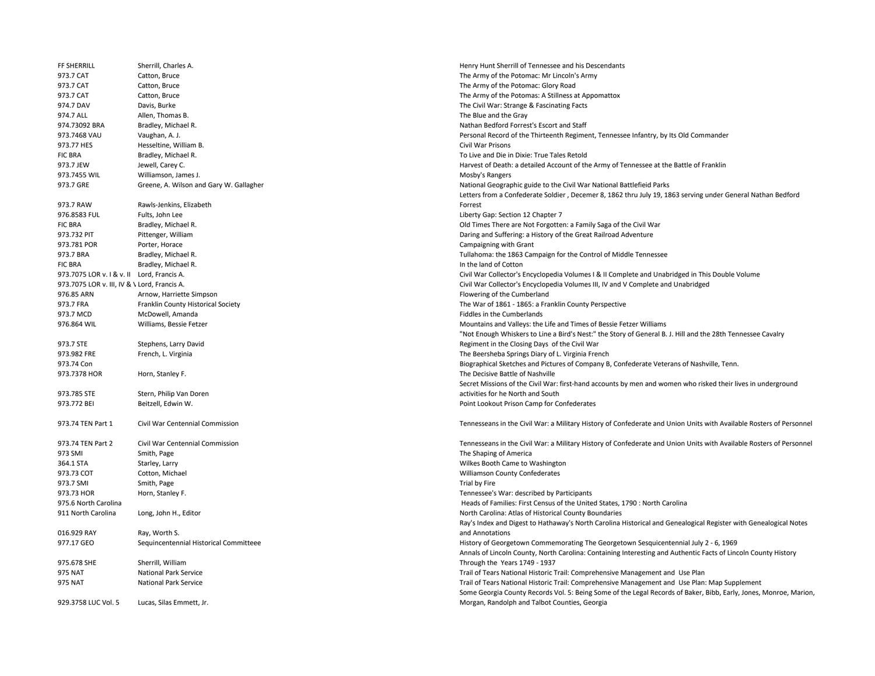| FF SHERRILL                                  | Sherrill, Charles A.                    | Henry Hunt Sherrill of Tennessee and his Descendants                                                                |
|----------------------------------------------|-----------------------------------------|---------------------------------------------------------------------------------------------------------------------|
| 973.7 CAT                                    | Catton, Bruce                           | The Army of the Potomac: Mr Lincoln's Army                                                                          |
| 973.7 CAT                                    | Catton, Bruce                           | The Army of the Potomac: Glory Road                                                                                 |
| 973.7 CAT                                    | Catton, Bruce                           | The Army of the Potomas: A Stillness at Appomattox                                                                  |
| 974.7 DAV                                    | Davis, Burke                            | The Civil War: Strange & Fascinating Facts                                                                          |
| 974.7 ALL                                    | Allen, Thomas B.                        | The Blue and the Gray                                                                                               |
| 974.73092 BRA                                | Bradley, Michael R.                     | Nathan Bedford Forrest's Escort and Staff                                                                           |
| 973.7468 VAU                                 | Vaughan, A. J.                          | Personal Record of the Thirteenth Regiment, Tennessee Infantry, by Its Old Commander                                |
| 973.77 HES                                   | Hesseltine, William B.                  | Civil War Prisons                                                                                                   |
| <b>FIC BRA</b>                               | Bradley, Michael R.                     | To Live and Die in Dixie: True Tales Retold                                                                         |
| 973.7 JEW                                    | Jewell, Carey C.                        | Harvest of Death: a detailed Account of the Army of Tennessee at the Battle of Franklin                             |
| 973.7455 WIL                                 | Williamson, James J.                    | Mosby's Rangers                                                                                                     |
| 973.7 GRE                                    | Greene, A. Wilson and Gary W. Gallagher | National Geographic guide to the Civil War National Battlefieid Parks                                               |
|                                              |                                         | Letters from a Confederate Soldier, Decemer 8, 1862 thru July 19, 1863 serving under General Nathan Bedford         |
| 973.7 RAW                                    | Rawls-Jenkins, Elizabeth                | Forrest                                                                                                             |
| 976.8583 FUL                                 | Fults, John Lee                         | Liberty Gap: Section 12 Chapter 7                                                                                   |
|                                              |                                         |                                                                                                                     |
| <b>FIC BRA</b><br>973.732 PIT                | Bradley, Michael R.                     | Old Times There are Not Forgotten: a Family Saga of the Civil War                                                   |
|                                              | Pittenger, William                      | Daring and Suffering: a History of the Great Railroad Adventure                                                     |
| 973.781 POR                                  | Porter, Horace                          | Campaigning with Grant                                                                                              |
| 973.7 BRA                                    | Bradley, Michael R.                     | Tullahoma: the 1863 Campaign for the Control of Middle Tennessee                                                    |
| <b>FIC BRA</b>                               | Bradley, Michael R.                     | In the land of Cotton                                                                                               |
| 973.7075 LOR v. I & v. II Lord, Francis A.   |                                         | Civil War Collector's Encyclopedia Volumes I & II Complete and Unabridged in This Double Volume                     |
| 973.7075 LOR v. III, IV & \ Lord, Francis A. |                                         | Civil War Collector's Encyclopedia Volumes III, IV and V Complete and Unabridged                                    |
| 976.85 ARN                                   | Arnow, Harriette Simpson                | Flowering of the Cumberland                                                                                         |
| 973.7 FRA                                    | Franklin County Historical Society      | The War of 1861 - 1865: a Franklin County Perspective                                                               |
| 973.7 MCD                                    | McDowell, Amanda                        | Fiddles in the Cumberlands                                                                                          |
| 976.864 WIL                                  | Williams, Bessie Fetzer                 | Mountains and Valleys: the Life and Times of Bessie Fetzer Williams                                                 |
|                                              |                                         | "Not Enough Whiskers to Line a Bird's Nest:" the Story of General B. J. Hill and the 28th Tennessee Cavalry         |
| 973.7 STE                                    | Stephens, Larry David                   | Regiment in the Closing Days of the Civil War                                                                       |
| 973.982 FRE                                  | French, L. Virginia                     | The Beersheba Springs Diary of L. Virginia French                                                                   |
| 973.74 Con                                   |                                         | Biographical Sketches and Pictures of Company B, Confederate Veterans of Nashville, Tenn.                           |
| 973.7378 HOR                                 | Horn, Stanley F.                        | The Decisive Battle of Nashville                                                                                    |
|                                              |                                         | Secret Missions of the Civil War: first-hand accounts by men and women who risked their lives in underground        |
| 973.785 STE                                  | Stern, Philip Van Doren                 | activities for he North and South                                                                                   |
| 973.772 BEI                                  | Beitzell, Edwin W.                      | Point Lookout Prison Camp for Confederates                                                                          |
| 973.74 TEN Part 1                            | Civil War Centennial Commission         | Tennesseans in the Civil War: a Military History of Confederate and Union Units with Available Rosters of Personnel |
| 973.74 TEN Part 2                            | Civil War Centennial Commission         | Tennesseans in the Civil War: a Military History of Confederate and Union Units with Available Rosters of Personnel |
| 973 SMI                                      | Smith, Page                             | The Shaping of America                                                                                              |
| 364.1 STA                                    | Starley, Larry                          | Wilkes Booth Came to Washington                                                                                     |
| 973.73 COT                                   | Cotton, Michael                         | Williamson County Confederates                                                                                      |
| 973.7 SMI                                    | Smith, Page                             | Trial by Fire                                                                                                       |
| 973.73 HOR                                   | Horn, Stanley F.                        | Tennessee's War: described by Participants                                                                          |
| 975.6 North Carolina                         |                                         | Heads of Families: First Census of the United States, 1790 : North Carolina                                         |
| 911 North Carolina                           | Long, John H., Editor                   | North Carolina: Atlas of Historical County Boundaries                                                               |
|                                              |                                         | Ray's Index and Digest to Hathaway's North Carolina Historical and Genealogical Register with Genealogical Notes    |
| 016.929 RAY                                  | Ray, Worth S.                           | and Annotations                                                                                                     |
| 977.17 GEO                                   |                                         | History of Georgetown Commemorating The Georgetown Sesquicentennial July 2 - 6, 1969                                |
|                                              | Sequincentennial Historical Committeee  | Annals of Lincoln County, North Carolina: Containing Interesting and Authentic Facts of Lincoln County History      |
|                                              | Sherrill, William                       |                                                                                                                     |
| 975.678 SHE                                  | <b>National Park Service</b>            | Through the Years 1749 - 1937                                                                                       |
| 975 NAT                                      |                                         | Trail of Tears National Historic Trail: Comprehensive Management and Use Plan                                       |
| 975 NAT                                      | National Park Service                   | Trail of Tears National Historic Trail: Comprehensive Management and Use Plan: Map Supplement                       |
|                                              |                                         | Some Georgia County Records Vol. 5: Being Some of the Legal Records of Baker, Bibb, Early, Jones, Monroe, Marion,   |
| 929.3758 LUC Vol. 5                          | Lucas, Silas Emmett, Jr.                | Morgan, Randolph and Talbot Counties, Georgia                                                                       |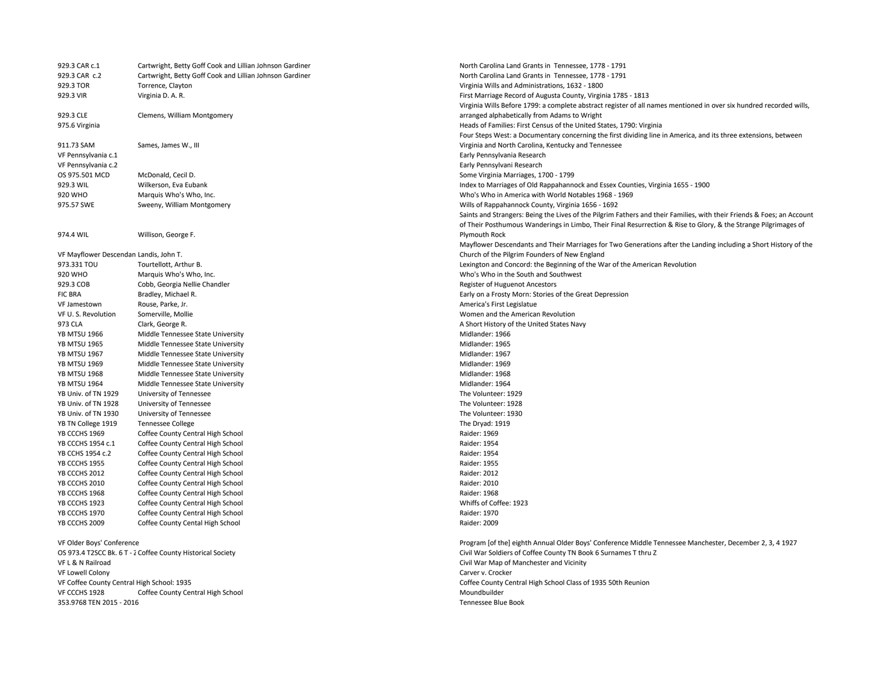929.3 CAR c.1 Cartwright, Betty Goff Cook and Lillian Johnson Gardiner North Carolina Land Grants in Tennessee, 1778 - 1791 929.3 CAR c.2 Cartwright, Betty Goff Cook and Lillian Johnson Gardiner North Carolina Land Grants in Tennessee, 1778 - 1791 929.3 TOR Torrence, Clayton Virginia Wills and Administrations, 1632 - 1800 929.3 VIR Virginia D. A. R. First Marriage Record of Augusta County, Virginia 1785 - 1813 929.3 CLE Clemens, William Montgomery Virginia Wills Before 1799: a complete abstract register of all names mentioned in over six hundred recorded wills, arranged alphabetically from Adams to Wright 975.6 Virginia Heads of Families: First Census of the United States, 1790: Virginia 911.73 SAM Sames, James W., III Four Steps West: a Documentary concerning the first dividing line in America, and its three extensions, between Virginia and North Carolina, Kentucky and Tennessee VF Pennsylvania c.1 Early Pennsylvania Research VF Pennsylvania c.2 Early Pennsylvani Research OS 975.501 MCD McDonald, Cecil D. Some Virginia Marriages, 1700 - 1799 929.3 WIL Wilkerson, Eva Eubank Index to Marriages of Old Rappahannock and Essex Counties, Virginia 1655 - 1900 920 WHO Marquis Who's Who, Inc. Who's Who in America with World Notables 1968 - 1969 975.57 SWE Sweeny, William Montgomery Wills of Rappahannock County, Virginia 1656 - 1692 974.4 WIL Willison, George F. Saints and Strangers: Being the Lives of the Pilgrim Fathers and their Families, with their Friends & Foes; an Account of Their Posthumous Wanderings in Limbo, Their Final Resurrection & Rise to Glory, & the Strange Pilgrimages of Plymouth Rock VF Mayflower Descendan Landis, John T. Mayflower Descendants and Their Marriages for Two Generations after the Landing including a Short History of the Church of the Pilgrim Founders of New England 973.331 TOU Tourtellott, Arthur B. Lexington and Concord: the Beginning of the War of the American Revolution 920 WHO Marquis Who's Who, Inc. Who's Who in the South and Southwest 929.3 COB Cobb, Georgia Nellie Chandler Register of Huguenot Ancestors FIC BRA Bradley, Michael R. Early on a Frosty Morn: Stories of the Great Depression VF Jamestown Rouse, Parke, Jr. America's First Legislatue VF U. S. Revolution Somerville, Mollie Women and the American Revolution 973 CLA Clark, George R. A Short History of the United States Navy YB MTSU 1966 Middle Tennessee State University<br>YB MTSU 1965 Middle Tennessee State University Midlander: 1965 Midlander: 1965 YB MTSU 1965 Middle Tennessee State University YB MTSU 1967 Middle Tennessee State University Middander: 1967 YB MTSU 1969 Middle Tennessee State University Middander: 1969 Midlander: 1969 YB MTSU 1968 Middle Tennessee State University Middle Muslim Controller: 1968 Midlander: 1968 YB MTSU 1964 Middle Tennessee State University<br>
YB Univ. of TN 1929 University of Tennessee<br>
YB Univ. of TN 1929 University of Tennessee YB Univ. of TN 1929 University of Tennessee YB Univ. of TN 1928 University of Tennessee The Volunteer: 1928<br>The Volunteer: 1930 University of Tennessee The Volunteer: 1930 University of Tennessee The Volunteer: 1930 YB TN College 1919 Tennessee College The Dryad: 1919 YB CCCHS 1969 Coffee County Central High School **Communist Contral High School** Raider: 1969 YB CCCHS 1954 c.1 Coffee County Central High School **Raider: 1954** Raider: 1954 YB CCHS 1954 c.2 Coffee County Central High School Raider: 1954 YB CCCHS 1955 Coffee County Central High School **Company Contral High School** Raider: 1955 YB CCCHS 2012 Coffee County Central High School **Company Contral High School** Raider: 2012 YB CCCHS 2010 Coffee County Central High School Raider: 2010 YB CCCHS 1968 Coffee County Central High School **Company Contral High School** Raider: 1968 YB CCCHS 1923 Coffee County Central High School Whiffs of Coffee: 1923 YB CCCHS 1970 Coffee County Central High School Raider: 1970 YB CCCHS 2009 Coffee County Cental High School **Community Cental High School** Raider: 2009 VF Older Boys' Conference Program [of the] eighth Annual Older Boys' Conference Middle Tennessee Manchester, December 2, 3, 4 1927 OS 973.4 T2SCC Bk. 6 T - Z Coffee County Historical Society Civil War Soldiers of Coffee County TN Book 6 Surnames T thru Z VF L & N Railroad Civil War Map of Manchester and Vicinity VF Lowell Colony Carver v. Crocker VF Coffee County Central High School: 1935 Coffee County Central High School Class of 1935 50th Reunion VF CCCHS 1928 Coffee County Central High School **Communist Contral High School** Moundbuilder 353.9768 TEN 2015 - 2016 Tennessee Blue Book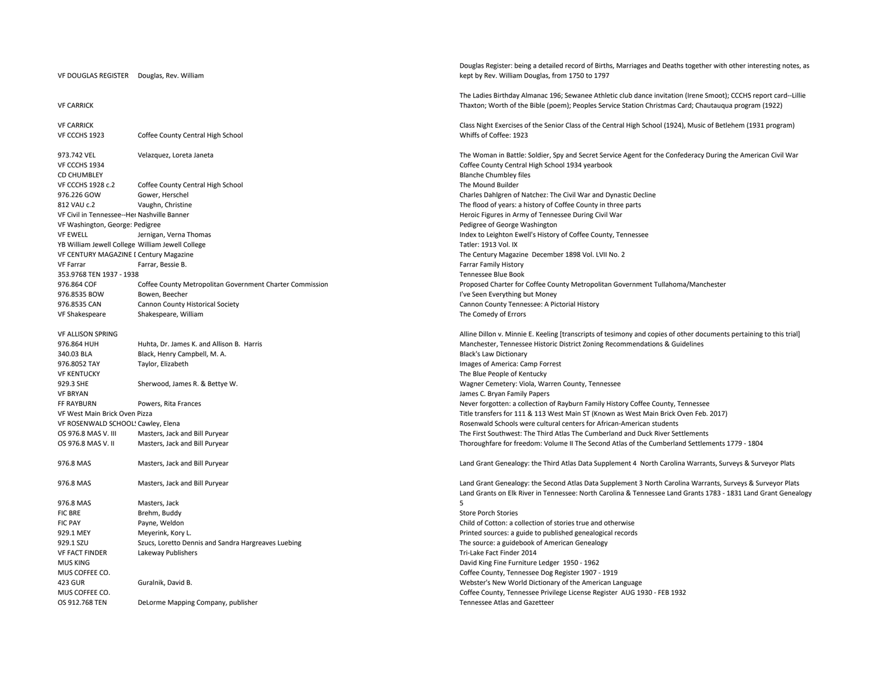## VF DOUGLAS REGISTER Douglas, Rev. William

## VF CARRICK

VF CARRICK Class Night Exercises of the Senior Class of the Central High School (1924), Music of Betlehem (1931 program) VF CCCHS 1923 Coffee County Central High School Whiffs of Coffee: 1923 973.742 VEL Velazquez, Loreta Janeta Civil War Secret Service Agent for the Confederacy During the American Civil War Secret Service Agent for the Confederacy During the American Civil War VF CCCHS 1934 Coffee County Central High School 1934 yearbook CD CHUMBLEY Blanche Chumbley files VF CCCHS 1928 c.2 Coffee County Central High School The Mound Builder 976.226 GOW Gower, Herschel Charles Dahlgren of Natchez: The Civil War and Dynastic Decline 812 VAU c.2 Vaughn, Christine Vaughn, Christine The flood of years: a history of Coffee County in three parts VF Civil in Tennessee--Her Nashville Banner Heroic Figures in Army of Tennessee During Civil War VF Washington, George: Pedigree Pedigree Pedigree of George Washington and Subsection And Subsection And Subsection And Subsection And Subsection And Subsection And Subsection And Subsection And Subsection And Subsection A VF EWELL Jernigan, Verna Thomas Index to Leighton Ewell's History of Coffee County, Tennessee YB William Jewell College William Jewell College Tatler: 1913 Vol. IX VF CENTURY MAGAZINE D Century Magazine The Century Magazine December 1898 Vol. LVII No. 2 VF Farrar Farrar, Bessie B. Farrar Family History 353.9768 TEN 1937 - 1938 Tennessee Blue Book 976.864 COF Coffee County Metropolitan Government Charter Commission Proposed Charter for Coffee County Metropolitan Government Tullahoma/Manchester 976.8535 BOW Bowen, Beecher IVe Seen Everything but Money 976.8535 CAN Cannon County Historical Society Cannon County Tennessee: A Pictorial History VF Shakespeare Shakespeare, William Shakespeare, William Shakespeare, William Shakespeare, William Shakespeare, William Shakespeare, William Shakespeare, William Shakespeare, William Shakespeare, William Shakespeare, Willi VF ALLISON SPRING Alline Dillon v. Minnie E. Keeling [transcripts of tesimony and copies of other documents pertaining to this trial] 976.864 HUH Huhta, Dr. James K. and Allison B. Harris Manchester, Tennessee Historic District Zoning Recommendations & Guidelines 340.03 BLA Black, Henry Campbell, M. A. Black's Law Dictionary Black's Law Dictionary 976.8052 TAY Taylor, Elizabeth Images of America: Camp Forrest VF KENTUCKY The Blue People of Kentucky The Blue People of Kentucky 929.3 SHE Sherwood, James R. & Bettye W. When the Sherwood Muslim Centery: Viola, Warren County, Tennessee VF BRYAN James C. Bryan Family Papers FF RAYBURN Powers. Rita Frances Never The Second Communication of Rayburn Family History Coffee County, Tennessee VF West Main Brick Oven Pizza Title transfers for 111 & 113 West Main ST (Known as West Main Brick Oven Feb. 2017) VF ROSENWALD SCHOOLSCawley, Elena Rosenwald Schools were cultural centers for African-American students OS 976.8 MAS V. III Masters, Jack and Bill Puryear The Third Atlas The Cumberland and Duck River Settlements OS 976.8 MAS V. II Masters, Jack and Bill Puryear Thoroughfare for freedom: Volume II The Second Atlas of the Cumberland Settlements 1779 - 1804 976.8 MAS MAS Masters, Jack and Bill Puryear Land Grant Genealogy: the Third Atlas Data Supplement 4 North Carolina Warrants, Surveys & Surveyor Plats 976.8 MAS Masters, Jack and Bill Puryear Land Grant Genealogy: the Second Atlas Data Supplement 3 North Carolina Warrants, Surveys & Surveyor Plats 976.8 MAS Masters, Jack FIC BRE Brehm, Buddy Brehm and the store Porch Stories and Store Porch Stories and Store Porch Stories and Store Porch Stories and Store Porch Stories and Store Porch Stories and Store Porch Stories and Store Porch Stories FIC PAY **Payne, Weldon Payne, Weldon Payne, Weldon Child of Cotton: a collection of stories true and otherwise** 929.1 MEY Meyerink, Kory L. Printed sources: a guide to published genealogical records 929.1 SZU SZucs, Loretto Dennis and Sandra Hargreaves Luebing The Source: a guidebook of American Genealogy VF FACT FINDER Lakeway Publishers Tri-Lake Fact Finder 2014 MUS KING David King Fine Furniture Ledger 1950 - 1962 MUS COFFEE CO. Coffee County, Tennessee Dog Register 1907 - 1919 423 GUR Guralnik, David B. Webster's New World Dictionary of the American Language MUS COFFEE CO. Coffee County, Tennessee Privilege License Register AUG 1930 - FEB 1932 OS 912.768 TEN DeLorme Mapping Company, publisher Tennessee Atlas and Gazetteer Company, publisher Tennessee Atlas and Gazetteer

Douglas Register: being a detailed record of Births, Marriages and Deaths together with other interesting notes, as kept by Rev. William Douglas, from 1750 to 1797

The Ladies Birthday Almanac 196; Sewanee Athletic club dance invitation (Irene Smoot); CCCHS report card--Lillie Thaxton; Worth of the Bible (poem); Peoples Service Station Christmas Card; Chautauqua program (1922)

Land Grants on Elk River in Tennessee: North Carolina & Tennessee Land Grants 1783 - 1831 Land Grant Genealogy 5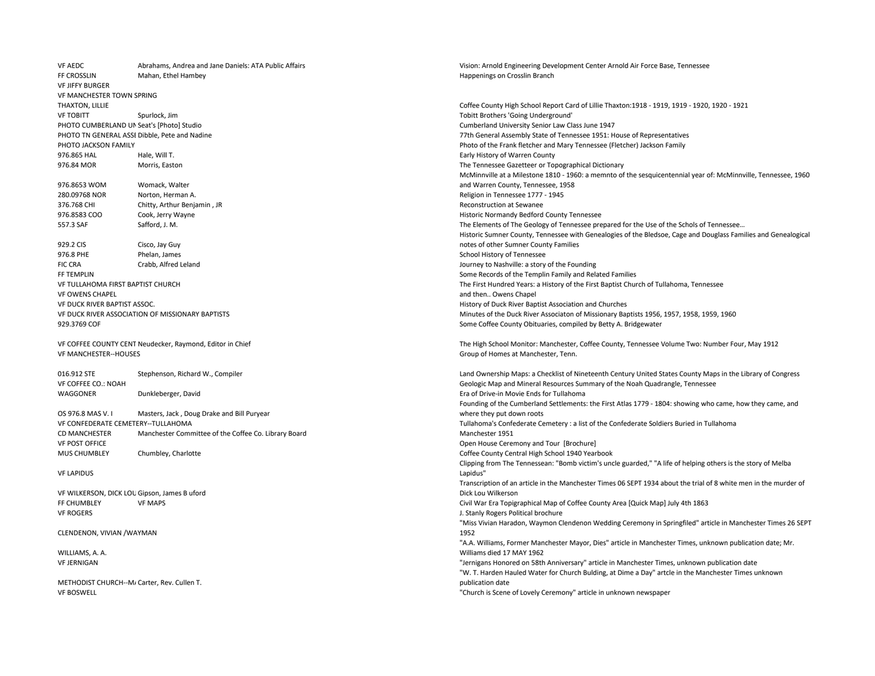VF AEDC Abrahams, Andrea and Jane Daniels: ATA Public Affairs Vision: Arnold Engineering Development Center Arnold Air Force Base, Tennessee FF CROSSLIN Mahan, Ethel Hambey Happenings on Crosslin Branch VF JIFFY BURGER VF MANCHESTER TOWN SPRING THAXTON, LILLIE COUNTERNATION COffee County High School Report Card of Lillie Thaxton:1918 - 1919, 1919 - 1920, 1920 - 1921 VF TOBITT Spurlock, Jim Tobitt Brothers 'Going Underground' PHOTO CUMBERLAND UN Seat's [Photo] Studio Cumberland University Senior Law Class June 1947 PHOTO TN GENERAL ASSEDibble, Pete and Nadine 77th General Assembly State of Tennessee 1951: House of Representatives PHOTO JACKSON FAMILY Photo of the Frank fletcher and Mary Tennessee (Fletcher) Jackson Family 976.865 HAL Hale, Will T. Sales and Hale and Hale and Hale and Hale and Hale and Hale and Hale and Hale and Hale and Hale and Hale and Hale and Hale and Hale and Hale and Hale and Hale and Hale and Hale and Hale and Hale a 976.84 MOR Morris, Easton Morris, Easton Morris, Easton Morris, Easton The Tennessee Gazetteer or Topographical Dictionary 976.8653 WOM Womack, Walter McMinnville at a Milestone 1810 - 1960: a memnto of the sesquicentennial year of: McMinnville, Tennessee, 1960 and Warren County, Tennessee, 1958 280.09768 NOR Norton, Herman A. Religion in Tennessee 1777 - 1945 376.768 CHI Chitty, Arthur Benjamin , JR Reconstruction at Sewanee 976.8583 COO Cook, Jerry Wayne Cook, Jerry Wayne Cook, Jerry Wayne Historic Normandy Bedford County Tennessee 557.3 SAF Safford, J. M. Safford, J. M. Safford, J. M. Safford, J. M. Safford, J. M. Safford, J. M. Safford, J. M. Safford, J. M. Safford, J. M. Safford, J. M. Safford, J. M. Safford, J. M. Safford, J. M. Safford, J. M. Sa 929.2 CIS Cisco, Jay Guy Historic Sumner County, Tennessee with Genealogies of the Bledsoe, Cage and Douglass Families and Genealogical notes of other Sumner County Families 976.8 PHE Phelan, James Phelan, Phelan, School History of Tennessee Phelan, Inc. 2016. Phelan, James School History of Tennessee FIC CRA Crabb, Alfred Leland Journey to Nashville: a story of the Founding FF TEMPLIN Some Records of the Templin Family and Related Families VF TULLAHOMA FIRST BAPTIST CHURCH The First Hundred Years: a History of the First Baptist Church of Tullahoma, Tennessee VF OWENS CHAPEL and then.. Owens Chapel VF DUCK RIVER BAPTIST ASSOC. History of Duck River Baptist Association and Churches VF DUCK RIVER ASSOCIATION OF MISSIONARY BAPTISTS Minutes of the Duck River Associaton of Missionary Baptists 1956, 1957, 1958, 1959, 1960 929.3769 COF Some Coffee County Obituaries, compiled by Betty A. Bridgewater VF COFFEE COUNTY CENT Neudecker, Raymond, Editor in Chief The High School Monitor: Manchester, Coffee County, Tennessee Volume Two: Number Four, May 1912 VF MANCHESTER--HOUSES Group of Homes at Manchester, Tenn. 016.912 STE Stephenson, Richard W., Compiler Land Ownership Maps: a Checklist of Nineteenth Century United States County Maps in the Library of Congress VF COFFEE CO.: NOAH Geologic Map and Mineral Resources Summary of the Noah Quadrangle, Tennessee WAGGONER Dunkleberger, David Communication of Drive-in Movie Ends for Tullahoma and Drive-in Movie Ends for Tullahoma OS 976.8 MAS V. I Masters, Jack , Doug Drake and Bill Puryear Founding of the Cumberland Settlements: the First Atlas 1779 - 1804: showing who came, how they came, and where they put down roots VF CONFEDERATE CEMETERY--TULLAHOMA Tullahoma's Confederate Cemetery : a list of the Confederate Soldiers Buried in Tullahoma CD MANCHESTER Manchester Committee of the Coffee Co. Library Board Manchester 1951 VF POST OFFICE **Open House Ceremony and Tour [Brochure]** Open House Ceremony and Tour [Brochure] MUS CHUMBLEY Chumbley. Charlotte Charlotte Chumbley, Charlotte Contentral High School 1940 Yearbook VF LAPIDUS Clipping from The Tennessean: "Bomb victim's uncle guarded," "A life of helping others is the story of Melba Lapidus" VF WILKERSON, DICK LOUGipson, James B uford Transcription of an article in the Manchester Times 06 SEPT 1934 about the trial of 8 white men in the murder of Dick Lou Wilkerson FF CHUMBLEY VF MAPS Civil War Era Topigraphical Map of Coffee County Area [Quick Map] July 4th 1863 VF ROGERS **VERIFICAL STANDERS** J. Stanly Rogers Political brochure CLENDENON, VIVIAN /WAYMAN "Miss Vivian Haradon, Waymon Clendenon Wedding Ceremony in Springfiled" article in Manchester Times 26 SEPT 1952 WILLIAMS, A. A. "A.A. Williams, Former Manchester Mayor, Dies" article in Manchester Times, unknown publication date; Mr. Williams died 17 MAY 1962 VF JERNIGAN "Jernigans Honored on 58th Anniversary" article in Manchester Times, unknown publication date METHODIST CHURCH--M/ Carter, Rev. Cullen T. "W. T. Harden Hauled Water for Church Bulding, at Dime a Day" artcle in the Manchester Times unknown publication date VF BOSWELL "Church is Scene of Lovely Ceremony" article in unknown newspaper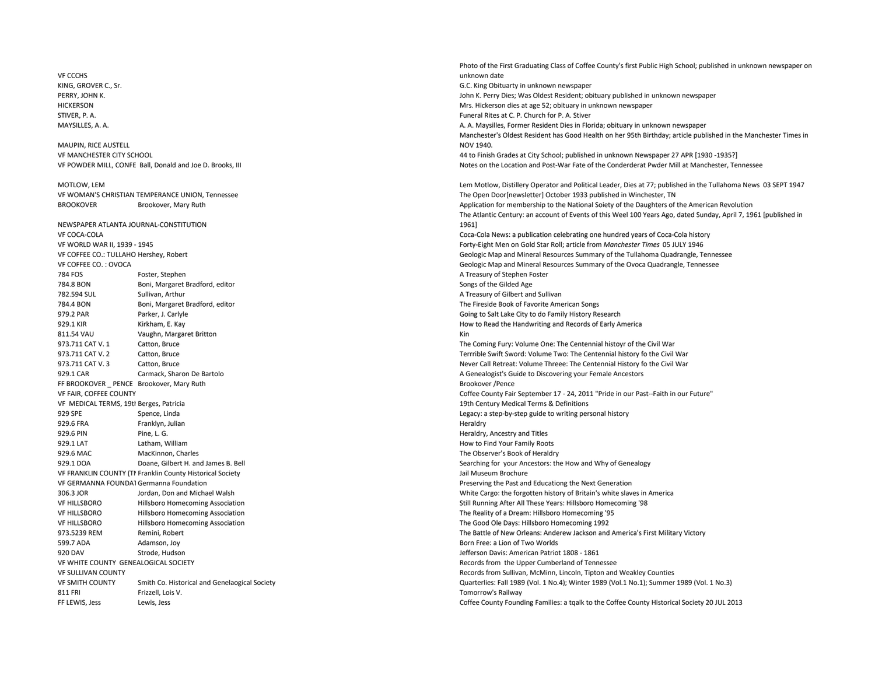VF CCCHS KING, GROVER C., Sr. G.C. King Obituarty in unknown newspaper HICKERSON Mrs. Hickerson dies at age 52; obituary in unknown newspaper STIVER, P. A. Funeral Rites at C. P. Church for P. A. Stiver MAUPIN, RICE AUSTELL NEWSPAPER ATLANTA JOURNAL-CONSTITUTION 784 FOS Foster, Stephen A Treasury of Stephen Foster 784.8 BON Boni, Margaret Bradford, editor Songs of the Gilded Age 782.594 SUL Sullivan, Arthur Sullivan, Arthur A Treasury of Gilbert and Sullivan 784.4 BON Boni, Margaret Bradford, editor The Fireside Book of Favorite American Songs 979.2 PAR Parker, J. Carlyle Going to Salt Lake City to do Family History Research 929.1 KIR Kirkham, E. Kay How to Read the Handwriting and Records of Early America 811.54 VAU Vaughn, Margaret Britton King States and States and States and King King States and King King States and King States and King States and King States and King States and King States and King States and King State 929.1 CAR Carmack, Sharon De Bartolo **A Genealogist's Guide to Discovering your Female Ancestors** A Genealogist's Guide to Discovering your Female Ancestors FF BROOKOVER PENCE Brookover, Mary Ruth Brookover, Mary Ruth Brookover / Pence VF MEDICAL TERMS, 19th Berges, Patricia 19th Century Medical Terms & Definitions 929 SPE Spence, Linda Spence Spence Spence Spence Spence Spence Spence Spence Spence Spence Spence Spence Spence Spence Spence Spence Spence Spence Spence Spence Spence Spence Spence Spence Spence Spence Spence Spence Spen 929.6 FRA Franklyn, Julian Heraldry (1989), and the state of the state of the state of the state of the state o 929.6 PIN Pine, L. G. Heraldry, Ancestry and Titles 929.1 LAT Latham, William How to Find Your Family Roots 929.6 MAC MacKinnon, Charles The Observer's Book of Heraldry 929.1 DOA Doane, Gilbert H. and James B. Bell Searching for your Ancestors: the How and Why of Genealogy VF FRANKLIN COUNTY (TI Franklin County Historical Society Jail Museum Brochure Jail Museum Brochure VF GERMANNA FOUNDATGermanna Foundation **Preserving the Past and Educationg the Next Generation** VF HILLSBORO Hillsboro Homecoming Association Still Running After All These Years: Hillsboro Homecoming '98 VF HILLSBORO Hillsboro Homecoming Association The Reality of a Dream: Hillsboro Homecoming '95 VF HILLSBORO Hillsboro Homecoming Association The Good Ole Days: Hillsboro Homecoming 1992 599.7 ADA Adamson, Joy Born Free: a Lion of Two Worlds 920 DAV Strode, Hudson Jefferson Davis: American Patriot 1808 - 1861 VF WHITE COUNTY GENEALOGICAL SOCIETY Records from the Upper Cumberland of Tennessee 811 FRI Frizzell, Lois V. Tomorrow's Railway

Photo of the First Graduating Class of Coffee County's first Public High School; published in unknown newspaper on unknown date PERRY, JOHN K. John K. Perry Dies; Was Oldest Resident; obituary published in unknown newspaper MAYSILLES, A. A. A. A. Maysilles, Former Resident Dies in Florida; obituary in unknown newspaper Manchester's Oldest Resident has Good Health on her 95th Birthday; article published in the Manchester Times in NOV 1940. VF MANCHESTER CITY SCHOOL 44 to Finish Grades at City School; published in unknown Newspaper 27 APR [1930 -1935?] VF POWDER MILL, CONFE Ball, Donald and Joe D. Brooks, III Notes on the Location and Post-War Fate of the Conderderat Pwder Mill at Manchester, Tennessee MOTLOW, LEM LEM Motlow, Distillery Operator and Political Leader, Dies at 77; published in the Tullahoma News 03 SEPT 1947 VF WOMAN'S CHRISTIAN TEMPERANCE UNION, Tennessee The Open Door[newsletter] October 1933 published in Winchester, TN BROOKOVER Brookover, Mary Ruth Application for membership to the National Soiety of the Daughters of the American Revolution The Atlantic Century: an account of Events of this Weel 100 Years Ago, dated Sunday, April 7, 1961 [published in 1961] VF COCA-COLA Coca-Cola News: a publication celebrating one hundred years of Coca-Cola history VF WORLD WAR II, 1939 - 1945 Forty-Eight Men on Gold Star Roll; article from *Manchester Times* 05 JULY 1946 VF COFFEE CO.: TULLAHO Hershey, Robert Geologic Map and Mineral Resources Summary of the Tullahoma Quadrangle, Tennessee VF COFFEE CO. : OVOCA Geologic Map and Mineral Resources Summary of the Ovoca Quadrangle, Tennessee 973.711 CAT V. 1 Catton, Bruce Cass and Catton, Bruce The Coming Fury: Volume One: The Centennial histoyr of the Civil War 973.711 CAT V. 2 Catton, Bruce Catton, Bruce Terrible Swift Sword: Volume Two: The Centennial history fo the Civil War 973.711 CAT V. 3 Catton, Bruce Call Retreat: Volume Threee: The Centennial History fo the Civil War VF FAIR, COFFEE COUNTY Coffee County Fair September 17 - 24, 2011 "Pride in our Past--Faith in our Future" 306.3 JOR Jordan, Don and Michael Walsh White Cargo: the forgotten history of Britain's white slaves in America 973.5239 REM Remini, Robert The Battle of New Orleans: Anderew Jackson and America's First Military Victory VF SULLIVAN COUNTY Records from Sullivan, McMinn, Lincoln, Tipton and Weakley Counties VF SMITH COUNTY Smith Co. Historical and Genelaogical Society Quarterlies: Fall 1989 (Vol. 1 No.4); Winter 1989 (Vol.1 No.1); Summer 1989 (Vol. 1 No.3)

FF LEWIS, Jess Lewis, Jess Lewis, Jess Coffee County Founding Families: a tqalk to the Coffee County Historical Society 20 JUL 2013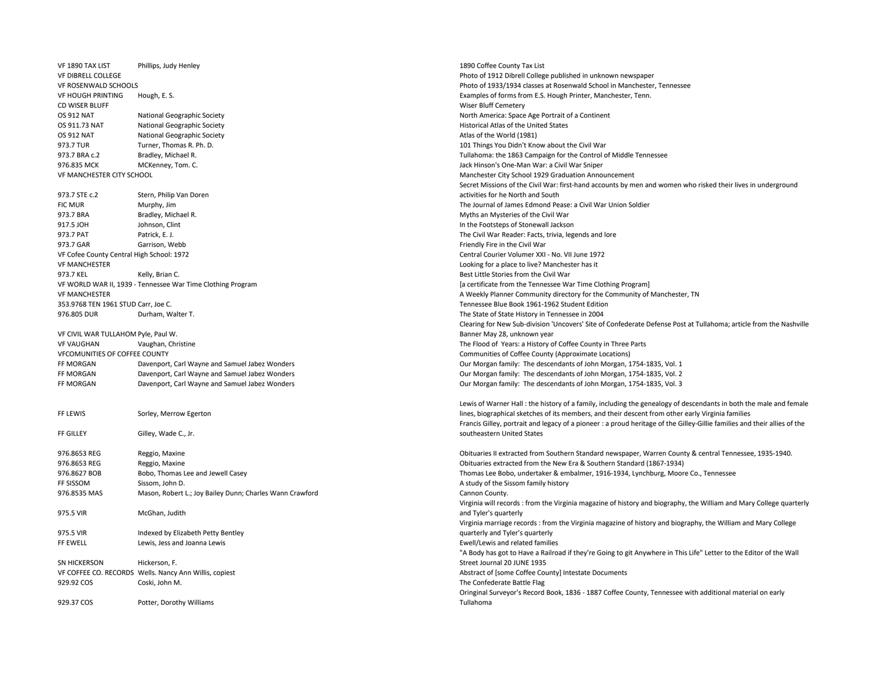VF 1890 TAX LIST Phillips, Judy Henley 1890 Coffee County Tax List VF DIBRELL COLLEGE Photo of 1912 Dibrell College published in unknown newspaper VF ROSENWALD SCHOOLS Photo of 1933/1934 classes at Rosenwald School in Manchester, Tennessee VF HOUGH PRINTING Hough, E. S. Examples of forms from E.S. Hough Printer, Manchester, Tenn. CD WISER BLUFF WISER BUT CONSERVERSE WISER BLUFF WISER BLUFF CEMETERY WISER BLUFF CEMETERY WISER BLUFF CEMETERY OS 912 NAT National Geographic Society North America: Space Age Portrait of a Continent OS 911.73 NAT National Geographic Society **Mathematic Society** Historical Atlas of the United States OS 912 NAT National Geographic Society and Atlas of the World (1981) OS 912 NAT Atlas of the World (1981) 973.7 TUR Turner, Thomas R. Ph. D. 101 Things You Didn't Know about the Civil War 973.7 BRA c.2 Bradley, Michael R. Tullahoma: the 1863 Campaign for the Control of Middle Tennessee 976.835 MCK MCKenney, Tom. C. MCKenney, Tom. C. Jack Hinson's One-Man War: a Civil War Sniper (1929 Graduation Anno<br>1929 Graduation Anno VE MANCHESTER CITY SCHOOL 973.7 STE c.2 Stern, Philip Van Doren activities for he North and South FIC MUR Murphy, Jim The Journal of James Edmond Pease: a Civil War Union Soldier 973.7 BRA Bradley, Michael R. Myths an Mysteries of the Civil War 917.5 JOH Johnson, Clint In the Footsteps of Stonewall Jackson 973.7 PAT Patrick, E. J. Patrick, E. J. Patrick, E. J. Patrick, E. J. Patrick, E. J. Patrick, E. J. Patrick, E. J. Patrick, E. J. Patrick, E. J. Patrick, E. J. Patrick, E. J. Patrick, E. J. Patrick, E. J. Patrick, E. J. Pa 973.7 GAR Garrison. Webb Garrison, Webb Friendly Fire in the Civil War Garrison, Webb Friendly Fire in the Civil War VF Cofee County Central High School: 1972 Central Courier Volumer XXI - No. VII June 1972 VF MANCHESTER Looking for a place to live? Manchester has it 973.7 KEL Kelly, Brian C. Selly, Brian C. Best Little Stories from the Civil War VF WORLD WAR II, 1939 - Tennessee War Time Clothing Program [a certificate from the Tennessee War Time Clothing Program] VF MANCHESTER THE STER ASSEMBLY PLANNEL A WEEKLY Planner Community directory for the Community of Manchester, TN 353.9768 TEN 1961 STUD Carr, Joe C. Tennessee Blue Book 1961-1962 Student Edition 976.805 DUR Durham, Walter T. The State of State History in Tennessee in 2004 VF CIVIL WAR TULLAHOM Pyle, Paul W. Banner May 28, unknown year VF VAUGHAN Vaughan, Christine The Flood of Years: a History of Coffee County in Three Parts VFCOMUNITIES OF COFFEE COUNTY Communities of Coffee County (Approximate Locations) FF MORGAN Davenport, Carl Wayne and Samuel Jabez Wonders Our Morgan family: The descendants of John Morgan, 1754-1835, Vol. 1 FF MORGAN Davenport. Carl Wayne and Samuel Jabez Wonders Current Carl Morgan family: The descendants of John Morgan, 1754-1835, Vol. 2 FF MORGAN Davenport, Carl Wayne and Samuel Jabez Wonders Cour Morgan family: The descendants of John Morgan, 1754-1835, Vol. 3 FF LEWIS Sorley, Merrow Egerton FF GILLEY Gilley, Wade C., Jr. southeastern United States 976.8653 REG Reggio, Maxine Obituaries II extracted from Southern Standard newspaper, Warren County & central Tennessee, 1935-1940. 976.8653 REG Reggio, Maxine Obituaries extracted from the New Era & Southern Standard (1867-1934) 976.8627 BOB Bobo, Thomas Lee and Jewell Casey entertained the state of the state of the Bobo, undertaker & embalmer, 1916-1934, Lynchburg, Moore Co., Tennessee FF SISSOM Sissom, John D. A study of the Sissom family history and Sissom family history and Sissom family history 976.8535 MAS Mason, Robert L.; Joy Bailey Dunn; Charles Wann Crawford Cannon County. 975.5 VIR McGhan, Judith and Tyler's quarterly 975.5 VIR Indexed by Elizabeth Petty Bentley quarterly and Tyler's quarterly FF EWELL EWIS, Jess and Joanna Lewis Ewis Ewell/Lewis and related families SN HICKERSON Hickerson, F. Street Journal 20 JUNE 1935 VF COFFEE CO. RECORDS Wells. Nancy Ann Willis, copiest Abstract of [some Coffee County] Intestate Documents 929.92 COS Coski, John M. Coski, Channel Coski, Channel Coski, Channel Coski, Channel Coski, Channel Coski, Channel Coski, Channel Coski, Channel Coski, Channel Coski, Channel Coski, Channel Coski, Channel Coski, Channel C 929.37 COS Potter, Dorothy Williams

Manchester City School 1929 Graduation Announcement Secret Missions of the Civil War: first-hand accounts by men and women who risked their lives in underground Clearing for New Sub-division 'Uncovers' Site of Confederate Defense Post at Tullahoma; article from the Nashville

Lewis of Warner Hall : the history of a family, including the genealogy of descendants in both the male and female lines, biographical sketches of its members, and their descent from other early Virginia families Francis Gilley, portrait and legacy of a pioneer : a proud heritage of the Gilley-Gillie families and their allies of the

Virginia will records : from the Virginia magazine of history and biography, the William and Mary College quarterly Virginia marriage records : from the Virginia magazine of history and biography, the William and Mary College "A Body has got to Have a Railroad if they're Going to git Anywhere in This Life" Letter to the Editor of the Wall Oringinal Surveyor's Record Book, 1836 - 1887 Coffee County, Tennessee with additional material on early Tullahoma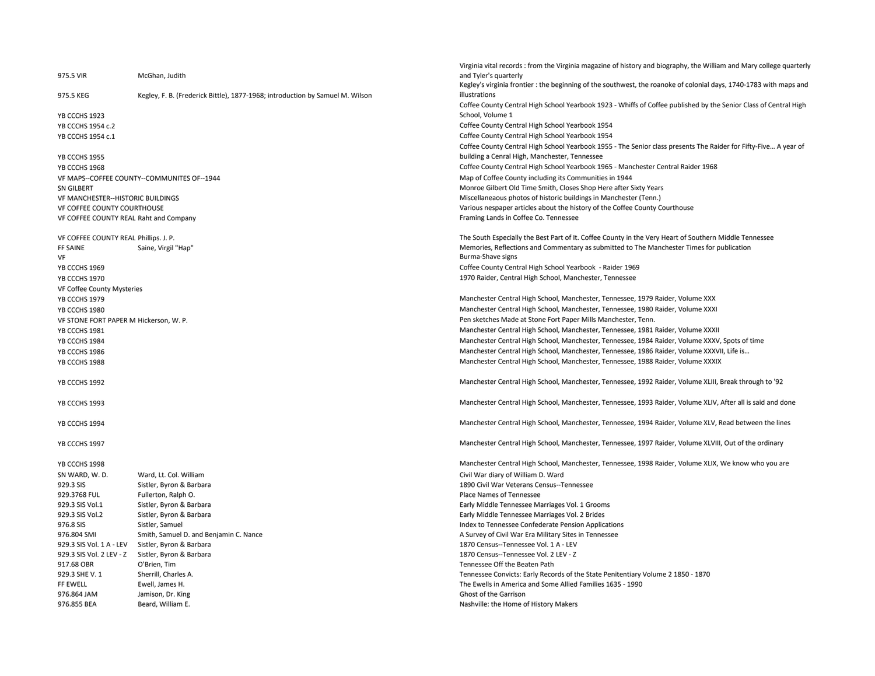|                                          |                                                                               | Virginia vital records: from the Virginia magazine of history and biography, the William and Mary college quarterly |
|------------------------------------------|-------------------------------------------------------------------------------|---------------------------------------------------------------------------------------------------------------------|
| 975.5 VIR                                | McGhan, Judith                                                                | and Tyler's quarterly                                                                                               |
|                                          |                                                                               | Kegley's virginia frontier : the beginning of the southwest, the roanoke of colonial days, 1740-1783 with maps and  |
| 975.5 KEG                                | Kegley, F. B. (Frederick Bittle), 1877-1968; introduction by Samuel M. Wilson | illustrations                                                                                                       |
|                                          |                                                                               | Coffee County Central High School Yearbook 1923 - Whiffs of Coffee published by the Senior Class of Central High    |
| YB CCCHS 1923                            |                                                                               | School, Volume 1                                                                                                    |
| YB CCCHS 1954 c.2                        |                                                                               | Coffee County Central High School Yearbook 1954                                                                     |
|                                          |                                                                               |                                                                                                                     |
| YB CCCHS 1954 c.1                        |                                                                               | Coffee County Central High School Yearbook 1954                                                                     |
|                                          |                                                                               | Coffee County Central High School Yearbook 1955 - The Senior class presents The Raider for Fifty-Five A year of     |
| YB CCCHS 1955                            |                                                                               | building a Cenral High, Manchester, Tennessee                                                                       |
| YB CCCHS 1968                            |                                                                               | Coffee County Central High School Yearbook 1965 - Manchester Central Raider 1968                                    |
|                                          | VF MAPS--COFFEE COUNTY--COMMUNITES OF--1944                                   | Map of Coffee County including its Communities in 1944                                                              |
| SN GILBERT                               |                                                                               | Monroe Gilbert Old Time Smith, Closes Shop Here after Sixty Years                                                   |
| <b>VF MANCHESTER--HISTORIC BUILDINGS</b> |                                                                               | Miscellaneaous photos of historic buildings in Manchester (Tenn.)                                                   |
| VF COFFEE COUNTY COURTHOUSE              |                                                                               | Various nespaper articles about the history of the Coffee County Courthouse                                         |
| VF COFFEE COUNTY REAL Raht and Company   |                                                                               | Framing Lands in Coffee Co. Tennessee                                                                               |
|                                          |                                                                               |                                                                                                                     |
|                                          |                                                                               |                                                                                                                     |
| VF COFFEE COUNTY REAL Phillips. J. P.    |                                                                               | The South Especially the Best Part of It. Coffee County in the Very Heart of Southern Middle Tennessee              |
| FF SAINE                                 | Saine, Virgil "Hap"                                                           | Memories, Reflections and Commentary as submitted to The Manchester Times for publication                           |
| VF                                       |                                                                               | Burma-Shave signs                                                                                                   |
| YB CCCHS 1969                            |                                                                               | Coffee County Central High School Yearbook - Raider 1969                                                            |
| YB CCCHS 1970                            |                                                                               | 1970 Raider, Central High School, Manchester, Tennessee                                                             |
| VF Coffee County Mysteries               |                                                                               |                                                                                                                     |
| YB CCCHS 1979                            |                                                                               | Manchester Central High School, Manchester, Tennessee, 1979 Raider, Volume XXX                                      |
| YB CCCHS 1980                            |                                                                               | Manchester Central High School, Manchester, Tennessee, 1980 Raider, Volume XXXI                                     |
|                                          |                                                                               | Pen sketches Made at Stone Fort Paper Mills Manchester, Tenn.                                                       |
| VF STONE FORT PAPER M Hickerson, W. P.   |                                                                               |                                                                                                                     |
| YB CCCHS 1981                            |                                                                               | Manchester Central High School, Manchester, Tennessee, 1981 Raider, Volume XXXII                                    |
| YB CCCHS 1984                            |                                                                               | Manchester Central High School, Manchester, Tennessee, 1984 Raider, Volume XXXV, Spots of time                      |
| YB CCCHS 1986                            |                                                                               | Manchester Central High School, Manchester, Tennessee, 1986 Raider, Volume XXXVII, Life is                          |
| YB CCCHS 1988                            |                                                                               | Manchester Central High School, Manchester, Tennessee, 1988 Raider, Volume XXXIX                                    |
|                                          |                                                                               |                                                                                                                     |
| YB CCCHS 1992                            |                                                                               | Manchester Central High School, Manchester, Tennessee, 1992 Raider, Volume XLIII, Break through to '92              |
|                                          |                                                                               |                                                                                                                     |
| YB CCCHS 1993                            |                                                                               | Manchester Central High School, Manchester, Tennessee, 1993 Raider, Volume XLIV, After all is said and done         |
|                                          |                                                                               |                                                                                                                     |
| YB CCCHS 1994                            |                                                                               | Manchester Central High School, Manchester, Tennessee, 1994 Raider, Volume XLV, Read between the lines              |
|                                          |                                                                               |                                                                                                                     |
| YB CCCHS 1997                            |                                                                               | Manchester Central High School, Manchester, Tennessee, 1997 Raider, Volume XLVIII, Out of the ordinary              |
|                                          |                                                                               |                                                                                                                     |
| YB CCCHS 1998                            |                                                                               | Manchester Central High School, Manchester, Tennessee, 1998 Raider, Volume XLIX, We know who you are                |
| SN WARD, W.D.                            | Ward, Lt. Col. William                                                        | Civil War diary of William D. Ward                                                                                  |
| 929.3 SIS                                | Sistler, Byron & Barbara                                                      | 1890 Civil War Veterans Census--Tennessee                                                                           |
|                                          |                                                                               |                                                                                                                     |
| 929.3768 FUL                             | Fullerton, Ralph O.                                                           | Place Names of Tennessee                                                                                            |
| 929.3 SIS Vol.1                          | Sistler, Byron & Barbara                                                      | Early Middle Tennessee Marriages Vol. 1 Grooms                                                                      |
| 929.3 SIS Vol.2                          | Sistler, Byron & Barbara                                                      | Early Middle Tennessee Marriages Vol. 2 Brides                                                                      |
| 976.8 SIS                                | Sistler, Samuel                                                               | Index to Tennessee Confederate Pension Applications                                                                 |
| 976.804 SMI                              | Smith, Samuel D. and Benjamin C. Nance                                        | A Survey of Civil War Era Military Sites in Tennessee                                                               |
| 929.3 SIS Vol. 1 A - LEV                 | Sistler, Byron & Barbara                                                      | 1870 Census--Tennessee Vol. 1 A - LEV                                                                               |
| 929.3 SIS Vol. 2 LEV - Z                 | Sistler, Byron & Barbara                                                      | 1870 Census--Tennessee Vol. 2 LEV - Z                                                                               |
| 917.68 OBR                               | O'Brien, Tim                                                                  | Tennessee Off the Beaten Path                                                                                       |
| 929.3 SHE V. 1                           | Sherrill, Charles A.                                                          | Tennessee Convicts: Early Records of the State Penitentiary Volume 2 1850 - 1870                                    |
| FF EWELL                                 | Ewell, James H.                                                               | The Ewells in America and Some Allied Families 1635 - 1990                                                          |
| 976.864 JAM                              | Jamison, Dr. King                                                             | Ghost of the Garrison                                                                                               |
| 976.855 BEA                              | Beard, William E.                                                             | Nashville: the Home of History Makers                                                                               |
|                                          |                                                                               |                                                                                                                     |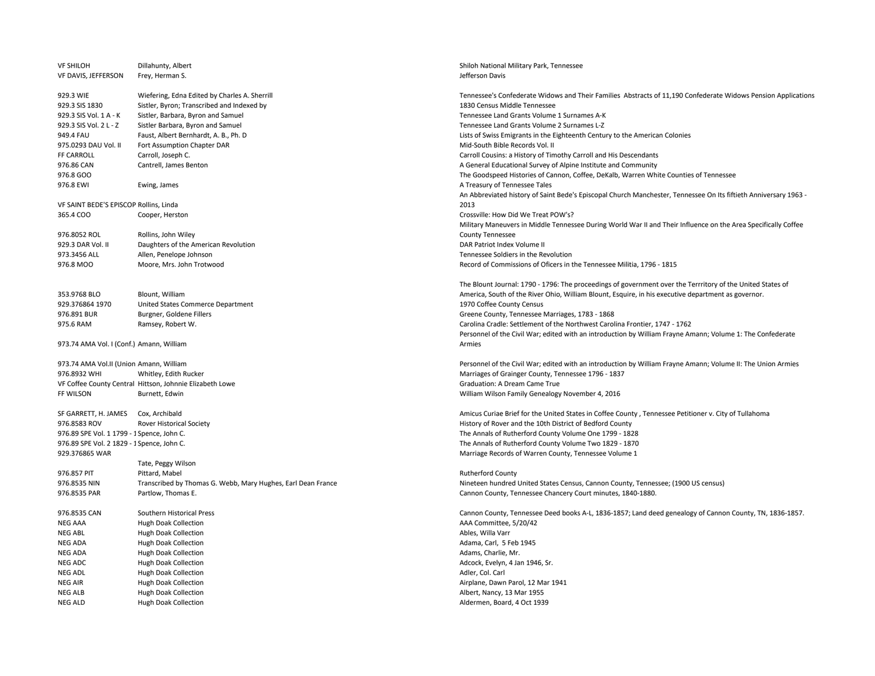| <b>VF SHILOH</b><br>VF DAVIS, JEFFERSON    | Dillahunty, Albert<br>Frey, Herman S.                        | Shiloh National Military Park, Tennessee<br>Jefferson Davis |
|--------------------------------------------|--------------------------------------------------------------|-------------------------------------------------------------|
|                                            |                                                              |                                                             |
| 929.3 WIE                                  | Wiefering, Edna Edited by Charles A. Sherrill                | Tennessee's Confederate Widows and Their Fan                |
| 929.3 SIS 1830                             | Sistler, Byron; Transcribed and Indexed by                   | 1830 Census Middle Tennessee                                |
| 929.3 SIS Vol. 1 A - K                     | Sistler, Barbara, Byron and Samuel                           | Tennessee Land Grants Volume 1 Surnames A-K                 |
| 929.3 SIS Vol. 2 L - Z                     | Sistler Barbara, Byron and Samuel                            | Tennessee Land Grants Volume 2 Surnames L-Z                 |
| 949.4 FAU                                  | Faust, Albert Bernhardt, A. B., Ph. D                        | Lists of Swiss Emigrants in the Eighteenth Centu            |
| 975.0293 DAU Vol. II                       | Fort Assumption Chapter DAR                                  | Mid-South Bible Records Vol. II                             |
| FF CARROLL                                 | Carroll, Joseph C.                                           | Carroll Cousins: a History of Timothy Carroll and           |
| 976.86 CAN                                 | Cantrell, James Benton                                       | A General Educational Survey of Alpine Institute            |
| 976.8 GOO                                  |                                                              | The Goodspeed Histories of Cannon, Coffee, De               |
| 976.8 EWI                                  | Ewing, James                                                 | A Treasury of Tennessee Tales                               |
|                                            |                                                              | An Abbreviated history of Saint Bede's Episcopa             |
| VF SAINT BEDE'S EPISCOP Rollins, Linda     |                                                              | 2013                                                        |
| 365.4 COO                                  | Cooper, Herston                                              | Crossville: How Did We Treat POW's?                         |
|                                            |                                                              | Military Maneuvers in Middle Tennessee During               |
| 976.8052 ROL                               | Rollins, John Wiley                                          | <b>County Tennessee</b>                                     |
| 929.3 DAR Vol. II                          | Daughters of the American Revolution                         | DAR Patriot Index Volume II                                 |
| 973.3456 ALL                               | Allen, Penelope Johnson                                      | Tennessee Soldiers in the Revolution                        |
| 976.8 MOO                                  | Moore, Mrs. John Trotwood                                    | Record of Commissions of Oficers in the Tennes              |
|                                            |                                                              | The Blount Journal: 1790 - 1796: The proceedin              |
| 353.9768 BLO                               | Blount, William                                              | America, South of the River Ohio, William Blour             |
| 929.376864 1970                            | United States Commerce Department                            | 1970 Coffee County Census                                   |
| 976.891 BUR                                | Burgner, Goldene Fillers                                     | Greene County, Tennessee Marriages, 1783 - 18               |
| 975.6 RAM                                  | Ramsey, Robert W.                                            | Carolina Cradle: Settlement of the Northwest Ca             |
|                                            |                                                              | Personnel of the Civil War; edited with an introd           |
| 973.74 AMA Vol. I (Conf.) Amann, William   |                                                              | Armies                                                      |
| 973.74 AMA Vol.II (Union Amann, William    |                                                              | Personnel of the Civil War; edited with an introd           |
| 976.8932 WHI                               | Whitley, Edith Rucker                                        | Marriages of Grainger County, Tennessee 1796                |
|                                            | VF Coffee County Central Hittson, Johnnie Elizabeth Lowe     | Graduation: A Dream Came True                               |
| FF WILSON                                  |                                                              |                                                             |
|                                            | Burnett, Edwin                                               | William Wilson Family Genealogy November 4,                 |
| SF GARRETT, H. JAMES                       | Cox, Archibald                                               | Amicus Curiae Brief for the United States in Coff           |
| 976.8583 ROV                               | <b>Rover Historical Society</b>                              | History of Rover and the 10th District of Bedfore           |
| 976.89 SPE Vol. 1 1799 - 1 Spence, John C. |                                                              | The Annals of Rutherford County Volume One 1                |
| 976.89 SPE Vol. 2 1829 - 1 Spence, John C. |                                                              | The Annals of Rutherford County Volume Two 1                |
| 929.376865 WAR                             |                                                              | Marriage Records of Warren County, Tennessee                |
|                                            | Tate, Peggy Wilson                                           |                                                             |
| 976.857 PIT                                | Pittard, Mabel                                               | Rutherford County                                           |
| 976.8535 NIN                               | Transcribed by Thomas G. Webb, Mary Hughes, Earl Dean France | Nineteen hundred United States Census, Canno                |
| 976.8535 PAR                               | Partlow, Thomas E.                                           | Cannon County, Tennessee Chancery Court min                 |
| 976.8535 CAN                               | Southern Historical Press                                    | Cannon County, Tennessee Deed books A-L, 183                |
| <b>NEG AAA</b>                             | <b>Hugh Doak Collection</b>                                  | AAA Committee, 5/20/42                                      |
| <b>NEG ABL</b>                             | <b>Hugh Doak Collection</b>                                  | Ables, Willa Varr                                           |
| <b>NEG ADA</b>                             | <b>Hugh Doak Collection</b>                                  | Adama, Carl, 5 Feb 1945                                     |
| <b>NEG ADA</b>                             | <b>Hugh Doak Collection</b>                                  | Adams, Charlie, Mr.                                         |
| NEG ADC                                    | <b>Hugh Doak Collection</b>                                  | Adcock, Evelyn, 4 Jan 1946, Sr.                             |
| <b>NEG ADL</b>                             | <b>Hugh Doak Collection</b>                                  | Adler, Col. Carl                                            |
| <b>NEG AIR</b>                             | <b>Hugh Doak Collection</b>                                  | Airplane, Dawn Parol, 12 Mar 1941                           |
| NEG ALB                                    | <b>Hugh Doak Collection</b>                                  | Albert, Nancy, 13 Mar 1955                                  |
| <b>NEG ALD</b>                             | <b>Hugh Doak Collection</b>                                  | Aldermen, Board, 4 Oct 1939                                 |
|                                            |                                                              |                                                             |

Widows and Their Families Abstracts of 11,190 Confederate Widows Pension Applications olume 2 Surnames L-Z the Eighteenth Century to the American Colonies of Timothy Carroll and His Descendants vey of Alpine Institute and Community of Cannon, Coffee, DeKalb, Warren White Counties of Tennessee Saint Bede's Episcopal Church Manchester, Tennessee On Its fiftieth Anniversary 1963 iddle Tennessee During World War II and Their Influence on the Area Specifically Coffee f Oficers in the Tennessee Militia, 1796 - 1815

- 1796: The proceedings of government over the Terrritory of the United States of er Ohio, William Blount, Esquire, in his executive department as governor. e Marriages, 1783 - 1868 nt of the Northwest Carolina Frontier, 1747 - 1762 r; edited with an introduction by William Frayne Amann; Volume 1: The Confederate

r; edited with an introduction by William Frayne Amann; Volume II: The Union Armies 976.8932 WHI Whitley, Edith Rucker Marriages of Grainger County, Tennessee 1796 - 1837 nealogy November 4, 2016

e United States in Coffee County , Tennessee Petitioner v. City of Tullahoma 10th District of Bedford County County Volume One 1799 - 1828 County Volume Two 1829 - 1870 en County, Tennessee Volume 1

States Census, Cannon County, Tennessee; (1900 US census) ee Chancery Court minutes, 1840-1880.

e Deed books A-L, 1836-1857; Land deed genealogy of Cannon County, TN, 1836-1857.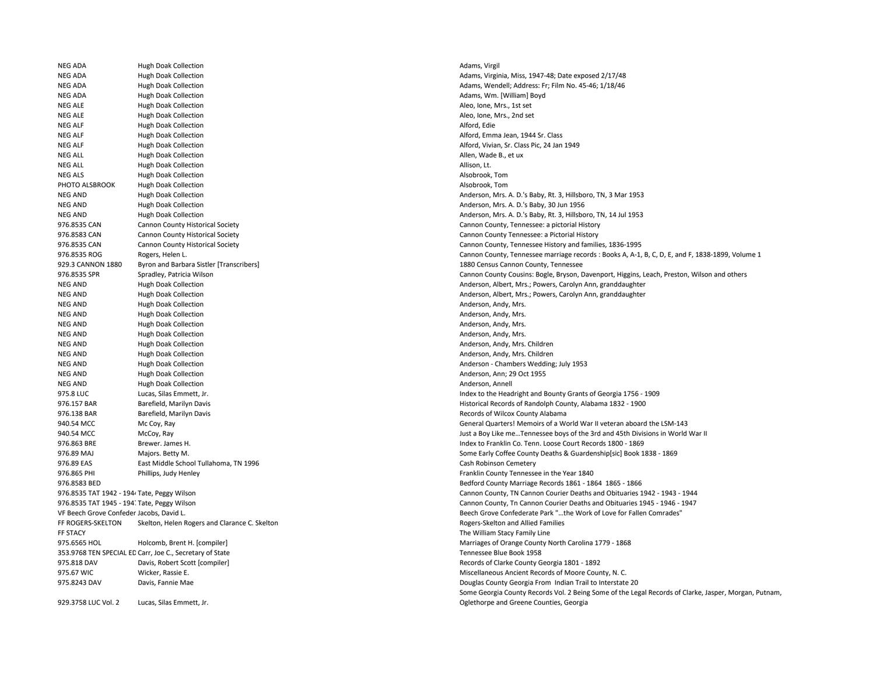NEG ADA Hugh Doak Collection Adams, Virgil NEG ADA Hugh Doak Collection Adams, Virginia, Miss, 1947-48; Date exposed 2/17/48 NEG ADA Hugh Doak Collection Adams, Wendell; Address: Fr; Film No. 45-46; 1/18/46 NEG ADA Hugh Doak Collection **Adams, Wm. [William] Boyd** Adams, Wm. [William] Boyd NEG ALE Hugh Doak Collection Aleo, Ione, Mrs., 1st set NEG ALE Hugh Doak Collection Aleo, Ione, Mrs., 2nd set NEG ALF **Hugh Doak Collection** Alford, Edie Alford, Edie Alford, Edie Alford, Edie Alford, Edie Alford, Edie Alford, Edie Alford, Edie Alford, Edie Alford, Edie Alford, Edie Alford, Edie Alford, Edie Alford, Edie Alford, E NEG ALF **Hugh Doak Collection** Alford, Emma Jean, 1944 Sr. Class NEG ALF **Hugh Doak Collection** Alford, Vivian, Sr. Class Pic, 24 Jan 1949 NEG ALL **Hugh Doak Collection** Allen, Wade B., et ux NEG ALL **Hugh Doak Collection** Allison, Lt. Allison, Lt. Allison, Lt. Allison, Lt. Allison, Lt. NEG ALS **Hugh Doak Collection** Alsobrook, Tom Alsobrook, Tom Alsobrook, Tom Alsobrook, Tom Alsobrook, Tom Alsobrook, Tom PHOTO ALSBROOK Hugh Doak Collection Alsobrook, Tom Alsobrook, Tom Alsobrook, Tom Alsobrook, Tom Alsobrook, Tom NEG AND Hugh Doak Collection Anderson, Mrs. A. D.'s Baby, Rt. 3, Hillsboro, TN, 3 Mar 1953 NEG AND Hugh Doak Collection Anderson, Mrs. A. D.'s Baby, 30 Jun 1956 NEG AND Hugh Doak Collection Anderson, Mrs. A. D.'s Baby, Rt. 3, Hillsboro, TN, 14 Jul 1953 976.8535 CAN Cannon County Historical Society Cannon County History Cannon County, Tennessee: a pictorial History 976.8583 CAN Cannon County Historical Society Cannon County Tennessee: a Pictorial History 976.8535 CAN Cannon County Historical Society Cannon County, Tennessee History and families, 1836-1995 929.3 CANNON 1880 Byron and Barbara Sistler [Transcribers] 1880 Census Cannon County, Tennessee NEG AND Hugh Doak Collection Anderson, Albert, Mrs.; Powers, Carolyn Ann, granddaughter NEG AND Hugh Doak Collection Anderson, Albert, Mrs.; Powers, Carolyn Ann, granddaughter NEG AND Hugh Doak Collection Anderson, Andy, Mrs. and Hugh Doak Collection Anderson, Andy, Mrs. NEG AND Hugh Doak Collection Anderson, Andy, Mrs. and Hugh Doak Collection Anderson, Andy, Mrs. and Anderson, Andy, Mrs. NEG AND Hugh Doak Collection **Anderson, Andy, Mrs.** Anderson, Andy, Mrs. Anderson, Andy, Mrs. NEG AND Hugh Doak Collection Anderson, Andy, Mrs. Anderson, Andy, Mrs. Anderson, Andy, Mrs. NEG AND Hugh Doak Collection Anderson, Anderson, Andy, Mrs. Children Anderson, Andy, Mrs. Children NEG AND Hugh Doak Collection Anderson, Anderson, Andy, Mrs. Children Anderson, Andy, Mrs. Children NEG AND Hugh Doak Collection Anderson - Chambers Wedding; July 1953 NEG AND Hugh Doak Collection Anderson, Ann; 29 Oct 1955 NEG AND **Hugh Doak Collection** Anderson, Annell Anderson, Annell Anderson, Annell 975.8 LUC Lucas, Silas Emmett, Jr. Index to the Headright and Bounty Grants of Georgia 1756 - 1909 976.157 BAR Barefield, Marilyn Davis Historical Records of Randolph County, Alabama 1832 - 1900 976.138 BAR Barefield, Marilyn Davis Barefield, Marilyn Davis Records of Wilcox County Alabama 976.863 BRE Brewer. James H. Index to Franklin Co. Tenn. Loose Court Records 1800 - 1869 976.89 MAJ Majors. Betty M. Some Early Coffee County Deaths & Guardenship[sic] Book 1838 - 1869 976.89 EAS East Middle School Tullahoma, TN 1996 Cash Robinson Cemetery Cash Robinson Cemetery 976.865 PHI Phillips, Judy Henley Franklin County Tennessee in the Year 1840 976.8583 BED Bedford County Marriage Records 1861 - 1864 1865 - 1866 FF ROGERS-SKELTON Skelton, Helen Rogers and Clarance C. Skelton Research Rogers-Skelton and Allied Families FF STACY The William Stacy Family Line 975.6565 HOL Holcomb, Brent H. [compiler] Marriages of Orange County North Carolina 1779 - 1868 353.9768 TEN SPECIAL ED Carr, Joe C., Secretary of State Tennessee Blue Book 1958 975.818 DAV Davis, Robert Scott [compiler] Records of Clarke County Georgia 1801 - 1892 975.67 WIC Wicker, Rassie E. Miscellaneous Ancient Records of Moore County, N. C. 975.8243 DAV Davis, Fannie Mae Douglas County Georgia From Indian Trail to Interstate 20

929.3758 LUC Vol. 2 Lucas, Silas Emmett, Jr.

976.8535 ROG Rogers, Helen L. Cannon County, Tennessee marriage records : Books A, A-1, B, C, D, E, and F, 1838-1899, Volume 1 976.8535 SPR Spradley, Patricia Wilson Cannon County Cousins: Bogle, Bryson, Davenport, Higgins, Leach, Preston, Wilson and others and others and others and others and others 940.54 MCC Mc Coy, Ray Mc Coy, Ray General Quarters! Memoirs of a World War II veteran aboard the LSM-143 940.54 MCC McCoy, Ray Just a Boy Like me…Tennessee boys of the 3rd and 45th Divisions in World War II 976.8535 TAT 1942 - 1944 Tate, Peggy Wilson Cannon County, TN Cannon County, TN Cannon Counter Deaths and Obituaries 1942 - 1943 - 1944 976.8535 TAT 1945 - 1947Tate, Peggy Wilson Cannon County, Tn Cannon Courier Deaths and Obituaries 1945 - 1946 - 1947 VF Beech Grove Confeder Jacobs, David L. Beech Grove Confederate Park "…the Work of Love for Fallen Comrades" Some Georgia County Records Vol. 2 Being Some of the Legal Records of Clarke, Jasper, Morgan, Putnam, Oglethorpe and Greene Counties, Georgia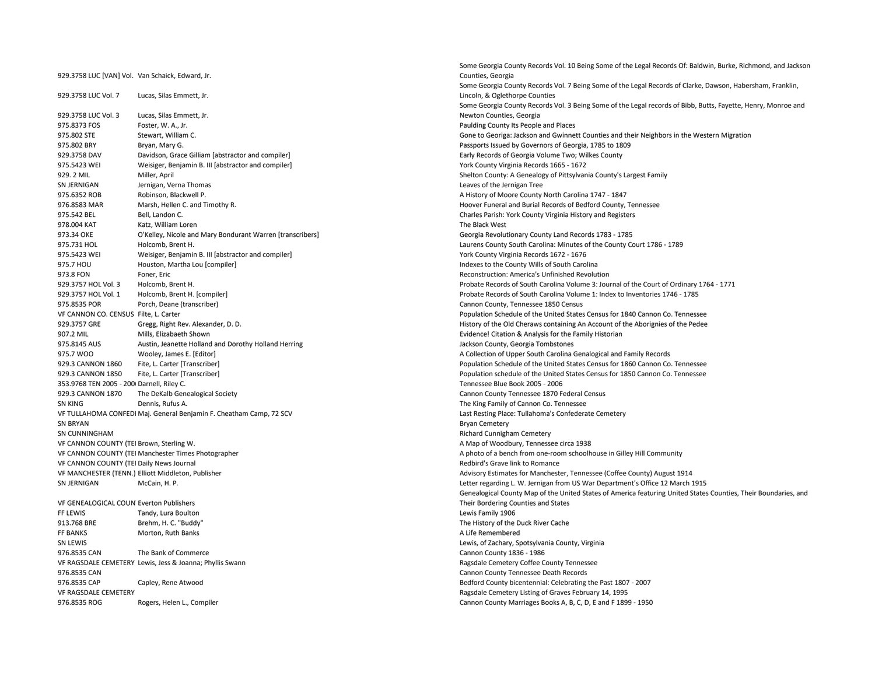|                                                  |                                                                     | Some Georgia County Records voi. In Being Some of the Legal i   |
|--------------------------------------------------|---------------------------------------------------------------------|-----------------------------------------------------------------|
| 929.3758 LUC [VAN] Vol. Van Schaick, Edward, Jr. |                                                                     | Counties, Georgia                                               |
|                                                  |                                                                     | Some Georgia County Records Vol. 7 Being Some of the Legal Re   |
| 929.3758 LUC Vol. 7                              | Lucas, Silas Emmett, Jr.                                            | Lincoln, & Oglethorpe Counties                                  |
|                                                  |                                                                     | Some Georgia County Records Vol. 3 Being Some of the Legal re   |
| 929.3758 LUC Vol. 3                              | Lucas, Silas Emmett, Jr.                                            | Newton Counties, Georgia                                        |
| 975.8373 FOS                                     | Foster, W. A., Jr.                                                  | Paulding County Its People and Places                           |
| 975.802 STE                                      | Stewart, William C.                                                 | Gone to Georiga: Jackson and Gwinnett Counties and their Neig   |
| 975.802 BRY                                      | Bryan, Mary G.                                                      | Passports Issued by Governors of Georgia, 1785 to 1809          |
| 929.3758 DAV                                     | Davidson, Grace Gilliam [abstractor and compiler]                   | Early Records of Georgia Volume Two; Wilkes County              |
| 975.5423 WEI                                     | Weisiger, Benjamin B. III [abstractor and compiler]                 | York County Virginia Records 1665 - 1672                        |
| 929.2 MIL                                        | Miller, April                                                       | Shelton County: A Genealogy of Pittsylvania County's Largest Fa |
| SN JERNIGAN                                      | Jernigan, Verna Thomas                                              | Leaves of the Jernigan Tree                                     |
| 975.6352 ROB                                     | Robinson, Blackwell P.                                              | A History of Moore County North Carolina 1747 - 1847            |
| 976.8583 MAR                                     | Marsh, Hellen C. and Timothy R.                                     | Hoover Funeral and Burial Records of Bedford County, Tennesse   |
| 975.542 BEL                                      | Bell, Landon C.                                                     | Charles Parish: York County Virginia History and Registers      |
| 978.004 KAT                                      | Katz, William Loren                                                 | The Black West                                                  |
| 973.34 OKE                                       | O'Kelley, Nicole and Mary Bondurant Warren [transcribers]           | Georgia Revolutionary County Land Records 1783 - 1785           |
| 975.731 HOL                                      | Holcomb, Brent H.                                                   | Laurens County South Carolina: Minutes of the County Court 17   |
| 975.5423 WEI                                     | Weisiger, Benjamin B. III [abstractor and compiler]                 | York County Virginia Records 1672 - 1676                        |
| 975.7 HOU                                        | Houston, Martha Lou [compiler]                                      | Indexes to the County Wills of South Carolina                   |
| 973.8 FON                                        | Foner, Eric                                                         | Reconstruction: America's Unfinished Revolution                 |
| 929.3757 HOL Vol. 3                              |                                                                     | Probate Records of South Carolina Volume 3: Journal of the Cou  |
| 929.3757 HOL Vol. 1                              | Holcomb, Brent H.                                                   | Probate Records of South Carolina Volume 1: Index to Inventori  |
|                                                  | Holcomb, Brent H. [compiler]                                        |                                                                 |
| 975.8535 POR                                     | Porch, Deane (transcriber)                                          | Cannon County, Tennessee 1850 Census                            |
| VF CANNON CO. CENSUS Filte, L. Carter            |                                                                     | Population Schedule of the United States Census for 1840 Cann   |
| 929.3757 GRE                                     | Gregg, Right Rev. Alexander, D. D.                                  | History of the Old Cheraws containing An Account of the Aborig  |
| 907.2 MIL                                        | Mills, Elizabaeth Shown                                             | Evidence! Citation & Analysis for the Family Historian          |
| 975.8145 AUS                                     | Austin, Jeanette Holland and Dorothy Holland Herring                | Jackson County, Georgia Tombstones                              |
| 975.7 WOO                                        | Wooley, James E. [Editor]                                           | A Collection of Upper South Carolina Genalogical and Family Re  |
| 929.3 CANNON 1860                                | Fite, L. Carter [Transcriber]                                       | Population Schedule of the United States Census for 1860 Cann   |
| 929.3 CANNON 1850                                | Fite, L. Carter [Transcriber]                                       | Population schedule of the United States Census for 1850 Canno  |
| 353.9768 TEN 2005 - 200 Darnell, Riley C.        |                                                                     | Tennessee Blue Book 2005 - 2006                                 |
| 929.3 CANNON 1870                                | The DeKalb Genealogical Society                                     | Cannon County Tennessee 1870 Federal Census                     |
| <b>SN KING</b>                                   | Dennis, Rufus A.                                                    | The King Family of Cannon Co. Tennessee                         |
|                                                  | VF TULLAHOMA CONFEDI Maj. General Benjamin F. Cheatham Camp, 72 SCV | Last Resting Place: Tullahoma's Confederate Cemetery            |
| <b>SN BRYAN</b>                                  |                                                                     | <b>Bryan Cemetery</b>                                           |
| SN CUNNINGHAM                                    |                                                                     | Richard Cunnigham Cemetery                                      |
| VF CANNON COUNTY (TEI Brown, Sterling W.         |                                                                     | A Map of Woodbury, Tennessee circa 1938                         |
|                                                  | VF CANNON COUNTY (TEI Manchester Times Photographer                 | A photo of a bench from one-room schoolhouse in Gilley Hill Co  |
| VF CANNON COUNTY (TEI Daily News Journal         |                                                                     | Redbird's Grave link to Romance                                 |
|                                                  | VF MANCHESTER (TENN.) Elliott Middleton, Publisher                  | Advisory Estimates for Manchester, Tennessee (Coffee County)    |
| SN JERNIGAN                                      | McCain, H. P.                                                       | Letter regarding L. W. Jernigan from US War Department's Offic  |
|                                                  |                                                                     | Genealogical County Map of the United States of America featu   |
| VF GENEALOGICAL COUN Everton Publishers          |                                                                     | Their Bordering Counties and States                             |
| FF LEWIS                                         | Tandy, Lura Boulton                                                 | Lewis Family 1906                                               |
| 913.768 BRE                                      | Brehm, H. C. "Buddy"                                                | The History of the Duck River Cache                             |
| <b>FF BANKS</b>                                  | Morton, Ruth Banks                                                  | A Life Remembered                                               |
| SN LEWIS                                         |                                                                     | Lewis, of Zachary, Spotsylvania County, Virginia                |
| 976.8535 CAN                                     | The Bank of Commerce                                                | Cannon County 1836 - 1986                                       |
|                                                  | VF RAGSDALE CEMETERY Lewis, Jess & Joanna; Phyllis Swann            | Ragsdale Cemetery Coffee County Tennessee                       |
| 976.8535 CAN                                     |                                                                     | Cannon County Tennessee Death Records                           |
| 976.8535 CAP                                     | Capley, Rene Atwood                                                 | Bedford County bicentennial: Celebrating the Past 1807 - 2007   |
| VF RAGSDALE CEMETERY                             |                                                                     | Ragsdale Cemetery Listing of Graves February 14, 1995           |
| 976.8535 ROG                                     | Rogers, Helen L., Compiler                                          | Cannon County Marriages Books A, B, C, D, E and F 1899 - 1950   |
|                                                  |                                                                     |                                                                 |

Some Georgia County Records Vol. 10 Being Some of the Legal Records Of: Baldwin, Burke, Richmond, and Jackson Counties, Georgia Some Georgia County Records Vol. 7 Being Some of the Legal Records of Clarke, Dawson, Habersham, Franklin, Lincoln, & Oglethorpe Counties Some Georgia County Records Vol. 3 Being Some of the Legal records of Bibb, Butts, Fayette, Henry, Monroe and Newton Counties, Georgia Paulding County Its People and Places Gone to Georiga: Jackson and Gwinnett Counties and their Neighbors in the Western Migration Passports Issued by Governors of Georgia, 1785 to 1809 Early Records of Georgia Volume Two; Wilkes County York County Virginia Records 1665 - 1672 Shelton County: A Genealogy of Pittsylvania County's Largest Family Leaves of the Jernigan Tree A History of Moore County North Carolina 1747 - 1847 Hoover Funeral and Burial Records of Bedford County, Tennessee Charles Parish: York County Virginia History and Registers Georgia Revolutionary County Land Records 1783 - 1785 Laurens County South Carolina: Minutes of the County Court 1786 - 1789 York County Virginia Records 1672 - 1676 Indexes to the County Wills of South Carolina Reconstruction: America's Unfinished Revolution Probate Records of South Carolina Volume 3: Journal of the Court of Ordinary 1764 - 1771 Probate Records of South Carolina Volume 1: Index to Inventories 1746 - 1785 Cannon County, Tennessee 1850 Census Population Schedule of the United States Census for 1840 Cannon Co. Tennessee History of the Old Cheraws containing An Account of the Aborignies of the Pedee Evidence! Citation & Analysis for the Family Historian Jackson County, Georgia Tombstones A Collection of Upper South Carolina Genalogical and Family Records Population Schedule of the United States Census for 1860 Cannon Co. Tennessee Population schedule of the United States Census for 1850 Cannon Co. Tennessee Tennessee Blue Book 2005 - 2006 Cannon County Tennessee 1870 Federal Census The King Family of Cannon Co. Tennessee Last Resting Place: Tullahoma's Confederate Cemetery Bryan Cemetery Richard Cunnigham Cemetery A Map of Woodbury, Tennessee circa 1938 A photo of a bench from one-room schoolhouse in Gilley Hill Community Redbird's Grave link to Romance Advisory Estimates for Manchester, Tennessee (Coffee County) August 1914 Letter regarding L. W. Jernigan from US War Department's Office 12 March 1915 Genealogical County Map of the United States of America featuring United States Counties, Their Boundaries, and Their Bordering Counties and States Lewis Family 1906 The History of the Duck River Cache A Life Remembered Lewis, of Zachary, Spotsylvania County, Virginia Cannon County 1836 - 1986 Ragsdale Cemetery Coffee County Tennessee Cannon County Tennessee Death Records Bedford County bicentennial: Celebrating the Past 1807 - 2007 Ragsdale Cemetery Listing of Graves February 14, 1995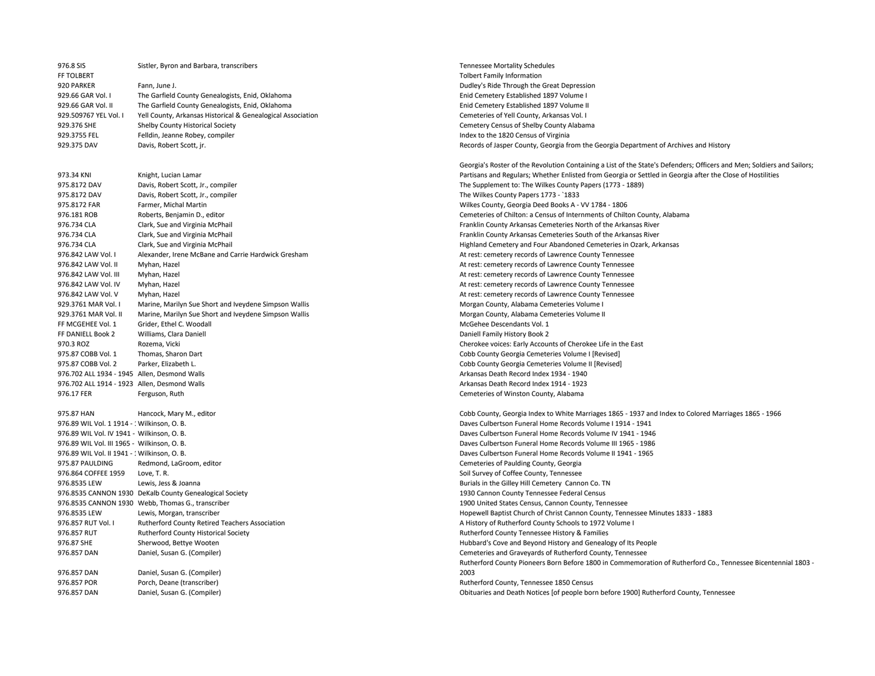| 976.8 SIS                                                                                   | Sistler, Byron and Barbara, transcribers                    |
|---------------------------------------------------------------------------------------------|-------------------------------------------------------------|
| FF TOLBERT                                                                                  |                                                             |
| 920 PARKER                                                                                  | Fann, June J.                                               |
| 929.66 GAR Vol. I                                                                           | The Garfield County Genealogists, Enid, Oklahoma            |
| 929.66 GAR Vol. II                                                                          | The Garfield County Genealogists, Enid, Oklahoma            |
| 929.509767 YEL Vol. I                                                                       | Yell County, Arkansas Historical & Genealogical Association |
| 929.376 SHE                                                                                 | Shelby County Historical Society                            |
| 929.3755 FEL                                                                                | Felldin, Jeanne Robey, compiler                             |
| 929.375 DAV                                                                                 | Davis, Robert Scott, jr.                                    |
| 973.34 KNI                                                                                  | Knight, Lucian Lamar                                        |
| 975.8172 DAV                                                                                | Davis, Robert Scott, Jr., compiler                          |
| 975.8172 DAV                                                                                | Davis, Robert Scott, Jr., compiler                          |
| 975.8172 FAR                                                                                | Farmer, Michal Martin                                       |
| 976.181 ROB                                                                                 | Roberts, Benjamin D., editor                                |
| 976.734 CLA                                                                                 | Clark, Sue and Virginia McPhail                             |
| 976.734 CLA                                                                                 | Clark, Sue and Virginia McPhail                             |
| 976.734 CLA                                                                                 | Clark, Sue and Virginia McPhail                             |
| 976.842 LAW Vol. I                                                                          | Alexander, Irene McBane and Carrie Hardwick Gresham         |
| 976.842 LAW Vol. II                                                                         | Myhan, Hazel                                                |
| 976.842 LAW Vol. III                                                                        | Myhan, Hazel                                                |
| 976.842 LAW Vol. IV                                                                         | Myhan, Hazel                                                |
| 976.842 LAW Vol. V                                                                          | Myhan, Hazel                                                |
| 929.3761 MAR Vol. I                                                                         | Marine, Marilyn Sue Short and Iveydene Simpson Wallis       |
| 929.3761 MAR Vol. II                                                                        | Marine, Marilyn Sue Short and Iveydene Simpson Wallis       |
| FF MCGEHEE Vol. 1                                                                           | Grider, Ethel C. Woodall                                    |
| FF DANIELL Book 2                                                                           | Williams, Clara Daniell                                     |
| 970.3 ROZ                                                                                   | Rozema, Vicki                                               |
| 975.87 COBB Vol. 1                                                                          | Thomas, Sharon Dart                                         |
| 975.87 COBB Vol. 2                                                                          | Parker, Elizabeth L.                                        |
| 976.702 ALL 1934 - 1945 Allen, Desmond Walls                                                |                                                             |
| 976.702 ALL 1914 - 1923 Allen, Desmond Walls                                                |                                                             |
| 976.17 FER                                                                                  | Ferguson, Ruth                                              |
| 975.87 HAN                                                                                  | Hancock, Mary M., editor                                    |
| 976.89 WIL Vol. 1 1914 - : Wilkinson, O. B.<br>976.89 WIL Vol. IV 1941 - Wilkinson, O. B.   |                                                             |
|                                                                                             |                                                             |
| 976.89 WIL Vol. III 1965 - Wilkinson, O. B.<br>976.89 WIL Vol. II 1941 - 1 Wilkinson, O. B. |                                                             |
| 975.87 PAULDING                                                                             | Redmond, LaGroom, editor                                    |
| 976.864 COFFEE 1959                                                                         | Love, T. R.                                                 |
| 976.8535 LEW                                                                                | Lewis, Jess & Joanna                                        |
|                                                                                             | 976.8535 CANNON 1930 DeKalb County Genealogical Society     |
|                                                                                             | 976.8535 CANNON 1930 Webb, Thomas G., transcriber           |
| 976.8535 LEW                                                                                | Lewis, Morgan, transcriber                                  |
| 976.857 RUT Vol. I                                                                          | Rutherford County Retired Teachers Association              |
| 976.857 RUT                                                                                 | Rutherford County Historical Society                        |
| 976.87 SHE                                                                                  | Sherwood, Bettye Wooten                                     |
| 976.857 DAN                                                                                 | Daniel, Susan G. (Compiler)                                 |
| 976.857 DAN                                                                                 | Daniel, Susan G. (Compiler)                                 |
| 976.857 POR                                                                                 | Porch, Deane (transcriber)                                  |
| 976 857 DAN                                                                                 | Daniel Susan G (Compiler)                                   |

Tennessee Mortality Schedules Tolbert Family Information Dudley's Ride Through the Great Depression Enid Cemetery Established 1897 Volume I Enid Cemetery Established 1897 Volume II Cemeteries of Yell County, Arkansas Vol. I Cemetery Census of Shelby County Alabama Index to the 1820 Census of Virginia Records of Jasper County, Georgia from the Georgia Department of Archives and History

Georgia's Roster of the Revolution Containing a List of the State's Defenders; Officers and Men; Soldiers and Sailors; Partisans and Regulars; Whether Enlisted from Georgia or Settled in Georgia after the Close of Hostilities The Supplement to: The Wilkes County Papers (1773 - 1889) The Wilkes County Papers 1773 - `1833 Wilkes County, Georgia Deed Books A - VV 1784 - 1806 Cemeteries of Chilton: a Census of Internments of Chilton County, Alabama Franklin County Arkansas Cemeteries North of the Arkansas River Franklin County Arkansas Cemeteries South of the Arkansas River Highland Cemetery and Four Abandoned Cemeteries in Ozark, Arkansas At rest: cemetery records of Lawrence County Tennessee At rest: cemetery records of Lawrence County Tennessee At rest: cemetery records of Lawrence County Tennessee At rest: cemetery records of Lawrence County Tennessee At rest: cemetery records of Lawrence County Tennessee Morgan County, Alabama Cemeteries Volume I Morgan County, Alabama Cemeteries Volume II McGehee Descendants Vol. 1 Daniell Family History Book 2 Cherokee voices: Early Accounts of Cherokee Life in the East Cobb County Georgia Cemeteries Volume I [Revised] Cobb County Georgia Cemeteries Volume II [Revised] Arkansas Death Record Index 1934 - 1940 Arkansas Death Record Index 1914 - 1923 Cemeteries of Winston County, Alabama

Cobb County, Georgia Index to White Marriages 1865 - 1937 and Index to Colored Marriages 1865 - 1966 Daves Culbertson Funeral Home Records Volume I 1914 - 1941 Daves Culbertson Funeral Home Records Volume IV 1941 - 1946 Daves Culbertson Funeral Home Records Volume III 1965 - 1986 Daves Culbertson Funeral Home Records Volume II 1941 - 1965 Cemeteries of Paulding County, Georgia Soil Survey of Coffee County, Tennessee Burials in the Gilley Hill Cemetery Cannon Co. TN 1930 Cannon County Tennessee Federal Census 1900 United States Census, Cannon County, Tennessee Hopewell Baptist Church of Christ Cannon County, Tennessee Minutes 1833 - 1883 A History of Rutherford County Schools to 1972 Volume I Rutherford County Tennessee History & Families Hubbard's Cove and Beyond History and Genealogy of Its People Cemeteries and Graveyards of Rutherford County, Tennessee Rutherford County Pioneers Born Before 1800 in Commemoration of Rutherford Co., Tennessee Bicentennial 1803 - 2003 Rutherford County, Tennessee 1850 Census 976.857 DAN Daniel, Susan G. (Compiler) Obituaries and Death Notices [of people born before 1900] Rutherford County, Tennessee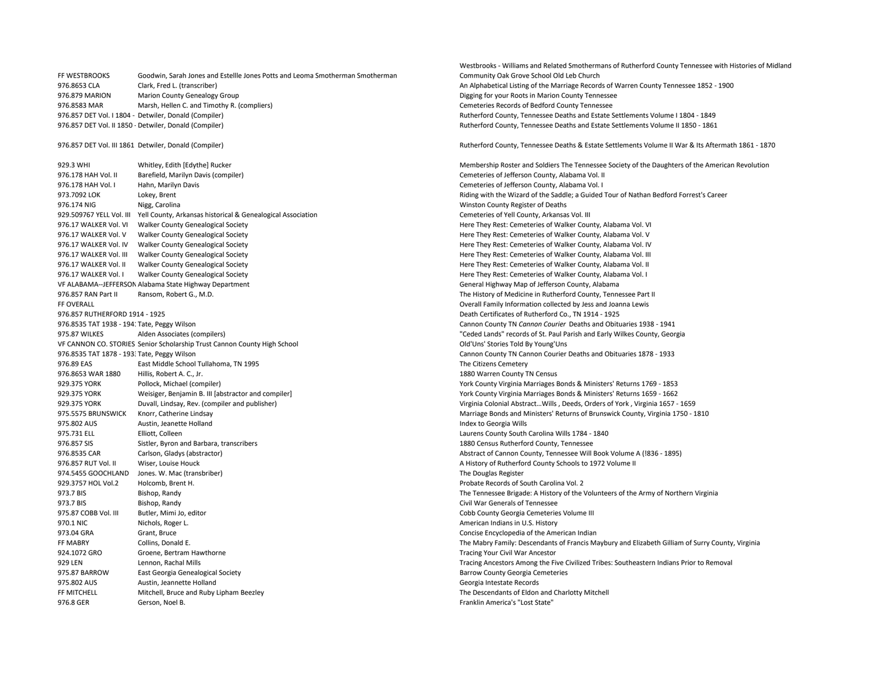FF WESTBROOKS Goodwin, Sarah Jones and Estellle Jones Potts and Leoma Smotherman Smotherman 976.8653 CLA Clark, Fred L. (transcriber) 2.1900 Clark, Fred L. (transcriber) 2.1900 Clark, Fred L. (transcriber) 976.879 MARION Marion County Genealogy Group Digging to the Digging for your Roots in Marion County Tennessee 976.8583 MAR Marsh, Hellen C. and Timothy R. (compliers) Cemeteries Records of Bedford County Tennessee 976.857 DET Vol. I 1804 - Detwiler, Donald (Compiler) Rutherford County, Tennessee Deaths and Estate Settlements Volume I 1804 - 1849 976.857 DET Vol. II 1850 - Detwiler, Donald (Compiler) and Estate Settlements Volume II 1850 - 1861 - 1861 - 1861

976.178 HAH Vol. II Barefield, Marilyn Davis (compiler) Cemeteries of Jefferson County, Alabama Vol. II 976.178 HAH Vol. I Hahn, Marilyn Davis Cemeteries of Jefferson County, Alabama Vol. I 976.174 NIG Nigg, Carolina Winston County Register of Deaths 929.509767 YELL Vol. III Yell County, Arkansas historical & Genealogical Association Cemeteries of Yell County, Arkansas Vol. III 976.17 WALKER Vol. VI Walker County Genealogical Society Here They Rest: Cemeteries of Walker County, Alabama Vol. VI 976.17 WALKER Vol. V Walker County Genealogical Society Here They Rest: Cemeteries of Walker County, Alabama Vol. V 976.17 WALKER Vol. IV Walker County Genealogical Society **Here They Rest: Cemeteries of Walker County, Alabama Vol. IV** 976.17 WALKER Vol. III Walker County Genealogical Society Here They Rest: Cemeteries of Walker County, Alabama Vol. III 976.17 WALKER Vol. II Walker County Genealogical Society **Here They Rest: Cemeteries of Walker County, Alabama Vol. II** 976.17 WALKER Vol. I Walker County Genealogical Society **Here They Rest: Cemeteries of Walker County, Alabama Vol. I** VF ALABAMA--JEFFERSON Alabama State Highway Department General Highway Map of Jefferson County, Alabama 976.857 RAN Part II Ransom, Robert G., M.D. The History of Medicine in Rutherford County, Tennessee Part II FF OVERALL Overall Family Information collected by Jess and Joanna Lewis 976.857 RUTHERFORD 1914 - 1925 Death Certificates of Rutherford Co., TN 1914 - 1925 976.8535 TAT 1938 - 1941Tate, Peggy Wilson Cannon County TN *Cannon Courier* Deaths and Obituaries 1938 - 1941 975.87 WILKES Alden Associates (compilers) "Ceded Lands" records of St. Paul Parish and Early Wilkes County, Georgia VF CANNON CO. STORIES Senior Scholarship Trust Cannon County High School Old'Uns' Stories Told By Young'Uns 976.8535 TAT 1878 - 1933Tate, Peggy Wilson Cannon County TN Cannon Courier Deaths and Obituaries 1878 - 1933 976.89 EAS East Middle School Tullahoma, TN 1995 The Citizens Cemetery and The Citizens Cemetery 976.8653 WAR 1880 Hillis, Robert A. C., Jr. 1880 Warren County TN Census 929.375 YORK Pollock, Michael (compiler) York County Virginia Marriages Bonds & Ministers' Returns 1769 - 1853 929.375 YORK Weisiger, Benjamin B. III [abstractor and compiler] Weisiger, Benjamin B. III [abstractor and compiler] Weisiger, Benjamin B. III [abstractor and compiler] Weisiger, Benjamin B. III [abstractor and compiler] W 929.375 YORK Duvall, Lindsay, Rev. (compiler and publisher) Virginia Colonial Abstract…Wills , Deeds, Orders of York , Virginia 1657 - 1659 975.5575 BRUNSWICK Knorr, Catherine Lindsay Marriage Bonds and Ministers' Returns of Brunswick County, Virginia 1750 - 1810 975.802 AUS Austin, Jeanette Holland Australian and Index to Georgia Wills 975.731 ELL Elliott, Colleen Laurens County South Carolina Wills 1784 - 1840 976.857 SIS Sistler, Byron and Barbara, transcribers 1880 Census Rutherford County, Tennessee 976.8535 CAR Carlson, Gladys (abstractor) Abstractor Cannon County, Tennessee Will Book Volume A (!836 - 1895) 976.857 RUT Vol. II Wiser, Louise Houck A History of Rutherford County Schools to 1972 Volume II 974.5455 GOOCHLAND Jones. W. Mac (transbriber) and the Douglas Register of the Douglas Register 929.3757 HOL Vol.2 Holcomb, Brent H. Probate Records of South Carolina Vol. 2 973.7 BIS Bishop, Randy Bishop, Randy The Tennessee Brigade: A History of the Volunteers of the Army of Northern Virginia 973.7 BIS Bishop, Randy Civil War Generals of Tennessee 975.87 COBB Vol. III Butler, Mimi Jo, editor Cobb County Georgia Cemeteries Volume III 970.1 NIC Nichols, Roger L. American Indians in U.S. History Nichols, Roger L. 973.04 GRA Grant, Bruce Concise Encyclopedia of the American Indian 924.1072 GRO Groene, Bertram Hawthorne Tracing Your Civil War Ancestor 975.87 BARROW East Georgia Genealogical Society Barrow County Georgia Cemeteries 975.802 AUS Austin, Jeannette Holland Australian and Georgia Intestate Records FF MITCHELL Mitchell, Bruce and Ruby Lipham Beezley The Descendants of Eldon and Charlotty Mitchell 976.8 GER Gerson, Noel B. Franklin America's "Lost State"

Westbrooks - Williams and Related Smothermans of Rutherford County Tennessee with Histories of Midland Community Oak Grove School Old Leb Church

976.857 DET Vol. III 1861 Detwiler, Donald (Compiler) Rutherford County, Tennessee Deaths & Estate Settlements Volume II War & Its Aftermath 1861 - 1870

929.3 WHI Whitley, Edith [Edythe] Rucker Membership Roster and Soldiers The Tennessee Society of the Daughters of the American Revolution 973.7092 LOK Lokey. Brent Lokey, Brent Riding with the Wizard of the Saddle: a Guided Tour of Nathan Bedford Forrest's Career FF MABRY Collins, Donald E. The Mabry Family: Descendants of Francis Maybury and Elizabeth Gilliam of Surry County, Virginia 929 LEN Lennon, Rachal Mills Tracing Ancestors Among the Five Civilized Tribes: Southeastern Indians Prior to Removal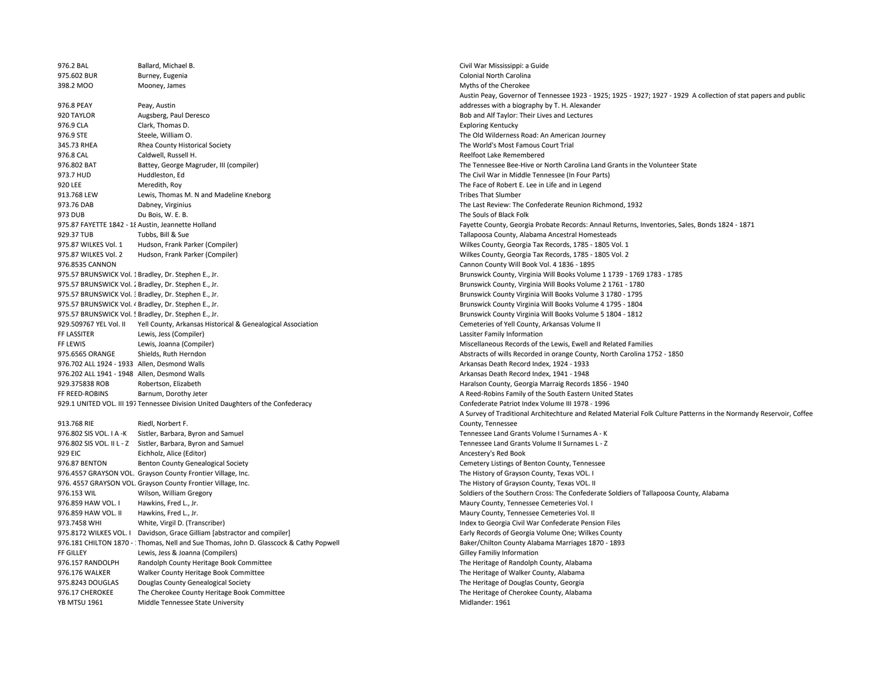976.2 BAL Ballard, Michael B. Civil War Mississippi: a Guide 975.602 BUR Burney, Eugenia Colonial North Carolina 398.2 MOO Mooney, James Music and Society And Society And Society And Society And Society And Society And Society And Society And Society And Society And Society And Society And Society And Society And Society And Society 976.8 PEAY Peay, Austin 920 TAYLOR Augsberg, Paul Deresco Bob and Alf Taylor: Their Lives and Lectures 976.9 CLA Clark, Thomas D. **Clark, Thomas D.** Exploring Kentucky 976.9 STE Steele, William O. Steele, William O. Steele, William O. The Old Wilderness Road: An American Journey 345.73 RHEA Rhea County Historical Society The World's Most Famous Court Trial 976.8 CAL Caldwell, Russell H. Reelfoot Lake Remembered 976.802 BAT Battey, George Magruder, III (compiler) The Tennessee Bee-Hive or North Carolina Land Grants in the Volunteer State 973.7 HUD Huddleston, Ed The Civil War in Middle Tennessee (In Four Parts) 920 LEE Meredith, Roy The Face of Robert E. Lee in Life and in Legend 913.768 LEW Lewis, Thomas M. N and Madeline Kneborg Tribes That Slumber Tribes That Slumber 973.76 DAB Dabney, Virginius The Last Review: The Confederate Reunion Richmond, 1932 973 DUB Du Bois, W. E. B. The Souls of Black Folk 929.37 TUB Tubbs, Bill & Sue Tallapoosa County, Alabama Ancestral Homesteads 975.87 WILKES Vol. 1 Hudson, Frank Parker (Compiler) Wilkes County, Georgia Tax Records, 1785 - 1805 Vol. 1 975.87 WILKES Vol. 2 Hudson, Frank Parker (Compiler) Wilkes County, Georgia Tax Records, 1785 - 1805 Vol. 2 976.8535 CANNON Cannon County Will Book Vol. 4 1836 - 1895 975.57 BRUNSWICK Vol. 1 Bradley, Dr. Stephen E., Jr. Brunswick County, Virginia Will Books Volume 1 1739 - 1769 1783 - 1785 975.57 BRUNSWICK Vol. 2 Bradley, Dr. Stephen E., Jr. Brunswick County, Virginia Will Books Volume 2 1761 - 1780 975.57 BRUNSWICK Vol. 3 Bradley, Dr. Stephen E., Jr. Brunswick County Virginia Will Books Volume 3 1780 - 1795 975.57 BRUNSWICK Vol. 4 Bradley, Dr. Stephen E., Jr. Brunswick County Virginia Will Books Volume 4 1795 - 1804 975.57 BRUNSWICK Vol. 5 Bradley, Dr. Stephen E., Jr. Brunswick County Virginia Will Books Volume 5 1804 - 1812 929.509767 YEL Vol. II Yell County, Arkansas Historical & Genealogical Association Cemeterical Cemeteries of Yell County, Arkansas Volume II FF LASSITER Lewis, Jess (Compiler) Lassiter Family Information FF LEWIS Lewis, Joanna (Compiler) and the Compiler of the Lewis, Ewell and Related Families 975.6565 ORANGE Shields, Ruth Herndon Abstracts of wills Recorded in orange County, North Carolina 1752 - 1850 976.702 ALL 1924 - 1933 Allen, Desmond Walls Arkansas Death Record Index, 1924 - 1933 976.202 ALL 1941 - 1948 Allen, Desmond Walls Arkansas Death Record Index, 1941 - 1948 929.375838 ROB Robertson, Elizabeth Haralson County, Georgia Marraig Records 1856 - 1940 FF REED-ROBINS Barnum, Dorothy Jeter A Reed-Robins Family of the South Eastern United States 929.1 UNITED VOL. III 197 Tennessee Division United Daughters of the Confederacy Confederate Patriot Index Volume III 1978 - 1996 913.768 RIE Riedl, Norbert F. 976.802 SIS VOL. I A -K Sistler, Barbara, Byron and Samuel Samuel Tennessee Land Grants Volume I Surnames A - K 976.802 SIS VOL. II L - Z Sistler, Barbara, Byron and Samuel Surnames L - Z Controller Surnames L - Z Controller Surnames L - Z 929 EIC Eichholz, Alice (Editor) Ancestery's Red Book 976.87 BENTON Benton County Genealogical Society Cemetery Listings of Benton County, Tennessee 976.4557 GRAYSON VOL. Grayson County Frontier Village, Inc. The History of Grayson County, Texas VOL. I 976. 4557 GRAYSON VOL. Grayson County Frontier Village, Inc. The History of Grayson County, Texas VOL. II 976.153 WIL Wilson, William Gregory Soldiers of the Southern Cross: The Confederate Soldiers of Tallapoosa County, Alabama 976.859 HAW VOL. I Hawkins. Fred L., Jr. Maury County, Tennessee Cemeteries Vol. I Naury County, Tennessee Cemeteries Vol. I 976.859 HAW VOL. II Hawkins, Fred L., Jr. Maury County, Tennessee Cemeteries Vol. II and Society And The Steven Lines and Society And The Maury County, Tennessee Cemeteries Vol. II 973.7458 WHI White, Virgil D. (Transcriber) Content of Content of Content of Confederate Pension Files 975.8172 WILKES VOL. I Davidson, Grace Gilliam [abstractor and compiler] early Records of Georgia Volume One; Wilkes County 976.181 CHILTON 1870 - : Thomas, Nell and Sue Thomas, John D. Glasscock & Cathy Popwell Baker/Chilton County Alabama Marriages 1870 - 1893 FF GILLEY Lewis, Jess & Joanna (Compilers) Gilley Familiy Information 976.157 RANDOLPH Randolph County Heritage Book Committee The Heritage of Randolph County, Alabama 976.176 WALKER Walker County Heritage Book Committee The Heritage of Walker County, Alabama 975.8243 DOUGLAS Douglas County Genealogical Society **The Heritage of Douglas County, Georgia** 976.17 CHEROKEE The Cherokee County Heritage Book Committee The Heritage of Cherokee County, Alabama YB MTSU 1961 Middle Tennessee State University Midlander: 1961

Austin Peay, Governor of Tennessee 1923 - 1925; 1925 - 1927; 1927 - 1929 A collection of stat papers and public addresses with a biography by T. H. Alexander 975.87 FAYETTE 1842 - 18Austin, Jeannette Holland Fayette County, Georgia Probate Records: Annaul Returns, Inventories, Sales, Bonds 1824 - 1871 A Survey of Traditional Architechture and Related Material Folk Culture Patterns in the Normandy Reservoir, Coffee County, Tennessee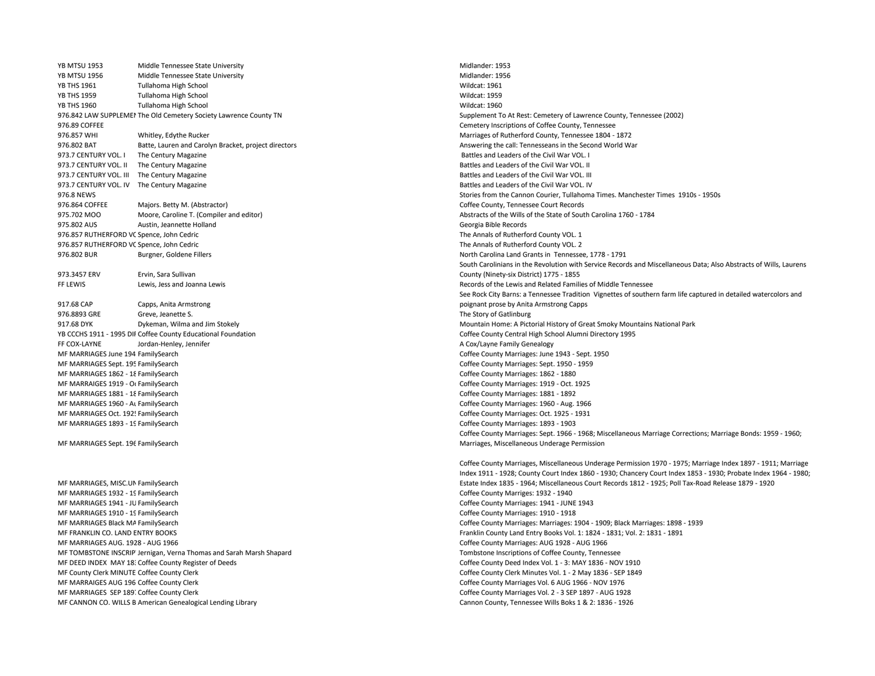YB MTSU 1953 Middle Tennessee State University Middle Australian Communication of the Midlander: 1953 YB MTSU 1956 Middle Tennessee State University Midlander: 1956 YB THS 1961 Tullahoma High School Wildcat: 1961 YB THS 1959 Tullahoma High School Wildcat: 1959 YB THS 1960 Tullahoma High School Wildcat: 1960 976.842 LAW SUPPLEMEN The Old Cemetery Society Lawrence County TN Supplement To At Rest: Cemetery of Lawrence County, Tennessee (2002) 976.89 COFFEE COUNTY, Tennessee Cemetery Inscriptions of Coffee County, Tennessee 976.857 WHI Whitley, Edythe Rucker Marriages of Rutherford County, Tennessee 1804 - 1872 976.802 BAT Batte, Lauren and Carolyn Bracket, project directors Answering the call: Tennesseans in the Second World War 973.7 CENTURY VOL. I The Century Magazine **Battles and Leaders of the Civil War VOL.** I 973.7 CENTURY VOL. II The Century Magazine Battles and Leaders of the Civil War VOL. II 973.7 CENTURY VOL. III The Century Magazine **Battles and Leaders of the Civil War VOL.** III 973.7 CENTURY VOL. IV The Century Magazine General According to the Civil War VOL. IV and Leaders of the Civil War VOL. IV 976.864 COFFEE Majors. Betty M. (Abstractor) Coffee County, Tennessee Court Records 975.702 MOO Moore, Caroline T. (Compiler and editor) Abstracts of the Wills of the State of South Carolina 1760 - 1784 975.802 AUS Austin, Jeannette Holland Georgia Bible Records 976.857 RUTHERFORD VC Spence, John Cedric North County VOL. 1 976.857 RUTHERFORD VC Spence, John Cedric The Annals of Rutherford County VOL. 2 976.802 BUR Burgner, Goldene Fillers North Carolina Land Grants in Tennessee, 1778 - 1791 973.3457 ERV Ervin, Sara Sullivan FF LEWIS Lewis, Jess and Joanna Lewis and Records of the Lewis and Related Families of Middle Tennessee 917.68 CAP Capps, Anita Armstrong 976.8893 GRE Greve, Jeanette S. The Story of Gatlinburg 917.68 DYK Dykeman, Wilma and Jim Stokely Mountain Home: A Pictorial History of Great Smoky Mountains National Park YB CCCHS 1911 - 1995 DIRCoffee County Educational Foundation Coffee County Central High School Alumni Directory 1995 FF COX-LAYNE Jordan-Henley, Jennifer A Cox/Layne Family Genealogy and the A Cox/Layne Family Genealogy MF MARRIAGES June 194 FamilySearch Coffee County Marriages: June 1943 - Sept. 1950 MF MARRIAGES Sept. 195 FamilySearch Coffee County Marriages: Sept. 1950 - 1959 MF MARRIAGES 1862 - 18FamilySearch Coffee County Marriages: 1862 - 1880 MF MARRAIGES 1919 - Oc FamilySearch Coffee County Marriages: 1919 - Oct. 1925 MF MARRIAGES 1881 - 18FamilySearch Coffee County Marriages: 1881 - 1892 MF MARRIAGES 1960 - Au FamilySearch Coffee County Marriages: 1960 - Aug. 1966 MF MARRIAGES Oct. 1925 FamilySearch Coffee County Marriages: Oct. 1925 - 1931 MF MARRIAGES 1893 - 19FamilySearch Coffee County Marriages: 1893 - 1903 MF MARRIAGES Sept. 196 FamilySearch MF MARRIAGES, MISC.UN FamilySearch MF MARRIAGES 1932 - 19FamilySearch Coffee County Marriges: 1932 - 1940 MF MARRIAGES 1941 - JU FamilySearch Coffee County Marriages: 1941 - JUNE 1943 MF MARRIAGES 1910 - 19FamilySearch Coffee County Marriages: 1910 - 1918 MF MARRIAGES Black MA FamilySearch Coffee County Marriages: 1904 - 1909; Black Marriages: 1898 - 1939 - 1939 MF FRANKLIN CO. LAND ENTRY BOOKS FRANKLIN COUNTY LAND ENTRY BOOKS VOL. 1: 1824 - 1831; Vol. 2: 1831 - 1891 - 1891 MF MARRIAGES AUG. 1928 - AUG 1966 Coffee County Marriages: AUG 1928 - AUG 1966 MF TOMBSTONE INSCRIPT Jernigan, Verna Thomas and Sarah Marsh Shapard Tombstone Inscriptions of Coffee County, Tennessee MF DEED INDEX MAY 18: Coffee County Register of Deeds Correct County Deed Index Vol. 1 - 3: MAY 1836 - NOV 1910 MF County Clerk MINUTE Coffee County Clerk County Clerk County Clerk County Clerk County Clerk Minutes Vol. 1 - 2 May 1836 - SEP 1849 MF MARRAIGES AUG 196 Coffee County Clerk County Clerk Corresponding the Corresponding Coffee County Marriages Vol. 6 AUG 1966 - NOV 1976 MF MARRIAGES SEP 1897 Coffee County Clerk Corresponding the Corresponding Coffee County Marriages Vol. 2 - 3 SEP 1897 - AUG 1928 MF CANNON CO. WILLS B American Genealogical Lending Library Cannon County, Tennessee Wills Boks 1 & 2: 1836 - 1926

976.8 NEWS Stories from the Cannon Courier, Tullahoma Times. Manchester Times 1910s - 1950s South Carolinians in the Revolution with Service Records and Miscellaneous Data; Also Abstracts of Wills, Laurens County (Ninety-six District) 1775 - 1855 See Rock City Barns: a Tennessee Tradition Vignettes of southern farm life captured in detailed watercolors and poignant prose by Anita Armstrong Capps Coffee County Marriages: Sept. 1966 - 1968; Miscellaneous Marriage Corrections; Marriage Bonds: 1959 - 1960; Marriages, Miscellaneous Underage Permission

> Coffee County Marriages, Miscellaneous Underage Permission 1970 - 1975; Marriage Index 1897 - 1911; Marriage Index 1911 - 1928; County Court Index 1860 - 1930; Chancery Court Index 1853 - 1930; Probate Index 1964 - 1980; Estate Index 1835 - 1964; Miscellaneous Court Records 1812 - 1925; Poll Tax-Road Release 1879 - 1920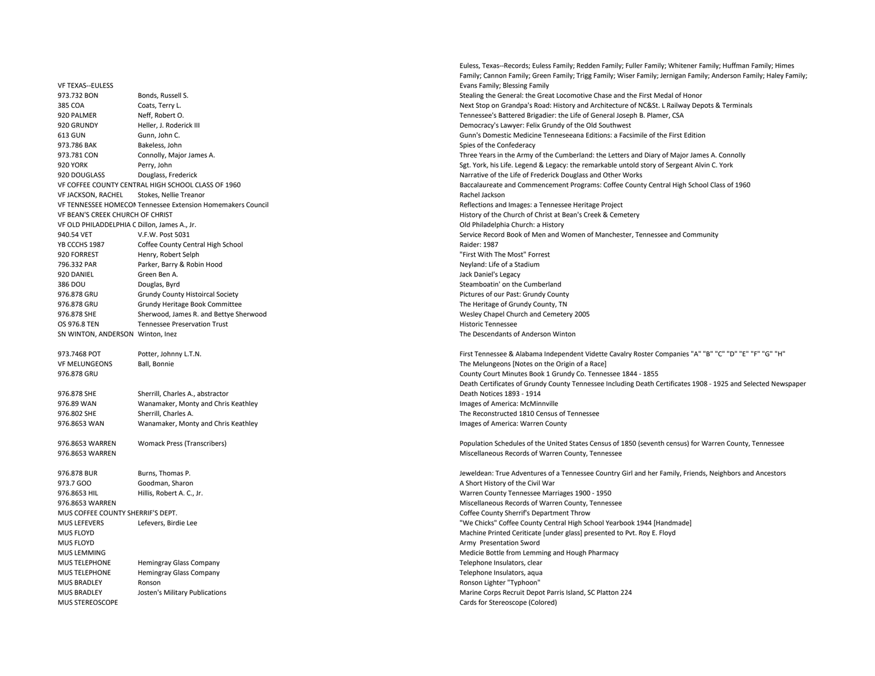VF TEXAS--EULESS 920 PALMER Neff, Robert O. Tennessee's Battered Brigadier: the Life of General Joseph B. Plamer, CSA 920 GRUNDY Heller, J. Roderick III Heller, D. Roderick III Democracy's Lawyer: Felix Grundy of the Old Southwest external background bakeless, John Spies of the Confederacy Bakeless, John Spies of the Confederacy Spies of the Confederacy 920 DOUGLASS Douglass, Frederick Narrative of the Life of Frederick Douglass and Other Works VF JACKSON, RACHEL Stokes, Nellie Treanor Rachel Jackson VF TENNESSEE HOMECOM Tennessee Extension Homemakers Council Reflections and Images: a Tennessee Heritage Project VF BEAN'S CREEK CHURCH OF CHRIST **And The CHIRCH OF CHRIST** AND RESERVE THE CHRIST **History of the Church of Christ at Bean's Creek & Cemetery** VF OLD PHILADDELPHIA C Dillon, James A., Jr. Old Philadelphia Church: a History YB CCCHS 1987 Coffee County Central High School **Company Contral High School** Raider: 1987 920 FORREST Henry, Robert Selph "First With The Most" Forrest 796.332 PAR Parker, Barry & Robin Hood Neyland: Life of a Stadium Neyland: Life of a Stadium 920 DANIEL Green Ben A. Jack Daniel's Legacy 386 DOU Douglas, Byrd Steamboatin' on the Cumberland 976.878 GRU Grundy County Histoircal Society **Pictures of our Past: Grundy County** Pictures of our Past: Grundy County 976.878 GRU Grundy Heritage Book Committee The Heritage of Grundy County, TN 976.878 SHE Sherwood, James R. and Bettye Sherwood Wesley Chapel Church and Cemetery 2005 OS 976.8 TEN Tennessee Preservation Trust Historic Tennessee Historic Tennessee Historic Tennessee SN WINTON, ANDERSON Winton, Inez **SN WINTON, ANDERSON Winton, Inez** The Descendants of Anderson Winton VF MELUNGEONS Ball, Bonnie The Melungeons [Notes on the Origin of a Race] 976.878 GRU County Court Minutes Book 1 Grundy Co. Tennessee 1844 - 1855 976.878 SHE Sherrill, Charles A., abstractor 976.89 WAN Wanamaker. Monty and Chris Keathley Images of America: McMinnville 976.802 SHE Sherrill, Charles A. The Reconstructed 1810 Census of Tennessee 976.8653 WAN Wanamaker, Monty and Chris Keathley Images of America: Warren County 976.8653 WARREN Miscellaneous Records of Warren County, Tennessee 976.878 BUR Burns, Thomas P. Jeweldean: True Adventures of a Tennessee Country Girl and her Family, Friends, Neighbors and Ancestors 973.7 GOO Goodman, Sharon Goodman, Sharon A Short History of the Civil War 976.8653 HIL Hillis, Robert A. C., Jr. Warren County Tennessee Marriages 1900 - 1950 976.8653 WARREN Miscellaneous Records of Warren County, Tennessee MUS COFFEE COUNTY SHERRIF'S DEPT. The STEET STEET ASSESSMENT OF THE STEET SCHOOL COFFEE COUNTY Sherrif's Department Throw MUS LEFEVERS Lefevers, Birdie Lee "Networks" Coffee County Central High School Yearbook 1944 [Handmade] Mus FLOYD Machine Printed Ceriticate [under glass] presented to Pvt. Roy E. Floyd MUS FLOYD **Army Presentation Sword Army Presentation Sword** MUS LEMMING MEDICINE TO A MEDICINE THE MEDICINE OF MEDICINE TO MEDICINE THE MEDICINE OF MEDICINE TO MEDICINE OR MEDICINE OF MEDICINE OF MEDICINE OF MEDICINE ORDER AND MEDICINE OF MEDICINE ORDER OF MEDICINE ORDER AND MEDICI MUS TELEPHONE Hemingray Glass Company Hemingray Glass Company Telephone Insulators, clear MUS TELEPHONE Hemingray Glass Company Telephone Insulators, aqua MUS BRADLEY Ronson Ronson Lighter "Typhoon" MUS BRADLEY Josten's Military Publications Mustations and Marine Corps Recruit Depot Parris Island, SC Platton 224 MUS STEREOSCOPE Colored) **Cards for Stereoscope (Colored**) **Cards for Stereoscope (Colored**)

Euless, Texas--Records; Euless Family; Redden Family; Fuller Family; Whitener Family; Huffman Family; Himes Family; Cannon Family; Green Family; Trigg Family; Wiser Family; Jernigan Family; Anderson Family; Haley Family; Evans Family; Blessing Family 973.732 BON Bonds, Russell S. Stealing the General: the General: the Great Locomotive Chase and the First Medal of Honor 385 COA Coats, Terry L. Coats, Terry L. Next Stop on Grandpa's Road: History and Architecture of NC&St. L Railway Depots & Terminals 613 GUN Gunn, John C. Gunn's Domestic Medicine Tenneseeana Editions: a Facsimile of the First Edition 973.781 CON Connolly, Major James A. Connolly and Samuel Army of the Cumberland: the Letters and Diary of Major James A. Connolly 920 YORK Perry, John Perry, John Samuel Alvin C. York, his Life. Legend & Legacy: the remarkable untold story of Sergeant Alvin C. York VF COFFEE COUNTY CENTRAL HIGH SCHOOL CLASS OF 1960 Baccalaureate and Commencement Programs: Coffee County Central High School Class of 1960 940.54 VET V.F.W. Post 5031 Service Record Book of Men and Women of Manchester, Tennessee and Community 973.7468 POT Potter, Johnny L.T.N. Companies "A" "B" "C" "D" "E" "F" "G" "H" G" "H" G" "H" "G" "H" "G" "H" "G"

Death Certificates of Grundy County Tennessee Including Death Certificates 1908 - 1925 and Selected Newspaper Death Notices 1893 - 1914

976.8653 WARREN Womack Press (Transcribers) Population Schedules of the United States Census of 1850 (seventh census) for Warren County, Tennessee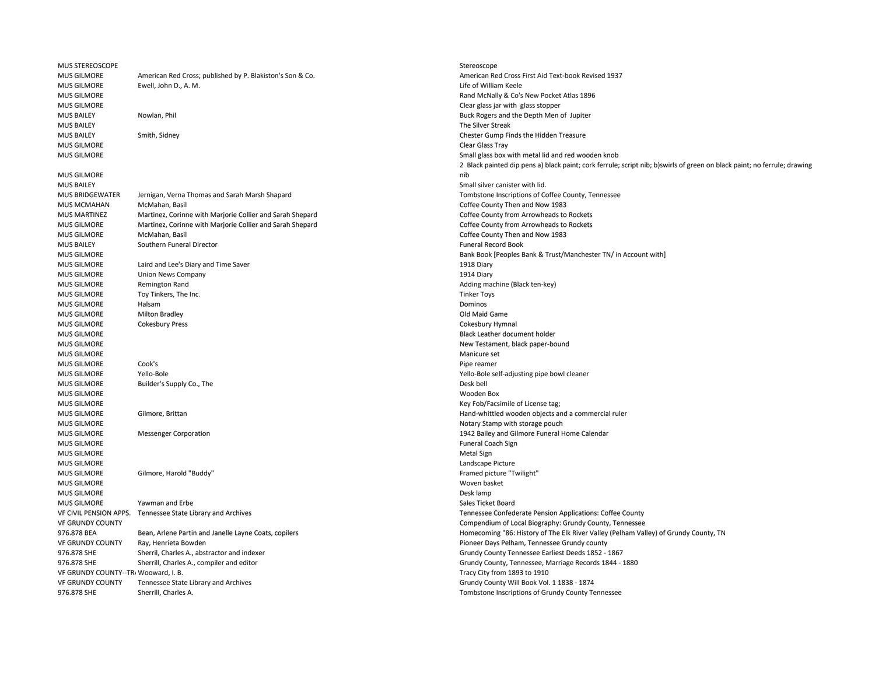| <b>MUS STEREOSCOPE</b>               |                                                           | Stereoscope              |
|--------------------------------------|-----------------------------------------------------------|--------------------------|
| <b>MUS GILMORE</b>                   | American Red Cross; published by P. Blakiston's Son & Co. | American Red Cro         |
| <b>MUS GILMORE</b>                   | Ewell, John D., A. M.                                     | Life of William Kee      |
| <b>MUS GILMORE</b>                   |                                                           | Rand McNally & C         |
| <b>MUS GILMORE</b>                   |                                                           | Clear glass jar with     |
| <b>MUS BAILEY</b>                    | Nowlan, Phil                                              | Buck Rogers and t        |
| <b>MUS BAILEY</b>                    |                                                           | The Silver Streak        |
| <b>MUS BAILEY</b>                    | Smith, Sidney                                             | Chester Gump Fin         |
| <b>MUS GILMORE</b>                   |                                                           | Clear Glass Tray         |
| <b>MUS GILMORE</b>                   |                                                           | Small glass box wi       |
|                                      |                                                           | 2 Black painted di       |
| <b>MUS GILMORE</b>                   |                                                           | nib                      |
| <b>MUS BAILEY</b>                    |                                                           | Small silver canist      |
| <b>MUS BRIDGEWATER</b>               | Jernigan, Verna Thomas and Sarah Marsh Shapard            | Tombstone Inscrip        |
| <b>MUS MCMAHAN</b>                   | McMahan, Basil                                            | Coffee County The        |
| <b>MUS MARTINEZ</b>                  | Martinez, Corinne with Marjorie Collier and Sarah Shepard | Coffee County fro        |
| <b>MUS GILMORE</b>                   | Martinez, Corinne with Marjorie Collier and Sarah Shepard | Coffee County fro        |
| <b>MUS GILMORE</b>                   | McMahan, Basil                                            | Coffee County The        |
| <b>MUS BAILEY</b>                    | Southern Funeral Director                                 | <b>Funeral Record Bo</b> |
| <b>MUS GILMORE</b>                   |                                                           | Bank Book [People        |
| <b>MUS GILMORE</b>                   | Laird and Lee's Diary and Time Saver                      | 1918 Diary               |
| <b>MUS GILMORE</b>                   | Union News Company                                        | 1914 Diary               |
| <b>MUS GILMORE</b>                   | Remington Rand                                            | Adding machine (I        |
| <b>MUS GILMORE</b>                   | Toy Tinkers, The Inc.                                     | <b>Tinker Toys</b>       |
| <b>MUS GILMORE</b>                   | Halsam                                                    | Dominos                  |
| <b>MUS GILMORE</b>                   | <b>Milton Bradley</b>                                     | Old Maid Game            |
| <b>MUS GILMORE</b>                   | <b>Cokesbury Press</b>                                    | Cokesbury Hymna          |
| <b>MUS GILMORE</b>                   |                                                           | Black Leather doct       |
| <b>MUS GILMORE</b>                   |                                                           | New Testament, b         |
| <b>MUS GILMORE</b>                   |                                                           | Manicure set             |
| MUS GILMORE                          | Cook's                                                    | Pipe reamer              |
| <b>MUS GILMORE</b>                   | Yello-Bole                                                | Yello-Bole self-adj      |
| <b>MUS GILMORE</b>                   | Builder's Supply Co., The                                 | Desk bell                |
| <b>MUS GILMORE</b>                   |                                                           | Wooden Box               |
| <b>MUS GILMORE</b>                   |                                                           | Key Fob/Facsimile        |
| <b>MUS GILMORE</b>                   | Gilmore, Brittan                                          | Hand-whittled wo         |
| <b>MUS GILMORE</b>                   |                                                           | Notary Stamp witl        |
| <b>MUS GILMORE</b>                   | <b>Messenger Corporation</b>                              | 1942 Bailey and G        |
| <b>MUS GILMORE</b>                   |                                                           | Funeral Coach Sigi       |
| <b>MUS GILMORE</b>                   |                                                           | Metal Sign               |
| <b>MUS GILMORE</b>                   |                                                           | Landscape Picture        |
| <b>MUS GILMORE</b>                   | Gilmore, Harold "Buddy"                                   | Framed picture "T        |
| <b>MUS GILMORE</b>                   |                                                           | Woven basket             |
| <b>MUS GILMORE</b>                   |                                                           | Desk lamp                |
| <b>MUS GILMORE</b>                   | Yawman and Erbe                                           | Sales Ticket Board       |
| VF CIVIL PENSION APPS.               | Tennessee State Library and Archives                      | <b>Tennessee Confed</b>  |
| <b>VF GRUNDY COUNTY</b>              |                                                           | Compendium of L          |
| 976.878 BEA                          | Bean, Arlene Partin and Janelle Layne Coats, copilers     | Homecoming "86:          |
| <b>VF GRUNDY COUNTY</b>              | Ray, Henrieta Bowden                                      | Pioneer Days Pelh        |
| 976.878 SHE                          | Sherril, Charles A., abstractor and indexer               | Grundy County Te         |
| 976.878 SHE                          | Sherrill, Charles A., compiler and editor                 | Grundy County, To        |
| VF GRUNDY COUNTY--TR, Wooward, I. B. |                                                           | Tracy City from 18       |
| <b>VF GRUNDY COUNTY</b>              | Tennessee State Library and Archives                      | Grundy County W          |
| 976.878 SHE                          | Sherrill, Charles A.                                      | Tombstone Inscrip        |
|                                      |                                                           |                          |

American Red Cross First Aid Text-book Revised 1937 Life of William Keele Rand McNally & Co's New Pocket Atlas 1896 Clear glass jar with glass stopper Buck Rogers and the Depth Men of Jupiter Chester Gump Finds the Hidden Treasure Small glass box with metal lid and red wooden knob 2 Black painted dip pens a) black paint; cork ferrule; script nib; b)swirls of green on black paint; no ferrule; drawing nib Small silver canister with lid. Tombstone Inscriptions of Coffee County, Tennessee Coffee County Then and Now 1983 Coffee County from Arrowheads to Rockets Coffee County from Arrowheads to Rockets Coffee County Then and Now 1983 Funeral Record Book Bank Book [Peoples Bank & Trust/Manchester TN/ in Account with] Adding machine (Black ten-key) Cokesbury Hymnal Black Leather document holder New Testament, black paper-bound Yello-Bole self-adjusting pipe bowl cleaner Key Fob/Facsimile of License tag: Hand-whittled wooden objects and a commercial ruler Notary Stamp with storage pouch 1942 Bailey and Gilmore Funeral Home Calendar Funeral Coach Sign Landscape Picture Framed picture "Twilight" Tennessee Confederate Pension Applications: Coffee County Compendium of Local Biography: Grundy County, Tennessee Homecoming "86: History of The Elk River Valley (Pelham Valley) of Grundy County, TN Pioneer Days Pelham, Tennessee Grundy county Grundy County Tennessee Earliest Deeds 1852 - 1867 Grundy County, Tennessee, Marriage Records 1844 - 1880 Tracy City from 1893 to 1910 Grundy County Will Book Vol. 1 1838 - 1874 Tombstone Inscriptions of Grundy County Tennessee